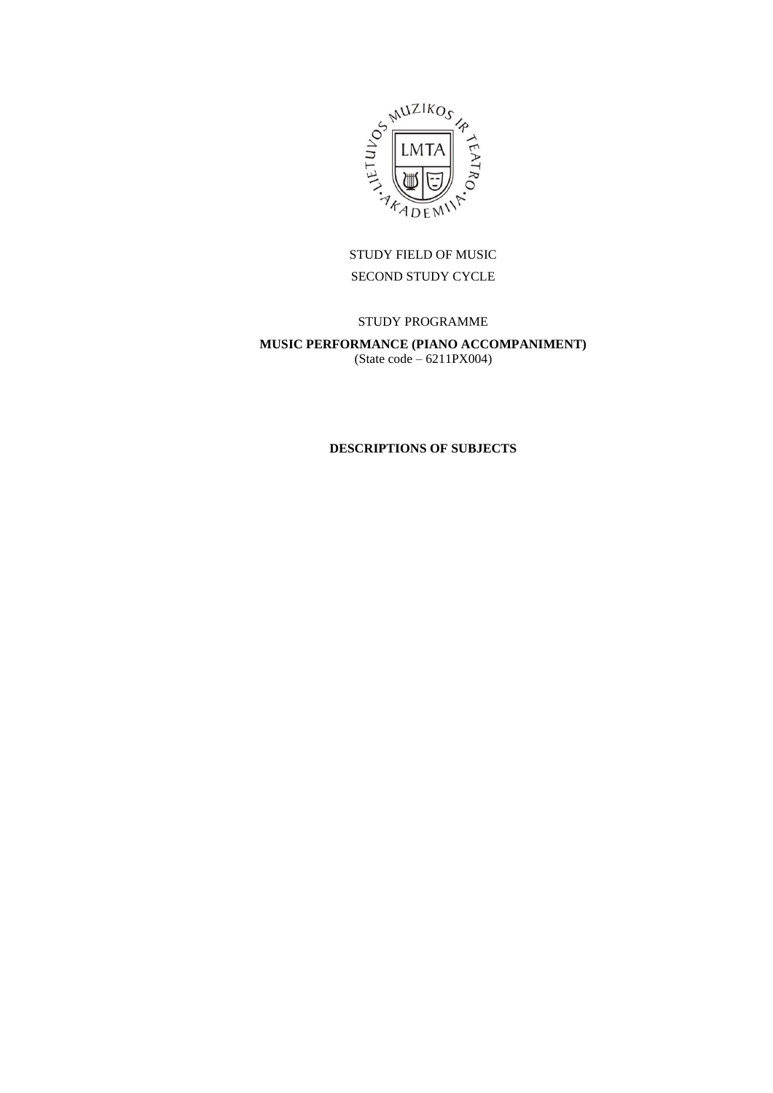

# STUDY FIELD OF MUSIC SECOND STUDY CYCLE

## STUDY PROGRAMME

# **MUSIC PERFORMANCE (PIANO ACCOMPANIMENT)** (State code – 6211PX004)

## **DESCRIPTIONS OF SUBJECTS**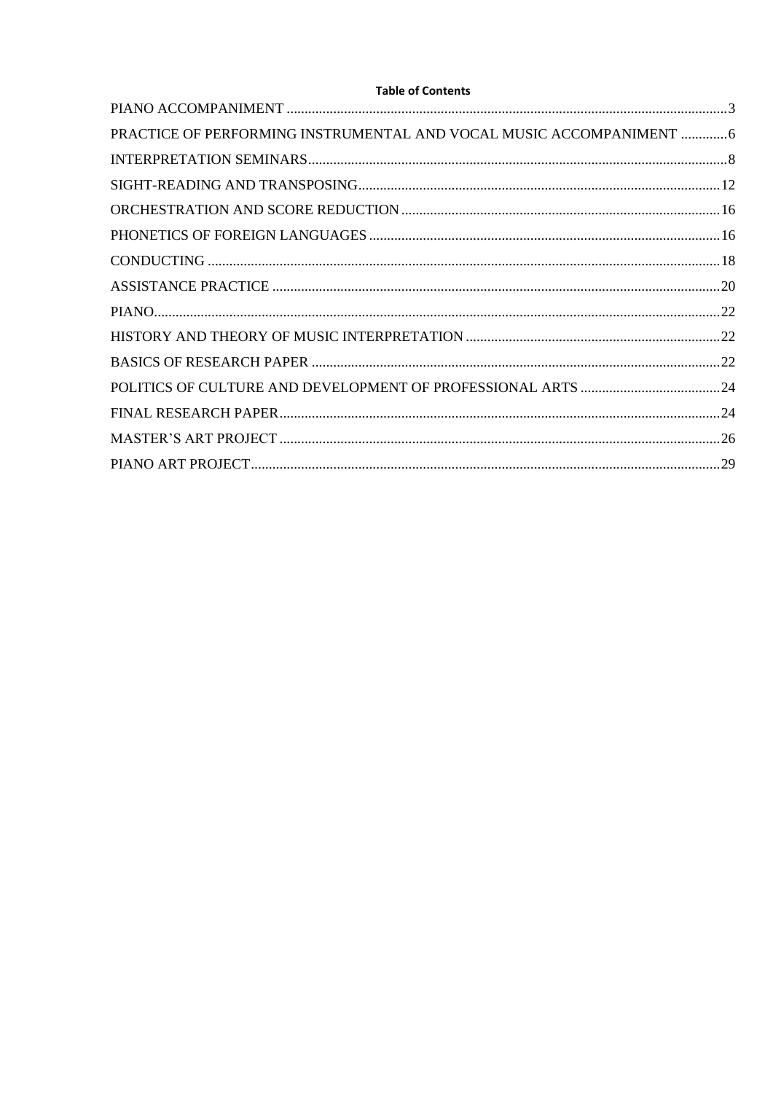| PRACTICE OF PERFORMING INSTRUMENTAL AND VOCAL MUSIC ACCOMPANIMENT  6 |
|----------------------------------------------------------------------|
|                                                                      |
|                                                                      |
|                                                                      |
|                                                                      |
|                                                                      |
|                                                                      |
|                                                                      |
|                                                                      |
|                                                                      |
|                                                                      |
|                                                                      |
|                                                                      |
|                                                                      |
|                                                                      |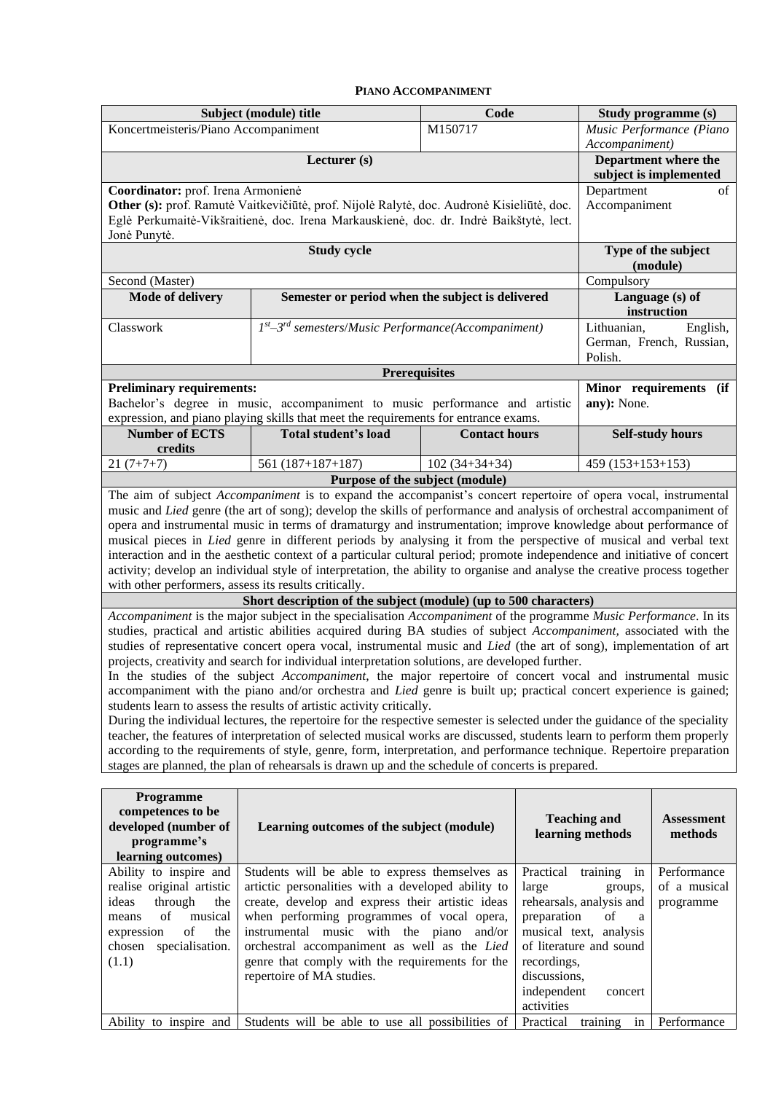#### **PIANO ACCOMPANIMENT**

<span id="page-2-0"></span>

|                                                                                                                                                                                                                                                                                                                                                                                                                                                                                                                                                                                                                                                                                                                                                                                                                                                                                                                                                                                                                                                                                                                                                                                                                                                                                                                                                                                                                                                                                                                                                                                                                                                                                                                                                                                                                                                                                                              | Subject (module) title                                                                                                                                                                                                                                                                                                                                                                                                                  | Code                 |                                                                                                                     |                                                                                                                                        | Study programme (s)                                     |  |  |
|--------------------------------------------------------------------------------------------------------------------------------------------------------------------------------------------------------------------------------------------------------------------------------------------------------------------------------------------------------------------------------------------------------------------------------------------------------------------------------------------------------------------------------------------------------------------------------------------------------------------------------------------------------------------------------------------------------------------------------------------------------------------------------------------------------------------------------------------------------------------------------------------------------------------------------------------------------------------------------------------------------------------------------------------------------------------------------------------------------------------------------------------------------------------------------------------------------------------------------------------------------------------------------------------------------------------------------------------------------------------------------------------------------------------------------------------------------------------------------------------------------------------------------------------------------------------------------------------------------------------------------------------------------------------------------------------------------------------------------------------------------------------------------------------------------------------------------------------------------------------------------------------------------------|-----------------------------------------------------------------------------------------------------------------------------------------------------------------------------------------------------------------------------------------------------------------------------------------------------------------------------------------------------------------------------------------------------------------------------------------|----------------------|---------------------------------------------------------------------------------------------------------------------|----------------------------------------------------------------------------------------------------------------------------------------|---------------------------------------------------------|--|--|
| Koncertmeisteris/Piano Accompaniment                                                                                                                                                                                                                                                                                                                                                                                                                                                                                                                                                                                                                                                                                                                                                                                                                                                                                                                                                                                                                                                                                                                                                                                                                                                                                                                                                                                                                                                                                                                                                                                                                                                                                                                                                                                                                                                                         |                                                                                                                                                                                                                                                                                                                                                                                                                                         | M150717              |                                                                                                                     |                                                                                                                                        | Music Performance (Piano                                |  |  |
|                                                                                                                                                                                                                                                                                                                                                                                                                                                                                                                                                                                                                                                                                                                                                                                                                                                                                                                                                                                                                                                                                                                                                                                                                                                                                                                                                                                                                                                                                                                                                                                                                                                                                                                                                                                                                                                                                                              | Lecturer (s)                                                                                                                                                                                                                                                                                                                                                                                                                            |                      |                                                                                                                     | Accompaniment)                                                                                                                         | Department where the                                    |  |  |
|                                                                                                                                                                                                                                                                                                                                                                                                                                                                                                                                                                                                                                                                                                                                                                                                                                                                                                                                                                                                                                                                                                                                                                                                                                                                                                                                                                                                                                                                                                                                                                                                                                                                                                                                                                                                                                                                                                              |                                                                                                                                                                                                                                                                                                                                                                                                                                         |                      |                                                                                                                     |                                                                                                                                        | subject is implemented                                  |  |  |
| Coordinator: prof. Irena Armonienė<br>Jonė Punytė.                                                                                                                                                                                                                                                                                                                                                                                                                                                                                                                                                                                                                                                                                                                                                                                                                                                                                                                                                                                                                                                                                                                                                                                                                                                                                                                                                                                                                                                                                                                                                                                                                                                                                                                                                                                                                                                           | Other (s): prof. Ramutė Vaitkevičiūtė, prof. Nijolė Ralytė, doc. Audronė Kisieliūtė, doc.<br>Eglė Perkumaitė-Vikšraitienė, doc. Irena Markauskienė, doc. dr. Indrė Baikštytė, lect.                                                                                                                                                                                                                                                     |                      |                                                                                                                     | Department<br>Accompaniment                                                                                                            | of                                                      |  |  |
|                                                                                                                                                                                                                                                                                                                                                                                                                                                                                                                                                                                                                                                                                                                                                                                                                                                                                                                                                                                                                                                                                                                                                                                                                                                                                                                                                                                                                                                                                                                                                                                                                                                                                                                                                                                                                                                                                                              | <b>Study cycle</b>                                                                                                                                                                                                                                                                                                                                                                                                                      |                      |                                                                                                                     |                                                                                                                                        | Type of the subject<br>(module)                         |  |  |
| Second (Master)                                                                                                                                                                                                                                                                                                                                                                                                                                                                                                                                                                                                                                                                                                                                                                                                                                                                                                                                                                                                                                                                                                                                                                                                                                                                                                                                                                                                                                                                                                                                                                                                                                                                                                                                                                                                                                                                                              |                                                                                                                                                                                                                                                                                                                                                                                                                                         |                      |                                                                                                                     | Compulsory                                                                                                                             |                                                         |  |  |
| Mode of delivery                                                                                                                                                                                                                                                                                                                                                                                                                                                                                                                                                                                                                                                                                                                                                                                                                                                                                                                                                                                                                                                                                                                                                                                                                                                                                                                                                                                                                                                                                                                                                                                                                                                                                                                                                                                                                                                                                             | Semester or period when the subject is delivered                                                                                                                                                                                                                                                                                                                                                                                        |                      |                                                                                                                     |                                                                                                                                        | Language (s) of<br>instruction                          |  |  |
| Classwork                                                                                                                                                                                                                                                                                                                                                                                                                                                                                                                                                                                                                                                                                                                                                                                                                                                                                                                                                                                                                                                                                                                                                                                                                                                                                                                                                                                                                                                                                                                                                                                                                                                                                                                                                                                                                                                                                                    | $Ist$ -3 <sup>rd</sup> semesters/Music Performance(Accompaniment)                                                                                                                                                                                                                                                                                                                                                                       |                      |                                                                                                                     | Lithuanian,<br>Polish.                                                                                                                 | English,<br>German, French, Russian,                    |  |  |
|                                                                                                                                                                                                                                                                                                                                                                                                                                                                                                                                                                                                                                                                                                                                                                                                                                                                                                                                                                                                                                                                                                                                                                                                                                                                                                                                                                                                                                                                                                                                                                                                                                                                                                                                                                                                                                                                                                              |                                                                                                                                                                                                                                                                                                                                                                                                                                         | <b>Prerequisites</b> |                                                                                                                     |                                                                                                                                        |                                                         |  |  |
| <b>Preliminary requirements:</b><br>Bachelor's degree in music, accompaniment to music performance and artistic<br>expression, and piano playing skills that meet the requirements for entrance exams.                                                                                                                                                                                                                                                                                                                                                                                                                                                                                                                                                                                                                                                                                                                                                                                                                                                                                                                                                                                                                                                                                                                                                                                                                                                                                                                                                                                                                                                                                                                                                                                                                                                                                                       |                                                                                                                                                                                                                                                                                                                                                                                                                                         | any): None.          | Minor requirements (if                                                                                              |                                                                                                                                        |                                                         |  |  |
| <b>Number of ECTS</b><br>credits                                                                                                                                                                                                                                                                                                                                                                                                                                                                                                                                                                                                                                                                                                                                                                                                                                                                                                                                                                                                                                                                                                                                                                                                                                                                                                                                                                                                                                                                                                                                                                                                                                                                                                                                                                                                                                                                             | Total student's load                                                                                                                                                                                                                                                                                                                                                                                                                    |                      | <b>Self-study hours</b>                                                                                             |                                                                                                                                        |                                                         |  |  |
| $21(7+7+7)$                                                                                                                                                                                                                                                                                                                                                                                                                                                                                                                                                                                                                                                                                                                                                                                                                                                                                                                                                                                                                                                                                                                                                                                                                                                                                                                                                                                                                                                                                                                                                                                                                                                                                                                                                                                                                                                                                                  | $561(187+187+187)$                                                                                                                                                                                                                                                                                                                                                                                                                      | $102(34+34+34)$      |                                                                                                                     | $459(153+153+153)$                                                                                                                     |                                                         |  |  |
| The aim of subject Accompaniment is to expand the accompanist's concert repertoire of opera vocal, instrumental                                                                                                                                                                                                                                                                                                                                                                                                                                                                                                                                                                                                                                                                                                                                                                                                                                                                                                                                                                                                                                                                                                                                                                                                                                                                                                                                                                                                                                                                                                                                                                                                                                                                                                                                                                                              |                                                                                                                                                                                                                                                                                                                                                                                                                                         |                      |                                                                                                                     |                                                                                                                                        |                                                         |  |  |
| opera and instrumental music in terms of dramaturgy and instrumentation; improve knowledge about performance of<br>musical pieces in Lied genre in different periods by analysing it from the perspective of musical and verbal text<br>interaction and in the aesthetic context of a particular cultural period; promote independence and initiative of concert<br>activity; develop an individual style of interpretation, the ability to organise and analyse the creative process together<br>with other performers, assess its results critically.<br>Short description of the subject (module) (up to 500 characters)<br>Accompaniment is the major subject in the specialisation Accompaniment of the programme Music Performance. In its<br>studies, practical and artistic abilities acquired during BA studies of subject Accompaniment, associated with the<br>studies of representative concert opera vocal, instrumental music and Lied (the art of song), implementation of art<br>projects, creativity and search for individual interpretation solutions, are developed further.<br>In the studies of the subject <i>Accompaniment</i> , the major repertoire of concert vocal and instrumental music<br>accompaniment with the piano and/or orchestra and Lied genre is built up; practical concert experience is gained;<br>students learn to assess the results of artistic activity critically.<br>During the individual lectures, the repertoire for the respective semester is selected under the guidance of the speciality<br>teacher, the features of interpretation of selected musical works are discussed, students learn to perform them properly<br>according to the requirements of style, genre, form, interpretation, and performance technique. Repertoire preparation<br>stages are planned, the plan of rehearsals is drawn up and the schedule of concerts is prepared. |                                                                                                                                                                                                                                                                                                                                                                                                                                         |                      |                                                                                                                     |                                                                                                                                        |                                                         |  |  |
| Programme<br>competences to be<br>developed (number of<br>programme's<br>learning outcomes)                                                                                                                                                                                                                                                                                                                                                                                                                                                                                                                                                                                                                                                                                                                                                                                                                                                                                                                                                                                                                                                                                                                                                                                                                                                                                                                                                                                                                                                                                                                                                                                                                                                                                                                                                                                                                  | Learning outcomes of the subject (module)                                                                                                                                                                                                                                                                                                                                                                                               |                      |                                                                                                                     | <b>Teaching and</b><br>learning methods                                                                                                | <b>Assessment</b><br>methods                            |  |  |
| Ability to inspire and<br>realise original artistic<br>through<br>ideas<br>the<br>of<br>musical<br>means<br>of<br>expression<br>the<br>chosen<br>specialisation.<br>(1.1)<br>Ability to inspire and                                                                                                                                                                                                                                                                                                                                                                                                                                                                                                                                                                                                                                                                                                                                                                                                                                                                                                                                                                                                                                                                                                                                                                                                                                                                                                                                                                                                                                                                                                                                                                                                                                                                                                          | Students will be able to express themselves as<br>artictic personalities with a developed ability to<br>create, develop and express their artistic ideas<br>when performing programmes of vocal opera,<br>instrumental music with the piano and/or<br>orchestral accompaniment as well as the Lied<br>genre that comply with the requirements for the<br>repertoire of MA studies.<br>Students will be able to use all possibilities of |                      | Practical training<br>large<br>preparation<br>recordings,<br>discussions,<br>independent<br>activities<br>Practical | in<br>groups,<br>rehearsals, analysis and<br>of<br>a<br>musical text, analysis<br>of literature and sound<br>concert<br>training<br>in | Performance<br>of a musical<br>programme<br>Performance |  |  |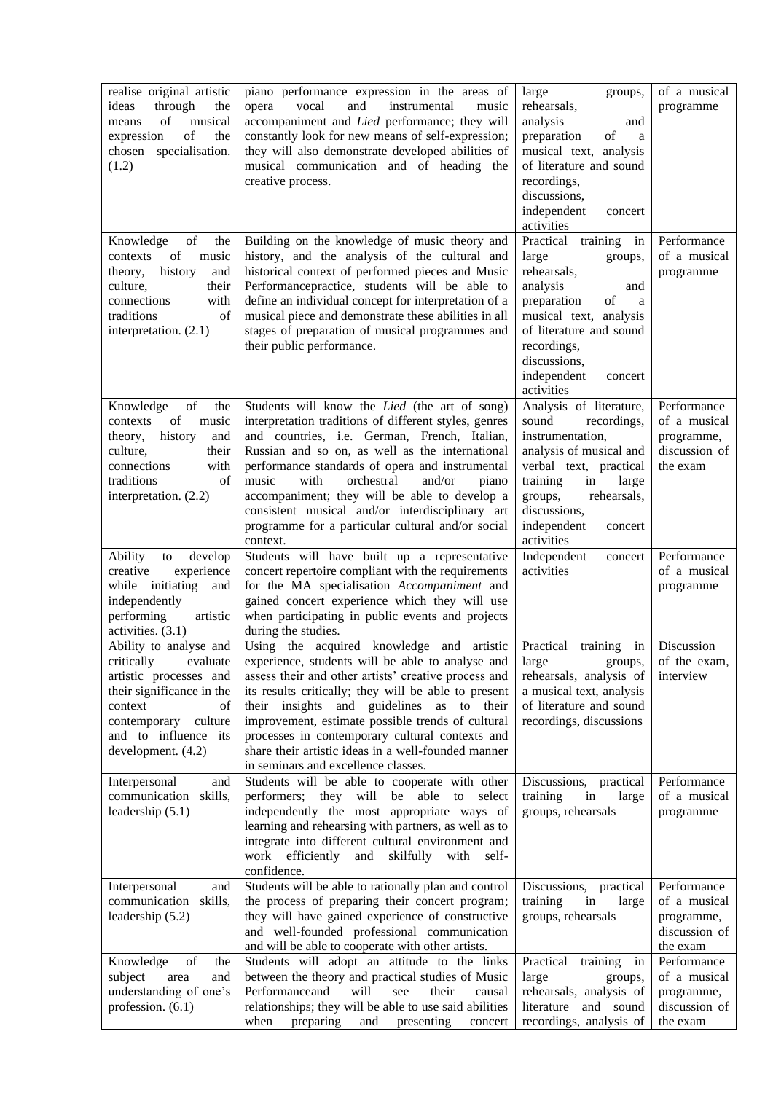| realise original artistic<br>through<br>ideas<br>the<br>of<br>musical<br>means<br>of<br>expression<br>the<br>chosen specialisation.<br>(1.2)                                                | piano performance expression in the areas of<br>vocal<br>and<br>instrumental<br>opera<br>music<br>accompaniment and Lied performance; they will<br>constantly look for new means of self-expression;<br>they will also demonstrate developed abilities of<br>musical communication and of heading the<br>creative process.                                                                                                                                                                      | large<br>groups,<br>rehearsals,<br>analysis<br>and<br>preparation<br>of<br>a<br>musical text, analysis<br>of literature and sound<br>recordings,<br>discussions,<br>independent<br>concert<br>activities                                | of a musical<br>programme                                              |
|---------------------------------------------------------------------------------------------------------------------------------------------------------------------------------------------|-------------------------------------------------------------------------------------------------------------------------------------------------------------------------------------------------------------------------------------------------------------------------------------------------------------------------------------------------------------------------------------------------------------------------------------------------------------------------------------------------|-----------------------------------------------------------------------------------------------------------------------------------------------------------------------------------------------------------------------------------------|------------------------------------------------------------------------|
| of<br>Knowledge<br>the<br>of<br>music<br>contexts<br>history<br>theory,<br>and<br>culture,<br>their<br>connections<br>with<br>traditions<br>of<br>interpretation. (2.1)                     | Building on the knowledge of music theory and<br>history, and the analysis of the cultural and<br>historical context of performed pieces and Music<br>Performancepractice, students will be able to<br>define an individual concept for interpretation of a<br>musical piece and demonstrate these abilities in all<br>stages of preparation of musical programmes and<br>their public performance.                                                                                             | Practical<br>training<br>in<br>large<br>groups,<br>rehearsals,<br>analysis<br>and<br>preparation<br>of<br>a<br>musical text, analysis<br>of literature and sound<br>recordings,<br>discussions,<br>independent<br>concert<br>activities | Performance<br>of a musical<br>programme                               |
| Knowledge<br>of<br>the<br>of<br>contexts<br>music<br>history<br>and<br>theory,<br>culture,<br>their<br>connections<br>with<br>traditions<br>of<br>interpretation. (2.2)                     | Students will know the Lied (the art of song)<br>interpretation traditions of different styles, genres<br>and countries, i.e. German, French, Italian,<br>Russian and so on, as well as the international<br>performance standards of opera and instrumental<br>music<br>with<br>orchestral<br>and/or<br>piano<br>accompaniment; they will be able to develop a<br>consistent musical and/or interdisciplinary art<br>programme for a particular cultural and/or social<br>context.             | Analysis of literature,<br>sound<br>recordings,<br>instrumentation,<br>analysis of musical and<br>verbal text, practical<br>training<br>large<br>in<br>rehearsals,<br>groups,<br>discussions,<br>independent<br>concert<br>activities   | Performance<br>of a musical<br>programme,<br>discussion of<br>the exam |
| Ability<br>develop<br>to<br>experience<br>creative<br>while initiating<br>and<br>independently<br>performing<br>artistic<br>activities. $(3.1)$                                             | Students will have built up a representative<br>concert repertoire compliant with the requirements<br>for the MA specialisation Accompaniment and<br>gained concert experience which they will use<br>when participating in public events and projects<br>during the studies.                                                                                                                                                                                                                   | Independent<br>concert<br>activities                                                                                                                                                                                                    | Performance<br>of a musical<br>programme                               |
| Ability to analyse and<br>critically evaluate<br>artistic processes and<br>their significance in the<br>context<br>of<br>contemporary culture<br>and to influence its<br>development. (4.2) | Using the acquired knowledge and artistic<br>experience, students will be able to analyse and   large groups,   of the exam,<br>assess their and other artists' creative process and<br>its results critically; they will be able to present<br>their insights and guidelines as to their<br>improvement, estimate possible trends of cultural<br>processes in contemporary cultural contexts and<br>share their artistic ideas in a well-founded manner<br>in seminars and excellence classes. | Practical training in<br>rehearsals, analysis of<br>a musical text, analysis<br>of literature and sound<br>recordings, discussions                                                                                                      | Discussion<br>interview                                                |
| Interpersonal<br>and<br>communication<br>skills,<br>leadership $(5.1)$                                                                                                                      | Students will be able to cooperate with other<br>performers; they will be able to select<br>independently the most appropriate ways of<br>learning and rehearsing with partners, as well as to<br>integrate into different cultural environment and<br>work efficiently<br>and skilfully with self-<br>confidence.                                                                                                                                                                              | Discussions, practical<br>training<br>in<br>large<br>groups, rehearsals                                                                                                                                                                 | Performance<br>of a musical<br>programme                               |
| Interpersonal<br>and<br>communication skills,<br>leadership (5.2)                                                                                                                           | Students will be able to rationally plan and control<br>the process of preparing their concert program;<br>they will have gained experience of constructive<br>and well-founded professional communication<br>and will be able to cooperate with other artists.                                                                                                                                                                                                                                 | Discussions, practical<br>training<br>in<br>large<br>groups, rehearsals                                                                                                                                                                 | Performance<br>of a musical<br>programme,<br>discussion of<br>the exam |
| of<br>Knowledge<br>the<br>subject<br>area<br>and<br>understanding of one's<br>profession. (6.1)                                                                                             | Students will adopt an attitude to the links<br>between the theory and practical studies of Music<br>Performanceand<br>will<br>their<br>see<br>causal<br>relationships; they will be able to use said abilities<br>preparing<br>when<br>and<br>presenting<br>concert                                                                                                                                                                                                                            | Practical<br>training<br>in<br>large<br>groups,<br>rehearsals, analysis of<br>literature<br>and sound<br>recordings, analysis of                                                                                                        | Performance<br>of a musical<br>programme,<br>discussion of<br>the exam |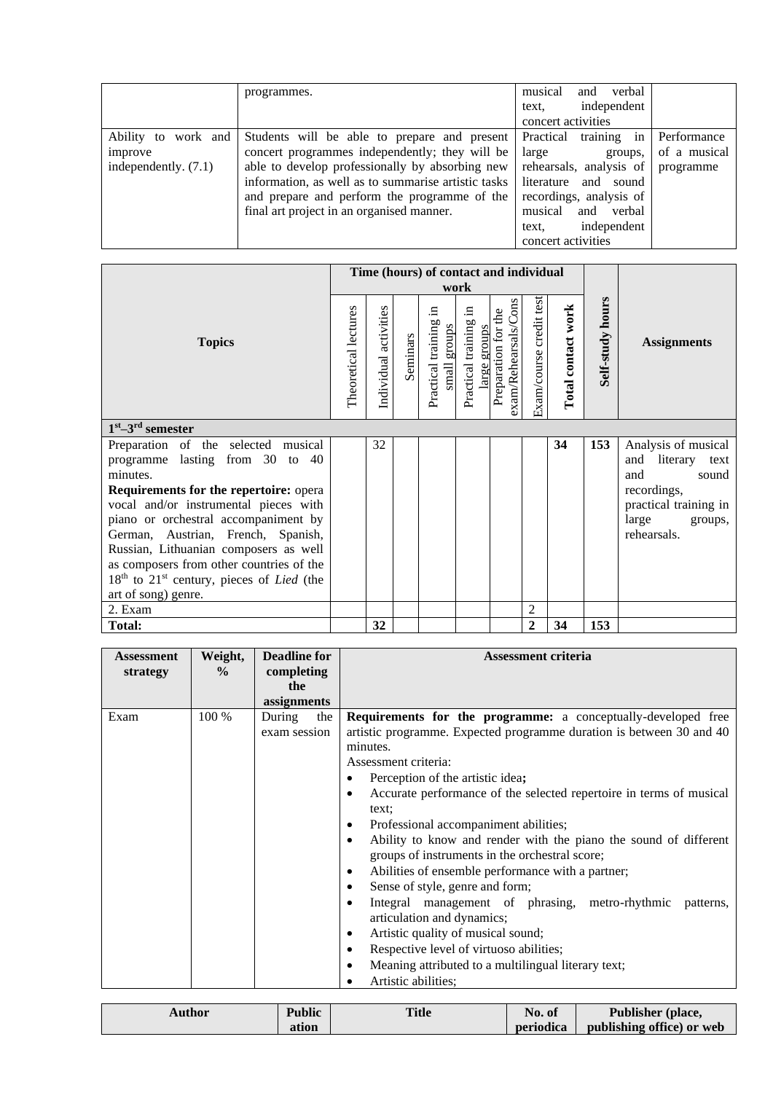|                                                          | programmes.                                                                                                                                                                                                                                              | verbal<br>and<br>musical<br>independent<br>text.<br>concert activities                                                        |                                          |
|----------------------------------------------------------|----------------------------------------------------------------------------------------------------------------------------------------------------------------------------------------------------------------------------------------------------------|-------------------------------------------------------------------------------------------------------------------------------|------------------------------------------|
| Ability to work and<br>improve<br>independently. $(7.1)$ | Students will be able to prepare and present<br>concert programmes independently; they will be<br>able to develop professionally by absorbing new<br>information, as well as to summarise artistic tasks<br>and prepare and perform the programme of the | training<br>Practical<br>in<br>large<br>groups,<br>rehearsals, analysis of<br>literature and sound<br>recordings, analysis of | Performance<br>of a musical<br>programme |
|                                                          | final art project in an organised manner.                                                                                                                                                                                                                | musical<br>and<br>verbal<br>independent<br>text,<br>concert activities                                                        |                                          |

|                                                                          |                      |                       |          | Time (hours) of contact and individual<br>work |                                            |                                                |                         |                    |                  |                       |
|--------------------------------------------------------------------------|----------------------|-----------------------|----------|------------------------------------------------|--------------------------------------------|------------------------------------------------|-------------------------|--------------------|------------------|-----------------------|
| <b>Topics</b>                                                            | Theoretical lectures | Individual activities | Seminars | $\Xi$<br>Practical training<br>stonbs<br>small | .⊟<br>Practical training<br>groups<br>arge | exam/Rehearsals/Cons<br>the<br>Preparation for | Exam/course credit test | Total contact work | Self-study hours | <b>Assignments</b>    |
| $1st - 3rd$ semester                                                     |                      |                       |          |                                                |                                            |                                                |                         |                    |                  |                       |
| Preparation of the selected musical                                      |                      | 32                    |          |                                                |                                            |                                                |                         | 34                 | 153              | Analysis of musical   |
| programme lasting from 30 to 40                                          |                      |                       |          |                                                |                                            |                                                |                         |                    |                  | and literary text     |
| minutes.                                                                 |                      |                       |          |                                                |                                            |                                                |                         |                    |                  | sound<br>and          |
| <b>Requirements for the repertoire: opera</b>                            |                      |                       |          |                                                |                                            |                                                |                         |                    |                  | recordings,           |
| vocal and/or instrumental pieces with                                    |                      |                       |          |                                                |                                            |                                                |                         |                    |                  | practical training in |
| piano or orchestral accompaniment by                                     |                      |                       |          |                                                |                                            |                                                |                         |                    |                  | large<br>groups,      |
| German, Austrian, French, Spanish,                                       |                      |                       |          |                                                |                                            |                                                |                         |                    |                  | rehearsals.           |
| Russian, Lithuanian composers as well                                    |                      |                       |          |                                                |                                            |                                                |                         |                    |                  |                       |
| as composers from other countries of the                                 |                      |                       |          |                                                |                                            |                                                |                         |                    |                  |                       |
| 18 <sup>th</sup> to 21 <sup>st</sup> century, pieces of <i>Lied</i> (the |                      |                       |          |                                                |                                            |                                                |                         |                    |                  |                       |
| art of song) genre.                                                      |                      |                       |          |                                                |                                            |                                                |                         |                    |                  |                       |
| 2. Exam                                                                  |                      |                       |          |                                                |                                            |                                                | 2                       |                    |                  |                       |
| <b>Total:</b>                                                            |                      | 32                    |          |                                                |                                            |                                                | $\overline{2}$          | 34                 | 153              |                       |

| <b>Assessment</b> | Weight,       | <b>Deadline for</b> | <b>Assessment criteria</b>                                               |  |  |  |  |  |
|-------------------|---------------|---------------------|--------------------------------------------------------------------------|--|--|--|--|--|
| strategy          | $\frac{6}{9}$ | completing          |                                                                          |  |  |  |  |  |
|                   |               | the                 |                                                                          |  |  |  |  |  |
|                   |               | assignments         |                                                                          |  |  |  |  |  |
| Exam              | 100 %         | During<br>the       | <b>Requirements for the programme:</b> a conceptually-developed free     |  |  |  |  |  |
|                   |               | exam session        | artistic programme. Expected programme duration is between 30 and 40     |  |  |  |  |  |
|                   |               |                     | minutes.                                                                 |  |  |  |  |  |
|                   |               |                     | Assessment criteria:                                                     |  |  |  |  |  |
|                   |               |                     | Perception of the artistic idea;                                         |  |  |  |  |  |
|                   |               |                     | Accurate performance of the selected repertoire in terms of musical<br>٠ |  |  |  |  |  |
|                   |               |                     | text;                                                                    |  |  |  |  |  |
|                   |               |                     | Professional accompaniment abilities;<br>٠                               |  |  |  |  |  |
|                   |               |                     | Ability to know and render with the piano the sound of different<br>٠    |  |  |  |  |  |
|                   |               |                     | groups of instruments in the orchestral score;                           |  |  |  |  |  |
|                   |               |                     | Abilities of ensemble performance with a partner;<br>٠                   |  |  |  |  |  |
|                   |               |                     | Sense of style, genre and form;<br>٠                                     |  |  |  |  |  |
|                   |               |                     | Integral management of phrasing, metro-rhythmic patterns,<br>$\bullet$   |  |  |  |  |  |
|                   |               |                     | articulation and dynamics;                                               |  |  |  |  |  |
|                   |               |                     | Artistic quality of musical sound;<br>٠                                  |  |  |  |  |  |
|                   |               |                     | Respective level of virtuoso abilities;<br>٠                             |  |  |  |  |  |
|                   |               |                     | Meaning attributed to a multilingual literary text;<br>٠                 |  |  |  |  |  |
|                   |               |                     | Artistic abilities;                                                      |  |  |  |  |  |
|                   |               |                     |                                                                          |  |  |  |  |  |

| Author | <b>Public</b> | Title | No. of    | Publisher (place,         |
|--------|---------------|-------|-----------|---------------------------|
|        | ation         |       | periodica | publishing office) or web |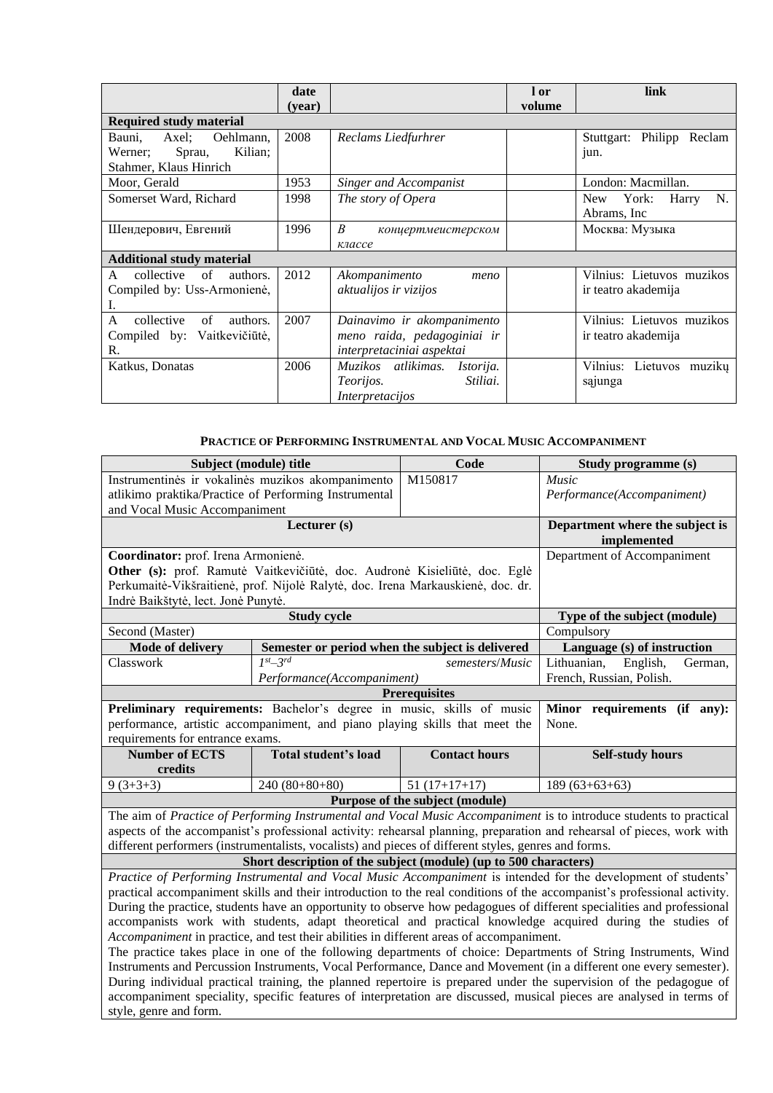|                                                                                        | date<br>(vear) |                                                                                           | l or<br>volume | link                                             |
|----------------------------------------------------------------------------------------|----------------|-------------------------------------------------------------------------------------------|----------------|--------------------------------------------------|
| <b>Required study material</b>                                                         |                |                                                                                           |                |                                                  |
| Oehlmann,<br>Axel:<br>Bauni,<br>Kilian;<br>Sprau,<br>Werner:<br>Stahmer, Klaus Hinrich | 2008           | Reclams Liedfurhrer                                                                       |                | Stuttgart: Philipp Reclam<br>jun.                |
| Moor, Gerald                                                                           | 1953           | <b>Singer and Accompanist</b>                                                             |                | London: Macmillan.                               |
| Somerset Ward, Richard                                                                 | 1998           | The story of Opera                                                                        |                | N.<br>York:<br>Harry<br>New<br>Abrams, Inc.      |
| Шендерович, Евгений                                                                    | 1996           | B<br>концертмеистерском<br>классе                                                         |                | Москва: Музыка                                   |
| <b>Additional study material</b>                                                       |                |                                                                                           |                |                                                  |
| collective<br>$\sigma$ f<br>authors.<br>A<br>Compiled by: Uss-Armonienė,<br>Ι.         | 2012           | Akompanimento<br>meno<br>aktualijos ir vizijos                                            |                | Vilnius: Lietuvos muzikos<br>ir teatro akademija |
| collective<br>authors.<br>A<br>$\sigma$ f<br>Compiled by: Vaitkevičiūtė,<br>R.         | 2007           | Dainavimo ir akompanimento<br>meno raida, pedagoginiai ir<br>interpretaciniai aspektai    |                | Vilnius: Lietuvos muzikos<br>ir teatro akademija |
| Katkus, Donatas                                                                        | 2006           | Muzikos atlikimas.<br><i>Istorija.</i><br>Stiliai.<br><i>Teorijos.</i><br>Interpretacijos |                | Vilnius: Lietuvos muzikų<br>sąjunga              |

#### **PRACTICE OF PERFORMING INSTRUMENTAL AND VOCAL MUSIC ACCOMPANIMENT**

<span id="page-5-0"></span>

| Subject (module) title                                                                                                   | Code                                                                                     | Study programme (s)     |                                                                                                                        |  |  |  |  |  |
|--------------------------------------------------------------------------------------------------------------------------|------------------------------------------------------------------------------------------|-------------------------|------------------------------------------------------------------------------------------------------------------------|--|--|--|--|--|
| Instrumentinės ir vokalinės muzikos akompanimento                                                                        | Music                                                                                    |                         |                                                                                                                        |  |  |  |  |  |
| atlikimo praktika/Practice of Performing Instrumental                                                                    | Performance(Accompaniment)                                                               |                         |                                                                                                                        |  |  |  |  |  |
| and Vocal Music Accompaniment                                                                                            |                                                                                          |                         |                                                                                                                        |  |  |  |  |  |
|                                                                                                                          | Department where the subject is<br>implemented                                           |                         |                                                                                                                        |  |  |  |  |  |
| Coordinator: prof. Irena Armonienė.                                                                                      | Department of Accompaniment                                                              |                         |                                                                                                                        |  |  |  |  |  |
|                                                                                                                          | Other (s): prof. Ramutė Vaitkevičiūtė, doc. Audronė Kisieliūtė, doc. Eglė                |                         |                                                                                                                        |  |  |  |  |  |
|                                                                                                                          | Perkumaitė-Vikšraitienė, prof. Nijolė Ralytė, doc. Irena Markauskienė, doc. dr.          |                         |                                                                                                                        |  |  |  |  |  |
| Indrė Baikštytė, lect. Jonė Punytė.                                                                                      |                                                                                          |                         |                                                                                                                        |  |  |  |  |  |
|                                                                                                                          | <b>Study cycle</b>                                                                       |                         | Type of the subject (module)                                                                                           |  |  |  |  |  |
| Second (Master)                                                                                                          | Compulsory                                                                               |                         |                                                                                                                        |  |  |  |  |  |
| <b>Mode of delivery</b>                                                                                                  | Semester or period when the subject is delivered                                         |                         | Language (s) of instruction                                                                                            |  |  |  |  |  |
| Classwork                                                                                                                | $1^{st} - 3^{rd}$                                                                        | semesters/Music         | Lithuanian,<br>English,<br>German,                                                                                     |  |  |  |  |  |
|                                                                                                                          | Performance(Accompaniment)                                                               |                         | French, Russian, Polish.                                                                                               |  |  |  |  |  |
|                                                                                                                          |                                                                                          |                         |                                                                                                                        |  |  |  |  |  |
| Preliminary requirements: Bachelor's degree in music, skills of music                                                    | Minor requirements (if any):                                                             |                         |                                                                                                                        |  |  |  |  |  |
| performance, artistic accompaniment, and piano playing skills that meet the                                              | None.                                                                                    |                         |                                                                                                                        |  |  |  |  |  |
| requirements for entrance exams.                                                                                         |                                                                                          | <b>Contact hours</b>    |                                                                                                                        |  |  |  |  |  |
| <b>Number of ECTS</b>                                                                                                    | Total student's load                                                                     | <b>Self-study hours</b> |                                                                                                                        |  |  |  |  |  |
| credits                                                                                                                  |                                                                                          |                         |                                                                                                                        |  |  |  |  |  |
| $9(3+3+3)$                                                                                                               | $240(80+80+80)$                                                                          | $51(17+17+17)$          | $189(63+63+63)$                                                                                                        |  |  |  |  |  |
| Purpose of the subject (module)                                                                                          |                                                                                          |                         |                                                                                                                        |  |  |  |  |  |
| The aim of Practice of Performing Instrumental and Vocal Music Accompaniment is to introduce students to practical       |                                                                                          |                         |                                                                                                                        |  |  |  |  |  |
| aspects of the accompanist's professional activity: rehearsal planning, preparation and rehearsal of pieces, work with   |                                                                                          |                         |                                                                                                                        |  |  |  |  |  |
| different performers (instrumentalists, vocalists) and pieces of different styles, genres and forms.                     |                                                                                          |                         |                                                                                                                        |  |  |  |  |  |
| Short description of the subject (module) (up to 500 characters)                                                         |                                                                                          |                         |                                                                                                                        |  |  |  |  |  |
| Practice of Performing Instrumental and Vocal Music Accompaniment is intended for the development of students'           |                                                                                          |                         |                                                                                                                        |  |  |  |  |  |
| practical accompaniment skills and their introduction to the real conditions of the accompanist's professional activity. |                                                                                          |                         |                                                                                                                        |  |  |  |  |  |
|                                                                                                                          |                                                                                          |                         | During the practice, students have an opportunity to observe how pedagogues of different specialities and professional |  |  |  |  |  |
|                                                                                                                          |                                                                                          |                         | accompanists work with students, adapt theoretical and practical knowledge acquired during the studies of              |  |  |  |  |  |
|                                                                                                                          | Accompaniment in practice, and test their abilities in different areas of accompaniment. |                         |                                                                                                                        |  |  |  |  |  |
|                                                                                                                          |                                                                                          |                         | The practice takes place in one of the following departments of choice: Departments of String Instruments, Wind        |  |  |  |  |  |
|                                                                                                                          |                                                                                          |                         | Instruments and Percussion Instruments, Vocal Performance, Dance and Movement (in a different one every semester).     |  |  |  |  |  |
|                                                                                                                          |                                                                                          |                         | During individual practical training, the planned repertoire is prepared under the supervision of the pedagogue of     |  |  |  |  |  |

accompaniment speciality, specific features of interpretation are discussed, musical pieces are analysed in terms of style, genre and form.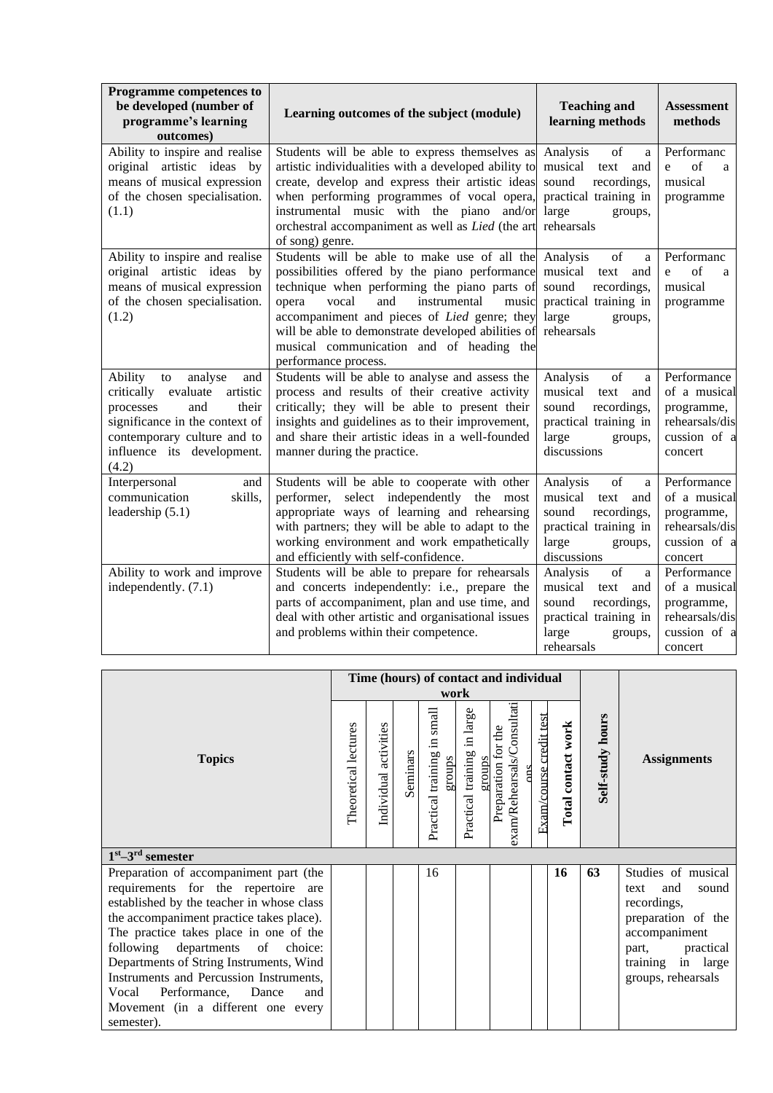| Programme competences to<br>be developed (number of<br>programme's learning<br>outcomes)                                                                                                                | Learning outcomes of the subject (module)                                                                                                                                                                                                                                                                                                                                                  | <b>Teaching and</b><br>learning methods                                                                                           | <b>Assessment</b><br>methods                                                                                                                       |
|---------------------------------------------------------------------------------------------------------------------------------------------------------------------------------------------------------|--------------------------------------------------------------------------------------------------------------------------------------------------------------------------------------------------------------------------------------------------------------------------------------------------------------------------------------------------------------------------------------------|-----------------------------------------------------------------------------------------------------------------------------------|----------------------------------------------------------------------------------------------------------------------------------------------------|
| Ability to inspire and realise<br>original artistic ideas by<br>means of musical expression<br>of the chosen specialisation.<br>(1.1)                                                                   | Students will be able to express themselves as<br>artistic individualities with a developed ability to<br>create, develop and express their artistic ideas<br>when performing programmes of vocal opera,<br>instrumental music with the piano and/or<br>orchestral accompaniment as well as Lied (the art<br>of song) genre.                                                               | Analysis<br>of<br>a<br>musical<br>text<br>and<br>sound<br>recordings,<br>practical training in<br>large<br>groups,<br>rehearsals  | Performanc<br>of<br>$\mathbf{e}$<br>a<br>musical<br>programme                                                                                      |
| Ability to inspire and realise<br>original artistic ideas by<br>means of musical expression<br>of the chosen specialisation.<br>(1.2)                                                                   | Students will be able to make use of all the Analysis<br>possibilities offered by the piano performance<br>technique when performing the piano parts of<br>vocal<br>and<br>opera<br>instrumental<br>music<br>accompaniment and pieces of <i>Lied</i> genre; they<br>will be able to demonstrate developed abilities of<br>musical communication and of heading the<br>performance process. | of<br>a<br>musical<br>text<br>and<br>sound<br>recordings,<br>practical training in<br>large<br>groups,<br>rehearsals              | Performanc<br>$% \left( \left( \mathcal{A},\mathcal{A}\right) \right) =\left( \mathcal{A},\mathcal{A}\right)$ of<br>e<br>a<br>musical<br>programme |
| Ability<br>analyse<br>and<br>to<br>critically evaluate<br>artistic<br>processes<br>and<br>their<br>significance in the context of<br>contemporary culture and to<br>influence its development.<br>(4.2) | Students will be able to analyse and assess the<br>process and results of their creative activity<br>critically; they will be able to present their<br>insights and guidelines as to their improvement,<br>and share their artistic ideas in a well-founded<br>manner during the practice.                                                                                                 | of<br>Analysis<br>a<br>musical<br>text<br>and<br>sound<br>recordings,<br>practical training in<br>large<br>groups,<br>discussions | Performance<br>of a musical<br>programme,<br>rehearsals/dis<br>cussion of a<br>concert                                                             |
| Interpersonal<br>and<br>communication<br>skills,<br>leadership $(5.1)$                                                                                                                                  | Students will be able to cooperate with other<br>performer,<br>select independently<br>the most<br>appropriate ways of learning and rehearsing<br>with partners; they will be able to adapt to the<br>working environment and work empathetically<br>and efficiently with self-confidence.                                                                                                 | of<br>Analysis<br>a<br>musical<br>text<br>and<br>sound<br>recordings,<br>practical training in<br>large<br>groups,<br>discussions | Performance<br>of a musical<br>programme,<br>rehearsals/dis<br>cussion of a<br>concert                                                             |
| Ability to work and improve<br>independently. (7.1)                                                                                                                                                     | Students will be able to prepare for rehearsals<br>and concerts independently: i.e., prepare the<br>parts of accompaniment, plan and use time, and<br>deal with other artistic and organisational issues<br>and problems within their competence.                                                                                                                                          | of<br>Analysis<br>a<br>musical<br>text<br>and<br>sound<br>recordings,<br>practical training in<br>large<br>groups,<br>rehearsals  | Performance<br>of a musical<br>programme,<br>rehearsals/dis<br>cussion of a<br>concert                                                             |

|                                                                                       |  |                          |          | work                                        |                                             | Time (hours) of contact and individual                             |                         |                    |                         |                                   |
|---------------------------------------------------------------------------------------|--|--------------------------|----------|---------------------------------------------|---------------------------------------------|--------------------------------------------------------------------|-------------------------|--------------------|-------------------------|-----------------------------------|
| <b>Topics</b>                                                                         |  | activities<br>Individual | Seminars | small<br>Ξ.<br>Practical training<br>groups | large<br>.≊<br>Practical training<br>groups | exam/Rehearsals/Consultati<br>the<br>Preparation for<br><b>anc</b> | Exam/course credit test | Total contact work | <b>Self-study hours</b> | <b>Assignments</b>                |
| $1st - 3rd$ semester                                                                  |  |                          |          |                                             |                                             |                                                                    |                         |                    |                         |                                   |
| Preparation of accompaniment part (the                                                |  |                          |          | 16                                          |                                             |                                                                    |                         | 16                 | 63                      | Studies of musical                |
| requirements for the repertoire are                                                   |  |                          |          |                                             |                                             |                                                                    |                         |                    |                         | and<br>sound<br>text              |
| established by the teacher in whose class<br>the accompaniment practice takes place). |  |                          |          |                                             |                                             |                                                                    |                         |                    |                         | recordings,<br>preparation of the |
| The practice takes place in one of the                                                |  |                          |          |                                             |                                             |                                                                    |                         |                    |                         | accompaniment                     |
| following departments of choice:                                                      |  |                          |          |                                             |                                             |                                                                    |                         |                    |                         | part, practical                   |
| Departments of String Instruments, Wind                                               |  |                          |          |                                             |                                             |                                                                    |                         |                    |                         | training in large                 |
| Instruments and Percussion Instruments,                                               |  |                          |          |                                             |                                             |                                                                    |                         |                    |                         | groups, rehearsals                |
|                                                                                       |  |                          |          |                                             |                                             |                                                                    |                         |                    |                         |                                   |
| Performance, Dance<br>Vocal<br>and                                                    |  |                          |          |                                             |                                             |                                                                    |                         |                    |                         |                                   |
| Movement (in a different one every                                                    |  |                          |          |                                             |                                             |                                                                    |                         |                    |                         |                                   |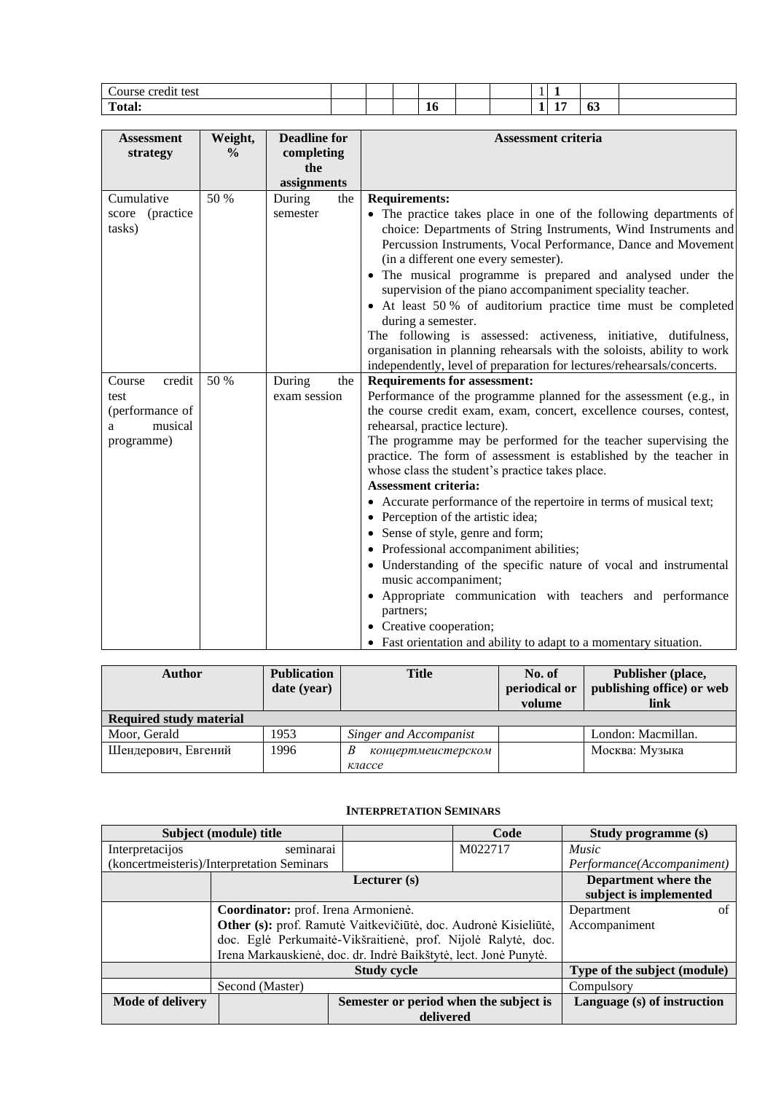| Course credit test |  |    |  |        |   |    |  |
|--------------------|--|----|--|--------|---|----|--|
| Total.             |  | 10 |  | $\sim$ | - | vv |  |

| <b>Assessment</b><br>strategy                                             | Weight,<br>$\frac{0}{0}$ | <b>Deadline for</b><br>completing<br>the | <b>Assessment criteria</b>                                                                                                                                                                                                                                                                                                                                                                                                                                                                                                                                                                                                                                                                                                                                                                                                                                                                                |
|---------------------------------------------------------------------------|--------------------------|------------------------------------------|-----------------------------------------------------------------------------------------------------------------------------------------------------------------------------------------------------------------------------------------------------------------------------------------------------------------------------------------------------------------------------------------------------------------------------------------------------------------------------------------------------------------------------------------------------------------------------------------------------------------------------------------------------------------------------------------------------------------------------------------------------------------------------------------------------------------------------------------------------------------------------------------------------------|
|                                                                           |                          | assignments                              |                                                                                                                                                                                                                                                                                                                                                                                                                                                                                                                                                                                                                                                                                                                                                                                                                                                                                                           |
| Cumulative<br>score (practice<br>tasks)                                   | 50 %                     | During<br>the<br>semester                | <b>Requirements:</b><br>• The practice takes place in one of the following departments of<br>choice: Departments of String Instruments, Wind Instruments and<br>Percussion Instruments, Vocal Performance, Dance and Movement<br>(in a different one every semester).<br>• The musical programme is prepared and analysed under the<br>supervision of the piano accompaniment speciality teacher.<br>• At least 50 % of auditorium practice time must be completed<br>during a semester.<br>The following is assessed: activeness, initiative, dutifulness,<br>organisation in planning rehearsals with the soloists, ability to work<br>independently, level of preparation for lectures/rehearsals/concerts.                                                                                                                                                                                            |
| Course<br>credit<br>test<br>(performance of<br>musical<br>a<br>programme) | 50 %                     | During<br>the<br>exam session            | <b>Requirements for assessment:</b><br>Performance of the programme planned for the assessment (e.g., in<br>the course credit exam, exam, concert, excellence courses, contest,<br>rehearsal, practice lecture).<br>The programme may be performed for the teacher supervising the<br>practice. The form of assessment is established by the teacher in<br>whose class the student's practice takes place.<br><b>Assessment criteria:</b><br>• Accurate performance of the repertoire in terms of musical text;<br>• Perception of the artistic idea;<br>• Sense of style, genre and form;<br>• Professional accompaniment abilities;<br>• Understanding of the specific nature of vocal and instrumental<br>music accompaniment;<br>• Appropriate communication with teachers and performance<br>partners;<br>Creative cooperation;<br>• Fast orientation and ability to adapt to a momentary situation. |

| Author                         | <b>Publication</b><br><b>Title</b><br>date (year) |                        | No. of<br>periodical or<br>volume | Publisher (place,<br>publishing office) or web<br>link |
|--------------------------------|---------------------------------------------------|------------------------|-----------------------------------|--------------------------------------------------------|
| <b>Required study material</b> |                                                   |                        |                                   |                                                        |
| Moor, Gerald                   | 1953                                              | Singer and Accompanist |                                   | London: Macmillan.                                     |
| Шендерович, Евгений            | 1996                                              | концертмеистерском     |                                   | Москва: Музыка                                         |
|                                |                                                   | классе                 |                                   |                                                        |

## **INTERPRETATION SEMINARS**

<span id="page-7-0"></span>

|                  | Subject (module) title                                           |                                        | Code    | Study programme (s)         |  |
|------------------|------------------------------------------------------------------|----------------------------------------|---------|-----------------------------|--|
| Interpretacijos  | seminarai                                                        |                                        | M022717 | <i>Music</i>                |  |
|                  | (koncertmeisteris)/Interpretation Seminars                       |                                        |         | Performance(Accompaniment)  |  |
|                  |                                                                  | Lecturer $(s)$                         |         | Department where the        |  |
|                  | subject is implemented                                           |                                        |         |                             |  |
|                  | Coordinator: prof. Irena Armonienė.                              | Department                             | ΩŤ      |                             |  |
|                  | Other (s): prof. Ramutė Vaitkevičiūtė, doc. Audronė Kisieliūtė,  | Accompaniment                          |         |                             |  |
|                  | doc. Eglė Perkumaitė-Vikšraitienė, prof. Nijolė Ralytė, doc.     |                                        |         |                             |  |
|                  | Irena Markauskienė, doc. dr. Indrė Baikštytė, lect. Jonė Punytė. |                                        |         |                             |  |
|                  |                                                                  | Type of the subject (module)           |         |                             |  |
|                  | Second (Master)                                                  |                                        |         | Compulsory                  |  |
| Mode of delivery |                                                                  | Semester or period when the subject is |         | Language (s) of instruction |  |
|                  |                                                                  | delivered                              |         |                             |  |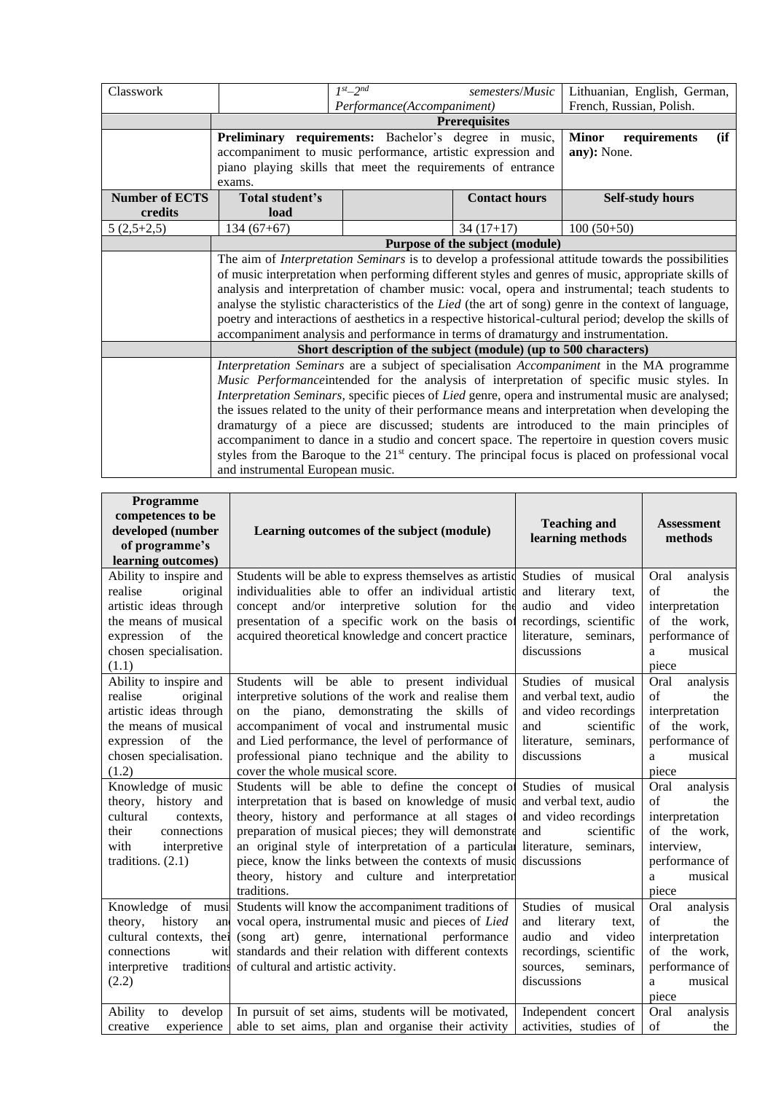|                                                                                                           |                                                                                        |                                                               | Lithuanian, English, German,                                                                                                                                                                                                                                                                                                                                                                                                                                                                                                                                                                                                                                                                                                                                                                                                                                                                                                                                                                                                                                                                                                                                                 |  |  |  |  |
|-----------------------------------------------------------------------------------------------------------|----------------------------------------------------------------------------------------|---------------------------------------------------------------|------------------------------------------------------------------------------------------------------------------------------------------------------------------------------------------------------------------------------------------------------------------------------------------------------------------------------------------------------------------------------------------------------------------------------------------------------------------------------------------------------------------------------------------------------------------------------------------------------------------------------------------------------------------------------------------------------------------------------------------------------------------------------------------------------------------------------------------------------------------------------------------------------------------------------------------------------------------------------------------------------------------------------------------------------------------------------------------------------------------------------------------------------------------------------|--|--|--|--|
|                                                                                                           |                                                                                        |                                                               | French, Russian, Polish.                                                                                                                                                                                                                                                                                                                                                                                                                                                                                                                                                                                                                                                                                                                                                                                                                                                                                                                                                                                                                                                                                                                                                     |  |  |  |  |
|                                                                                                           |                                                                                        |                                                               |                                                                                                                                                                                                                                                                                                                                                                                                                                                                                                                                                                                                                                                                                                                                                                                                                                                                                                                                                                                                                                                                                                                                                                              |  |  |  |  |
|                                                                                                           |                                                                                        |                                                               |                                                                                                                                                                                                                                                                                                                                                                                                                                                                                                                                                                                                                                                                                                                                                                                                                                                                                                                                                                                                                                                                                                                                                                              |  |  |  |  |
|                                                                                                           |                                                                                        |                                                               | (ii)<br><b>Minor</b><br>requirements                                                                                                                                                                                                                                                                                                                                                                                                                                                                                                                                                                                                                                                                                                                                                                                                                                                                                                                                                                                                                                                                                                                                         |  |  |  |  |
|                                                                                                           |                                                                                        |                                                               | any): None.                                                                                                                                                                                                                                                                                                                                                                                                                                                                                                                                                                                                                                                                                                                                                                                                                                                                                                                                                                                                                                                                                                                                                                  |  |  |  |  |
|                                                                                                           |                                                                                        |                                                               |                                                                                                                                                                                                                                                                                                                                                                                                                                                                                                                                                                                                                                                                                                                                                                                                                                                                                                                                                                                                                                                                                                                                                                              |  |  |  |  |
| exams.                                                                                                    |                                                                                        |                                                               |                                                                                                                                                                                                                                                                                                                                                                                                                                                                                                                                                                                                                                                                                                                                                                                                                                                                                                                                                                                                                                                                                                                                                                              |  |  |  |  |
| Total student's                                                                                           |                                                                                        | <b>Contact hours</b>                                          | <b>Self-study hours</b>                                                                                                                                                                                                                                                                                                                                                                                                                                                                                                                                                                                                                                                                                                                                                                                                                                                                                                                                                                                                                                                                                                                                                      |  |  |  |  |
| load                                                                                                      |                                                                                        |                                                               |                                                                                                                                                                                                                                                                                                                                                                                                                                                                                                                                                                                                                                                                                                                                                                                                                                                                                                                                                                                                                                                                                                                                                                              |  |  |  |  |
| $134(67+67)$                                                                                              |                                                                                        | $34(17+17)$                                                   | $100(50+50)$                                                                                                                                                                                                                                                                                                                                                                                                                                                                                                                                                                                                                                                                                                                                                                                                                                                                                                                                                                                                                                                                                                                                                                 |  |  |  |  |
| Purpose of the subject (module)                                                                           |                                                                                        |                                                               |                                                                                                                                                                                                                                                                                                                                                                                                                                                                                                                                                                                                                                                                                                                                                                                                                                                                                                                                                                                                                                                                                                                                                                              |  |  |  |  |
| The aim of <i>Interpretation Seminars</i> is to develop a professional attitude towards the possibilities |                                                                                        |                                                               |                                                                                                                                                                                                                                                                                                                                                                                                                                                                                                                                                                                                                                                                                                                                                                                                                                                                                                                                                                                                                                                                                                                                                                              |  |  |  |  |
| of music interpretation when performing different styles and genres of music, appropriate skills of       |                                                                                        |                                                               |                                                                                                                                                                                                                                                                                                                                                                                                                                                                                                                                                                                                                                                                                                                                                                                                                                                                                                                                                                                                                                                                                                                                                                              |  |  |  |  |
|                                                                                                           |                                                                                        |                                                               |                                                                                                                                                                                                                                                                                                                                                                                                                                                                                                                                                                                                                                                                                                                                                                                                                                                                                                                                                                                                                                                                                                                                                                              |  |  |  |  |
| analyse the stylistic characteristics of the Lied (the art of song) genre in the context of language,     |                                                                                        |                                                               |                                                                                                                                                                                                                                                                                                                                                                                                                                                                                                                                                                                                                                                                                                                                                                                                                                                                                                                                                                                                                                                                                                                                                                              |  |  |  |  |
|                                                                                                           |                                                                                        |                                                               |                                                                                                                                                                                                                                                                                                                                                                                                                                                                                                                                                                                                                                                                                                                                                                                                                                                                                                                                                                                                                                                                                                                                                                              |  |  |  |  |
|                                                                                                           |                                                                                        |                                                               |                                                                                                                                                                                                                                                                                                                                                                                                                                                                                                                                                                                                                                                                                                                                                                                                                                                                                                                                                                                                                                                                                                                                                                              |  |  |  |  |
| Short description of the subject (module) (up to 500 characters)                                          |                                                                                        |                                                               |                                                                                                                                                                                                                                                                                                                                                                                                                                                                                                                                                                                                                                                                                                                                                                                                                                                                                                                                                                                                                                                                                                                                                                              |  |  |  |  |
|                                                                                                           |                                                                                        |                                                               |                                                                                                                                                                                                                                                                                                                                                                                                                                                                                                                                                                                                                                                                                                                                                                                                                                                                                                                                                                                                                                                                                                                                                                              |  |  |  |  |
|                                                                                                           |                                                                                        |                                                               |                                                                                                                                                                                                                                                                                                                                                                                                                                                                                                                                                                                                                                                                                                                                                                                                                                                                                                                                                                                                                                                                                                                                                                              |  |  |  |  |
|                                                                                                           |                                                                                        |                                                               |                                                                                                                                                                                                                                                                                                                                                                                                                                                                                                                                                                                                                                                                                                                                                                                                                                                                                                                                                                                                                                                                                                                                                                              |  |  |  |  |
|                                                                                                           |                                                                                        |                                                               |                                                                                                                                                                                                                                                                                                                                                                                                                                                                                                                                                                                                                                                                                                                                                                                                                                                                                                                                                                                                                                                                                                                                                                              |  |  |  |  |
|                                                                                                           | dramaturgy of a piece are discussed; students are introduced to the main principles of |                                                               |                                                                                                                                                                                                                                                                                                                                                                                                                                                                                                                                                                                                                                                                                                                                                                                                                                                                                                                                                                                                                                                                                                                                                                              |  |  |  |  |
|                                                                                                           |                                                                                        |                                                               |                                                                                                                                                                                                                                                                                                                                                                                                                                                                                                                                                                                                                                                                                                                                                                                                                                                                                                                                                                                                                                                                                                                                                                              |  |  |  |  |
|                                                                                                           |                                                                                        |                                                               |                                                                                                                                                                                                                                                                                                                                                                                                                                                                                                                                                                                                                                                                                                                                                                                                                                                                                                                                                                                                                                                                                                                                                                              |  |  |  |  |
|                                                                                                           |                                                                                        |                                                               |                                                                                                                                                                                                                                                                                                                                                                                                                                                                                                                                                                                                                                                                                                                                                                                                                                                                                                                                                                                                                                                                                                                                                                              |  |  |  |  |
|                                                                                                           |                                                                                        | $1^{st}$ -2 <sup>nd</sup><br>and instrumental European music. | semesters/Music<br>Performance(Accompaniment)<br><b>Prerequisites</b><br>Preliminary requirements: Bachelor's degree in music,<br>accompaniment to music performance, artistic expression and<br>piano playing skills that meet the requirements of entrance<br>analysis and interpretation of chamber music: vocal, opera and instrumental; teach students to<br>poetry and interactions of aesthetics in a respective historical-cultural period; develop the skills of<br>accompaniment analysis and performance in terms of dramaturgy and instrumentation.<br>Interpretation Seminars are a subject of specialisation Accompaniment in the MA programme<br>Music Performance intended for the analysis of interpretation of specific music styles. In<br>Interpretation Seminars, specific pieces of Lied genre, opera and instrumental music are analysed;<br>the issues related to the unity of their performance means and interpretation when developing the<br>accompaniment to dance in a studio and concert space. The repertoire in question covers music<br>styles from the Baroque to the $21st$ century. The principal focus is placed on professional vocal |  |  |  |  |

| <b>Programme</b><br>competences to be<br>developed (number<br>of programme's<br>learning outcomes)                                                            | Learning outcomes of the subject (module)                                                                                                                                                                                                                                                                                                                                                                                                                             | <b>Teaching and</b><br>learning methods                                                                                                   | <b>Assessment</b><br>methods                                                                                             |
|---------------------------------------------------------------------------------------------------------------------------------------------------------------|-----------------------------------------------------------------------------------------------------------------------------------------------------------------------------------------------------------------------------------------------------------------------------------------------------------------------------------------------------------------------------------------------------------------------------------------------------------------------|-------------------------------------------------------------------------------------------------------------------------------------------|--------------------------------------------------------------------------------------------------------------------------|
| Ability to inspire and<br>original<br>realise<br>artistic ideas through<br>the means of musical<br>expression<br>of<br>the<br>chosen specialisation.<br>(1.1) | Students will be able to express themselves as artistic Studies of musical<br>individualities able to offer an individual artistic and<br>concept and/or interpretive solution for the audio<br>presentation of a specific work on the basis of<br>acquired theoretical knowledge and concert practice                                                                                                                                                                | literary<br>text.<br>and<br>video<br>recordings, scientific<br>literature,<br>seminars,<br>discussions                                    | Oral<br>analysis<br>of<br>the<br>interpretation<br>of the work,<br>performance of<br>musical<br>a<br>piece               |
| Ability to inspire and<br>realise<br>original<br>artistic ideas through<br>the means of musical<br>expression<br>of<br>the<br>chosen specialisation.<br>(1.2) | Students will be able to present individual<br>interpretive solutions of the work and realise them<br>on the piano, demonstrating the<br>skills<br>- of<br>accompaniment of vocal and instrumental music<br>and Lied performance, the level of performance of<br>professional piano technique and the ability to<br>cover the whole musical score.                                                                                                                    | Studies of musical<br>and verbal text, audio<br>and video recordings<br>scientific<br>and<br>literature,<br>seminars,<br>discussions      | Oral<br>analysis<br>$\sigma$ f<br>the<br>interpretation<br>of the work,<br>performance of<br>musical<br>a<br>piece       |
| Knowledge of music<br>theory, history and<br>cultural<br>contexts.<br>their<br>connections<br>with<br>interpretive<br>traditions. $(2.1)$                     | Students will be able to define the concept of Studies of musical<br>interpretation that is based on knowledge of music and verbal text, audio<br>theory, history and performance at all stages of<br>preparation of musical pieces; they will demonstrate and<br>an original style of interpretation of a particular literature,<br>piece, know the links between the contexts of music discussions<br>theory, history and culture and interpretation<br>traditions. | and video recordings<br>scientific<br>seminars,                                                                                           | Oral<br>analysis<br>of<br>the<br>interpretation<br>of the work,<br>interview,<br>performance of<br>musical<br>a<br>piece |
| Knowledge of musi<br>theory,<br>history<br>and<br>cultural contexts, thei<br>connections<br>wit<br>interpretive<br>(2.2)                                      | Students will know the accompaniment traditions of<br>vocal opera, instrumental music and pieces of Lied<br>(song art) genre, international performance<br>standards and their relation with different contexts<br>traditions of cultural and artistic activity.                                                                                                                                                                                                      | Studies of musical<br>and<br>literary<br>text.<br>video<br>audio<br>and<br>recordings, scientific<br>seminars,<br>sources.<br>discussions | Oral<br>analysis<br>of<br>the<br>interpretation<br>of the work,<br>performance of<br>musical<br>a<br>piece               |
| Ability<br>to develop<br>creative<br>experience                                                                                                               | In pursuit of set aims, students will be motivated,<br>able to set aims, plan and organise their activity                                                                                                                                                                                                                                                                                                                                                             | Independent concert<br>activities, studies of                                                                                             | Oral<br>analysis<br>of<br>the                                                                                            |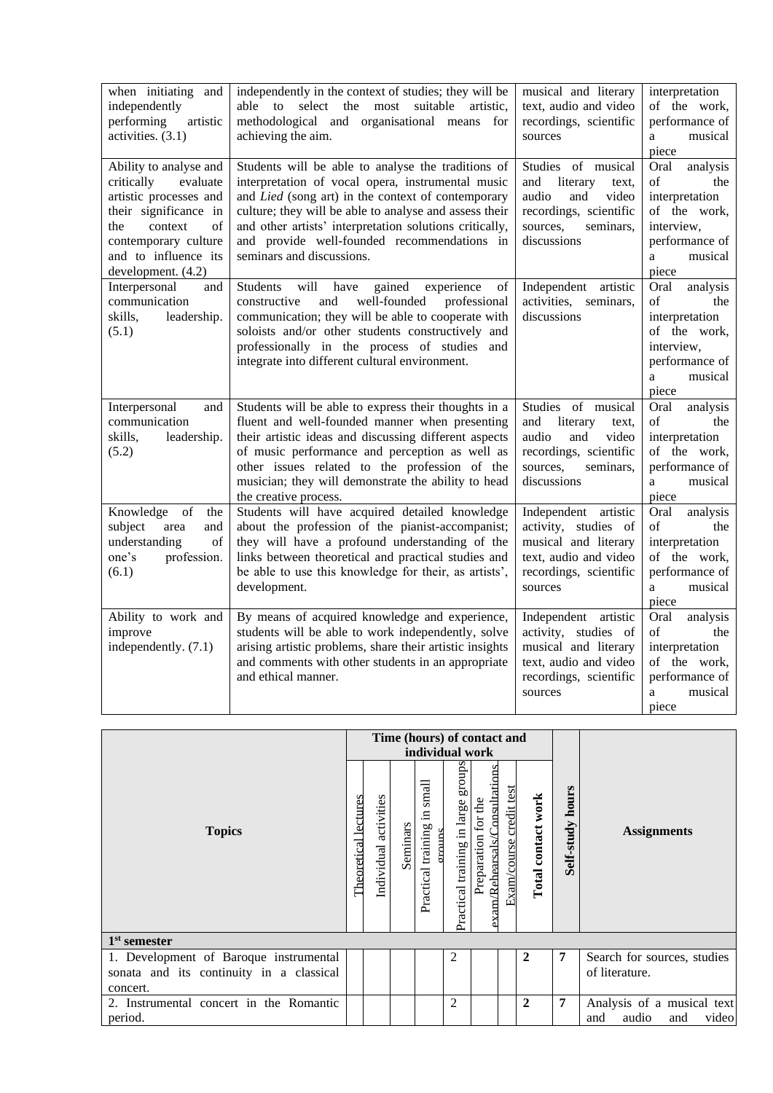| when initiating and<br>independently<br>performing<br>artistic<br>activities. (3.1)                                                                                                               | independently in the context of studies; they will be<br>select the most<br>suitable<br>able<br>$\mathbf{t}$<br>artistic.<br>methodological and organisational means for<br>achieving the aim.                                                                                                                                                                 | musical and literary<br>text, audio and video<br>recordings, scientific<br>sources                                                        | interpretation<br>of the work,<br>performance of<br>musical<br>a<br>piece                                                |
|---------------------------------------------------------------------------------------------------------------------------------------------------------------------------------------------------|----------------------------------------------------------------------------------------------------------------------------------------------------------------------------------------------------------------------------------------------------------------------------------------------------------------------------------------------------------------|-------------------------------------------------------------------------------------------------------------------------------------------|--------------------------------------------------------------------------------------------------------------------------|
| Ability to analyse and<br>critically<br>evaluate<br>artistic processes and<br>their significance in<br>the<br>context<br>of<br>contemporary culture<br>and to influence its<br>development. (4.2) | Students will be able to analyse the traditions of<br>interpretation of vocal opera, instrumental music<br>and Lied (song art) in the context of contemporary<br>culture; they will be able to analyse and assess their<br>and other artists' interpretation solutions critically,<br>and provide well-founded recommendations in<br>seminars and discussions. | Studies of musical<br>and<br>literary<br>text.<br>audio<br>and<br>video<br>recordings, scientific<br>sources,<br>seminars,<br>discussions | Oral<br>analysis<br>of<br>the<br>interpretation<br>of the work,<br>interview,<br>performance of<br>musical<br>a<br>piece |
| Interpersonal<br>and<br>communication<br>skills,<br>leadership.<br>(5.1)                                                                                                                          | will<br>gained<br><b>Students</b><br>have<br>experience<br>of<br>constructive<br>and<br>well-founded<br>professional<br>communication; they will be able to cooperate with<br>soloists and/or other students constructively and<br>professionally in the process of studies and<br>integrate into different cultural environment.                              | Independent<br>artistic<br>activities,<br>seminars,<br>discussions                                                                        | Oral<br>analysis<br>of<br>the<br>interpretation<br>of the work.<br>interview,<br>performance of<br>musical<br>a<br>piece |
| Interpersonal<br>and<br>communication<br>skills,<br>leadership.<br>(5.2)                                                                                                                          | Students will be able to express their thoughts in a<br>fluent and well-founded manner when presenting<br>their artistic ideas and discussing different aspects<br>of music performance and perception as well as<br>other issues related to the profession of the<br>musician; they will demonstrate the ability to head<br>the creative process.             | Studies of musical<br>and<br>literary<br>text,<br>audio<br>and<br>video<br>recordings, scientific<br>sources,<br>seminars,<br>discussions | Oral<br>analysis<br>of<br>the<br>interpretation<br>of the work,<br>performance of<br>musical<br>a<br>piece               |
| Knowledge<br>of<br>the<br>subject<br>area<br>and<br>understanding<br>of<br>profession.<br>one's<br>(6.1)                                                                                          | Students will have acquired detailed knowledge<br>about the profession of the pianist-accompanist;<br>they will have a profound understanding of the<br>links between theoretical and practical studies and<br>be able to use this knowledge for their, as artists',<br>development.                                                                           | Independent artistic<br>activity, studies of<br>musical and literary<br>text, audio and video<br>recordings, scientific<br>sources        | Oral<br>analysis<br>of<br>the<br>interpretation<br>of the work,<br>performance of<br>musical<br>a<br>piece               |
| Ability to work and<br>improve<br>independently. (7.1)                                                                                                                                            | By means of acquired knowledge and experience,<br>students will be able to work independently, solve<br>arising artistic problems, share their artistic insights<br>and comments with other students in an appropriate<br>and ethical manner.                                                                                                                  | Independent artistic<br>activity, studies of<br>musical and literary<br>text, audio and video<br>recordings, scientific<br>sources        | Oral<br>analysis<br>of<br>the<br>interpretation<br>of the work,<br>performance of<br>musical<br>a<br>piece               |

|                                                    |  |                          |          | Time (hours) of contact and<br>individual work |                                       |                                                     |                         |                    |                     |                                                            |
|----------------------------------------------------|--|--------------------------|----------|------------------------------------------------|---------------------------------------|-----------------------------------------------------|-------------------------|--------------------|---------------------|------------------------------------------------------------|
| <b>Topics</b>                                      |  | activities<br>Individual | Seminars | small<br>$\Xi$<br>Practical training<br>manns  | groups<br>Practical training in large | exam/Rehearsals/Consultation<br>Preparation for the | Exam/course credit test | Total contact work | hours<br>Self-study | <b>Assignments</b>                                         |
| $1st$ semester                                     |  |                          |          |                                                |                                       |                                                     |                         |                    |                     |                                                            |
| 1. Development of Baroque instrumental             |  |                          |          |                                                | $\overline{2}$                        |                                                     |                         | $\mathbf{2}$       | 7                   | Search for sources, studies                                |
| sonata and its continuity in a classical           |  |                          |          |                                                |                                       |                                                     |                         |                    |                     | of literature.                                             |
| concert.                                           |  |                          |          |                                                |                                       |                                                     |                         |                    |                     |                                                            |
| 2. Instrumental concert in the Romantic<br>period. |  |                          |          |                                                | $\overline{c}$                        |                                                     |                         | $\mathbf{2}$       | 7                   | Analysis of a musical text<br>audio<br>video<br>and<br>and |
|                                                    |  |                          |          |                                                |                                       |                                                     |                         |                    |                     |                                                            |

п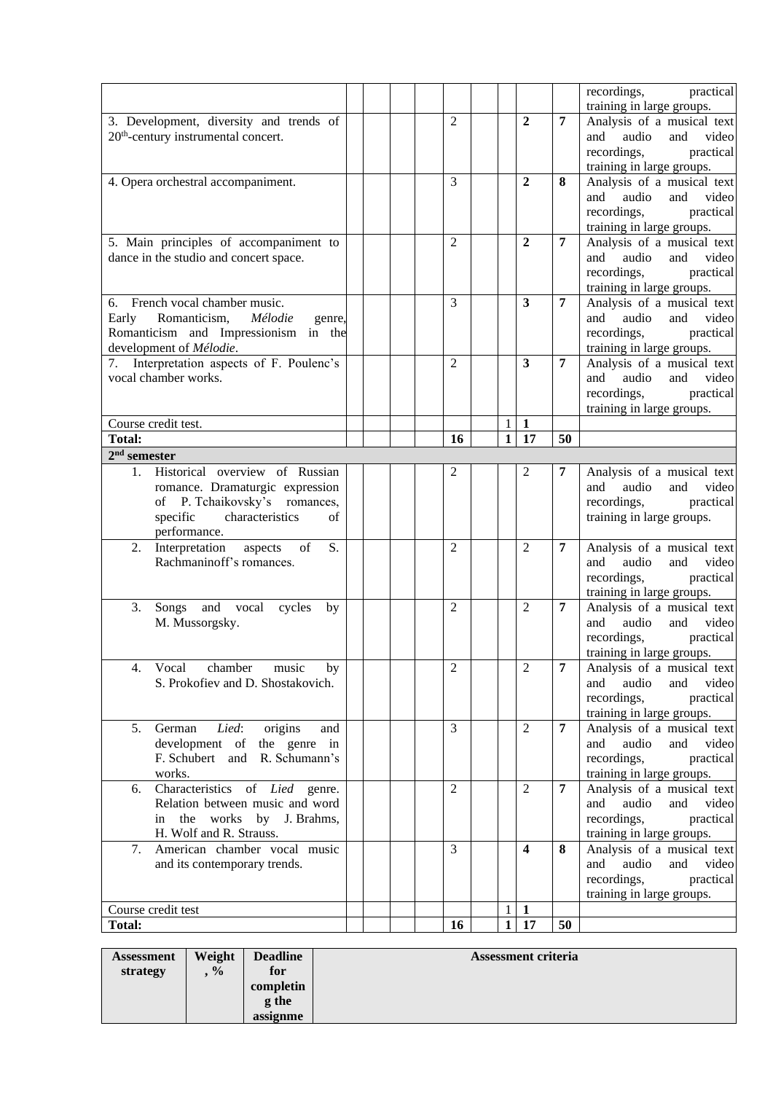|                                                                   |                |                                         |                | recordings,<br>practical                                   |
|-------------------------------------------------------------------|----------------|-----------------------------------------|----------------|------------------------------------------------------------|
|                                                                   |                |                                         |                | training in large groups.                                  |
| 3. Development, diversity and trends of                           | $\overline{2}$ | $\overline{2}$                          | $\overline{7}$ | Analysis of a musical text                                 |
| 20 <sup>th</sup> -century instrumental concert.                   |                |                                         |                | and<br>audio<br>and<br>video<br>recordings,<br>practical   |
|                                                                   |                |                                         |                | training in large groups.                                  |
| 4. Opera orchestral accompaniment.                                | 3              | $\overline{2}$                          | 8              | Analysis of a musical text                                 |
|                                                                   |                |                                         |                | and<br>audio<br>and<br>video                               |
|                                                                   |                |                                         |                | recordings,<br>practical                                   |
|                                                                   |                |                                         |                | training in large groups.                                  |
| 5. Main principles of accompaniment to                            | $\overline{2}$ | $\overline{2}$                          | $\overline{7}$ | Analysis of a musical text                                 |
| dance in the studio and concert space.                            |                |                                         |                | and<br>audio<br>and<br>video                               |
|                                                                   |                |                                         |                | recordings,<br>practical                                   |
|                                                                   |                |                                         |                | training in large groups.                                  |
| 6. French vocal chamber music.                                    | 3              | 3                                       | 7              | Analysis of a musical text                                 |
| Romanticism,<br>Mélodie<br>Early<br>genre,                        |                |                                         |                | video<br>and<br>audio<br>and                               |
| Romanticism and Impressionism in the<br>development of Mélodie.   |                |                                         |                | recordings,<br>practical<br>training in large groups.      |
| Interpretation aspects of F. Poulenc's                            | $\overline{2}$ | 3                                       | $\overline{7}$ | Analysis of a musical text                                 |
| vocal chamber works.                                              |                |                                         |                | video<br>and<br>audio<br>and                               |
|                                                                   |                |                                         |                | recordings,<br>practical                                   |
|                                                                   |                |                                         |                | training in large groups.                                  |
| Course credit test.                                               |                | $\mathbf{1}$<br>$\mathbf{1}$            |                |                                                            |
| <b>Total:</b>                                                     | 16             | 17<br>$\mathbf{1}$                      | 50             |                                                            |
| $2nd$ semester                                                    |                |                                         |                |                                                            |
| Historical overview of Russian<br>1.                              | 2              | 2                                       | 7              | Analysis of a musical text                                 |
| romance. Dramaturgic expression                                   |                |                                         |                | audio<br>and<br>video<br>and                               |
| of P. Tchaikovsky's romances,                                     |                |                                         |                | recordings,<br>practical                                   |
| specific<br>characteristics<br>of                                 |                |                                         |                | training in large groups.                                  |
| performance.<br>of<br>Interpretation aspects<br>S.<br>2.          | $\overline{2}$ | $\overline{2}$                          | $\overline{7}$ | Analysis of a musical text                                 |
| Rachmaninoff's romances.                                          |                |                                         |                | and<br>and<br>audio<br>video                               |
|                                                                   |                |                                         |                | recordings,<br>practical                                   |
|                                                                   |                |                                         |                | training in large groups.                                  |
| 3.<br>Songs and vocal cycles<br>by                                | $\overline{2}$ | $\overline{2}$                          | $\overline{7}$ | Analysis of a musical text                                 |
| M. Mussorgsky.                                                    |                |                                         |                | audio<br>and<br>video<br>and                               |
|                                                                   |                |                                         |                | recordings,<br>practical                                   |
|                                                                   |                |                                         |                | training in large groups.                                  |
| 4.<br>Vocal<br>chamber<br>music<br>by                             | 2              | 2                                       | 7              | Analysis of a musical text                                 |
| S. Prokofiev and D. Shostakovich.                                 |                |                                         |                | video<br>audio<br>and<br>and                               |
|                                                                   |                |                                         |                | recordings,<br>practical                                   |
| German<br>Lied:<br>5.<br>and                                      | 3              | $\overline{2}$                          | 7              | training in large groups.<br>Analysis of a musical text    |
| origins<br>development of the genre in                            |                |                                         |                | audio<br>and<br>and<br>video                               |
| F. Schubert and R. Schumann's                                     |                |                                         |                | recordings,<br>practical                                   |
| works.                                                            |                |                                         |                |                                                            |
|                                                                   |                |                                         |                |                                                            |
| 6.                                                                | 2              | $\overline{2}$                          | 7              | training in large groups.                                  |
| Characteristics of Lied genre.<br>Relation between music and word |                |                                         |                | Analysis of a musical text<br>and<br>audio<br>and<br>video |
| the works by J. Brahms,<br>in                                     |                |                                         |                | recordings,<br>practical                                   |
| H. Wolf and R. Strauss.                                           |                |                                         |                | training in large groups.                                  |
| 7.<br>American chamber vocal music                                | 3              | $\overline{\mathbf{4}}$                 | 8              | Analysis of a musical text                                 |
| and its contemporary trends.                                      |                |                                         |                | and<br>audio<br>and<br>video                               |
|                                                                   |                |                                         |                | recordings,<br>practical                                   |
|                                                                   |                |                                         |                | training in large groups.                                  |
| Course credit test<br><b>Total:</b>                               | 16             | $\mathbf{1}$<br>1<br>17<br>$\mathbf{1}$ | 50             |                                                            |

| <b>Assessment</b> | Weight        | <b>Deadline</b> | Assessment criteria |
|-------------------|---------------|-----------------|---------------------|
| strategy          | $\frac{0}{0}$ | for             |                     |
|                   |               | completin       |                     |
|                   |               | <b>g</b> the    |                     |
|                   |               | assignme        |                     |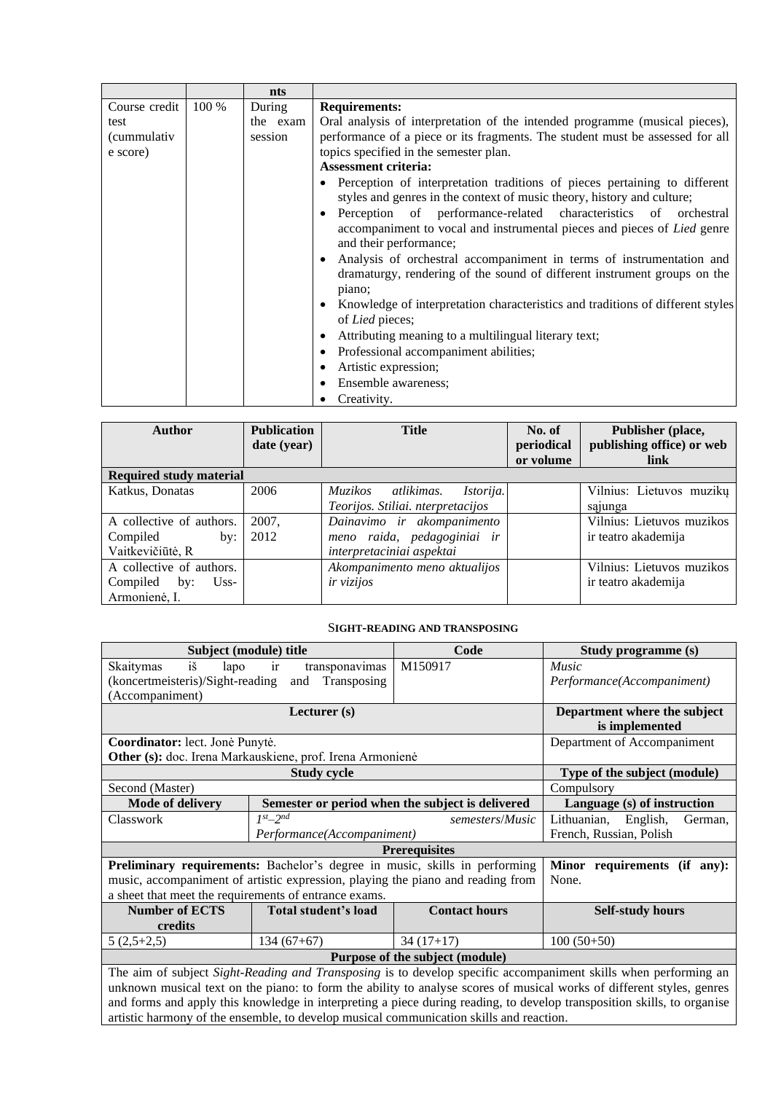|               |       | nts      |                                                                                                                                                                      |
|---------------|-------|----------|----------------------------------------------------------------------------------------------------------------------------------------------------------------------|
| Course credit | 100 % | During   | <b>Requirements:</b>                                                                                                                                                 |
| test          |       | the exam | Oral analysis of interpretation of the intended programme (musical pieces),                                                                                          |
| (cummulativ   |       | session  | performance of a piece or its fragments. The student must be assessed for all                                                                                        |
| e score)      |       |          | topics specified in the semester plan.                                                                                                                               |
|               |       |          | <b>Assessment criteria:</b>                                                                                                                                          |
|               |       |          | Perception of interpretation traditions of pieces pertaining to different<br>styles and genres in the context of music theory, history and culture;                  |
|               |       |          | Perception of performance-related characteristics of orchestral<br>accompaniment to vocal and instrumental pieces and pieces of Lied genre<br>and their performance; |
|               |       |          | Analysis of orchestral accompaniment in terms of instrumentation and<br>dramaturgy, rendering of the sound of different instrument groups on the<br>piano;           |
|               |       |          | Knowledge of interpretation characteristics and traditions of different styles<br>of Lied pieces;                                                                    |
|               |       |          | Attributing meaning to a multilingual literary text;                                                                                                                 |
|               |       |          | Professional accompaniment abilities;                                                                                                                                |
|               |       |          | Artistic expression;                                                                                                                                                 |
|               |       |          | Ensemble awareness;                                                                                                                                                  |
|               |       |          | Creativity.                                                                                                                                                          |

| Author                         | <b>Publication</b><br>date (year) | <b>Title</b>                      | No. of<br>periodical | Publisher (place,<br>publishing office) or web |
|--------------------------------|-----------------------------------|-----------------------------------|----------------------|------------------------------------------------|
|                                |                                   |                                   | or volume            | link                                           |
| <b>Required study material</b> |                                   |                                   |                      |                                                |
| Katkus, Donatas                | 2006                              | Istorija.<br>Muzikos atlikimas.   |                      | Vilnius: Lietuvos muzikų                       |
|                                |                                   | Teorijos. Stiliai. nterpretacijos |                      | sąjunga                                        |
| A collective of authors.       | 2007,                             | Dainavimo ir akompanimento        |                      | Vilnius: Lietuvos muzikos                      |
| Compiled<br>by:                | 2012                              | meno raida, pedagoginiai ir       |                      | ir teatro akademija                            |
| Vaitkevičiūtė, R               |                                   | interpretaciniai aspektai         |                      |                                                |
| A collective of authors.       |                                   | Akompanimento meno aktualijos     |                      | Vilnius: Lietuvos muzikos                      |
| Compiled<br>$Uss-$<br>by:      |                                   | ir vizijos                        |                      | ir teatro akademija                            |
| Armonienė, I.                  |                                   |                                   |                      |                                                |

#### S**IGHT-READING AND TRANSPOSING**

<span id="page-11-0"></span>

| Subject (module) title                                                                                          |                                                                            | Code                                                                            | Study programme (s)                |  |  |  |  |
|-----------------------------------------------------------------------------------------------------------------|----------------------------------------------------------------------------|---------------------------------------------------------------------------------|------------------------------------|--|--|--|--|
| $i\check{s}$<br>Skaitymas<br>lapo                                                                               | transponavimas<br><sub>1</sub> r                                           | Music                                                                           |                                    |  |  |  |  |
| (koncertmeisteris)/Sight-reading                                                                                | and Transposing                                                            |                                                                                 | Performance(Accompaniment)         |  |  |  |  |
| (Accompaniment)                                                                                                 |                                                                            |                                                                                 |                                    |  |  |  |  |
|                                                                                                                 | Department where the subject                                               |                                                                                 |                                    |  |  |  |  |
|                                                                                                                 |                                                                            |                                                                                 | is implemented                     |  |  |  |  |
| Coordinator: lect. Jonė Punytė.                                                                                 | Department of Accompaniment                                                |                                                                                 |                                    |  |  |  |  |
| Other (s): doc. Irena Markauskiene, prof. Irena Armonienė                                                       |                                                                            |                                                                                 |                                    |  |  |  |  |
|                                                                                                                 | Type of the subject (module)                                               |                                                                                 |                                    |  |  |  |  |
| Second (Master)                                                                                                 | Compulsory                                                                 |                                                                                 |                                    |  |  |  |  |
| <b>Mode of delivery</b>                                                                                         |                                                                            | Semester or period when the subject is delivered                                | Language (s) of instruction        |  |  |  |  |
| Classwork                                                                                                       | $1^{st}$ - $2^{nd}$                                                        | semesters/Music                                                                 | Lithuanian,<br>English,<br>German, |  |  |  |  |
|                                                                                                                 | Performance(Accompaniment)                                                 |                                                                                 |                                    |  |  |  |  |
| <b>Prerequisites</b>                                                                                            |                                                                            |                                                                                 |                                    |  |  |  |  |
|                                                                                                                 | Preliminary requirements: Bachelor's degree in music, skills in performing | Minor requirements (if any):                                                    |                                    |  |  |  |  |
|                                                                                                                 |                                                                            | music, accompaniment of artistic expression, playing the piano and reading from | None.                              |  |  |  |  |
| a sheet that meet the requirements of entrance exams.                                                           |                                                                            |                                                                                 |                                    |  |  |  |  |
| <b>Number of ECTS</b>                                                                                           | Total student's load                                                       | <b>Contact hours</b>                                                            | <b>Self-study hours</b>            |  |  |  |  |
| credits                                                                                                         |                                                                            |                                                                                 |                                    |  |  |  |  |
| $5(2,5+2,5)$                                                                                                    | $134(67+67)$                                                               | $34(17+17)$                                                                     | $100(50+50)$                       |  |  |  |  |
|                                                                                                                 |                                                                            | Purpose of the subject (module)                                                 |                                    |  |  |  |  |
| The aim of subject Sight-Reading and Transposing is to develop specific accompaniment skills when performing an |                                                                            |                                                                                 |                                    |  |  |  |  |

unknown musical text on the piano: to form the ability to analyse scores of musical works of different styles, genres and forms and apply this knowledge in interpreting a piece during reading, to develop transposition skills, to organise artistic harmony of the ensemble, to develop musical communication skills and reaction.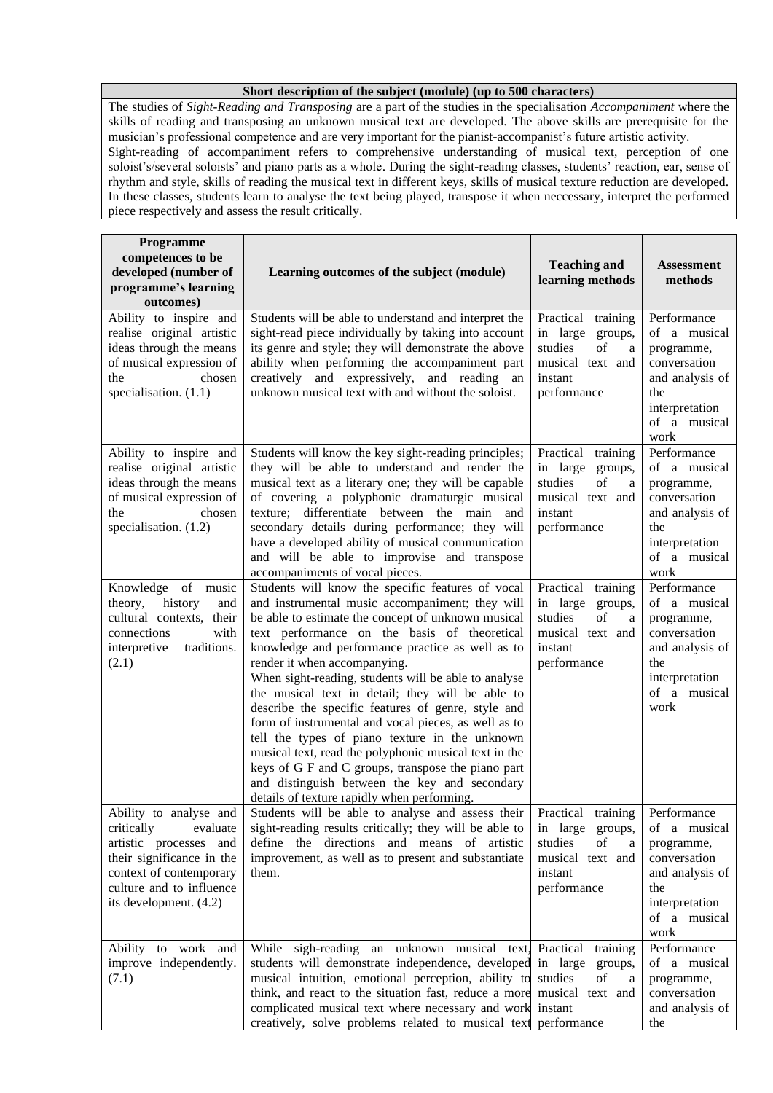#### **Short description of the subject (module) (up to 500 characters)**

The studies of *Sight-Reading and Transposing* are a part of the studies in the specialisation *Accompaniment* where the skills of reading and transposing an unknown musical text are developed. The above skills are prerequisite for the musician's professional competence and are very important for the pianist-accompanist's future artistic activity. Sight-reading of accompaniment refers to comprehensive understanding of musical text, perception of one soloist's/several soloists' and piano parts as a whole. During the sight-reading classes, students' reaction, ear, sense of rhythm and style, skills of reading the musical text in different keys, skills of musical texture reduction are developed. In these classes, students learn to analyse the text being played, transpose it when neccessary, interpret the performed piece respectively and assess the result critically.

| Programme<br>competences to be<br>developed (number of<br>programme's learning<br>outcomes)                                                                                              | Learning outcomes of the subject (module)                                                                                                                                                                                                                                                                                                                                                                                                                                                                                                                                                                                                                                                                                                                                                 | <b>Teaching and</b><br>learning methods                                                                          | <b>Assessment</b><br>methods                                                                                                  |
|------------------------------------------------------------------------------------------------------------------------------------------------------------------------------------------|-------------------------------------------------------------------------------------------------------------------------------------------------------------------------------------------------------------------------------------------------------------------------------------------------------------------------------------------------------------------------------------------------------------------------------------------------------------------------------------------------------------------------------------------------------------------------------------------------------------------------------------------------------------------------------------------------------------------------------------------------------------------------------------------|------------------------------------------------------------------------------------------------------------------|-------------------------------------------------------------------------------------------------------------------------------|
| Ability to inspire and<br>realise original artistic<br>ideas through the means<br>of musical expression of<br>the<br>chosen<br>specialisation. (1.1)                                     | Students will be able to understand and interpret the<br>sight-read piece individually by taking into account<br>its genre and style; they will demonstrate the above<br>ability when performing the accompaniment part<br>creatively and expressively, and reading an<br>unknown musical text with and without the soloist.                                                                                                                                                                                                                                                                                                                                                                                                                                                              | Practical training<br>in large groups,<br>of<br>studies<br>a<br>musical text and<br>instant<br>performance       | Performance<br>of a musical<br>programme,<br>conversation<br>and analysis of<br>the<br>interpretation<br>of a musical<br>work |
| Ability to inspire and<br>realise original artistic<br>ideas through the means<br>of musical expression of<br>the<br>chosen<br>specialisation. (1.2)                                     | Students will know the key sight-reading principles;<br>they will be able to understand and render the<br>musical text as a literary one; they will be capable<br>of covering a polyphonic dramaturgic musical<br>texture; differentiate between the main<br>and<br>secondary details during performance; they will<br>have a developed ability of musical communication<br>and will be able to improvise and transpose<br>accompaniments of vocal pieces.                                                                                                                                                                                                                                                                                                                                | Practical<br>training<br>in large<br>groups,<br>of<br>studies<br>a<br>musical text and<br>instant<br>performance | Performance<br>of a musical<br>programme,<br>conversation<br>and analysis of<br>the<br>interpretation<br>of a musical<br>work |
| Knowledge of music<br>history<br>theory,<br>and<br>cultural contexts, their<br>with<br>connections<br>interpretive<br>traditions.<br>(2.1)                                               | Students will know the specific features of vocal<br>and instrumental music accompaniment; they will<br>be able to estimate the concept of unknown musical<br>text performance on the basis of theoretical<br>knowledge and performance practice as well as to<br>render it when accompanying.<br>When sight-reading, students will be able to analyse<br>the musical text in detail; they will be able to<br>describe the specific features of genre, style and<br>form of instrumental and vocal pieces, as well as to<br>tell the types of piano texture in the unknown<br>musical text, read the polyphonic musical text in the<br>keys of G F and C groups, transpose the piano part<br>and distinguish between the key and secondary<br>details of texture rapidly when performing. | Practical training<br>in large<br>groups,<br>of<br>studies<br>a<br>musical text and<br>instant<br>performance    | Performance<br>of a musical<br>programme,<br>conversation<br>and analysis of<br>the<br>interpretation<br>of a musical<br>work |
| Ability to analyse and<br>critically<br>evaluate<br>artistic processes and<br>their significance in the<br>context of contemporary<br>culture and to influence<br>its development. (4.2) | Students will be able to analyse and assess their   Practical training  <br>sight-reading results critically; they will be able to<br>define the directions and means of artistic<br>improvement, as well as to present and substantiate<br>them.                                                                                                                                                                                                                                                                                                                                                                                                                                                                                                                                         | in large groups,<br>studies<br>of<br>a<br>musical text and<br>instant<br>performance                             | Performance<br>of a musical<br>programme,<br>conversation<br>and analysis of<br>the<br>interpretation<br>of a musical<br>work |
| Ability to work and<br>improve independently.<br>(7.1)                                                                                                                                   | While sigh-reading an unknown musical text, Practical training<br>students will demonstrate independence, developed in large groups,<br>musical intuition, emotional perception, ability to<br>think, and react to the situation fast, reduce a more musical text and<br>complicated musical text where necessary and work instant<br>creatively, solve problems related to musical text performance                                                                                                                                                                                                                                                                                                                                                                                      | studies<br>of<br>a                                                                                               | Performance<br>of a musical<br>programme,<br>conversation<br>and analysis of<br>the                                           |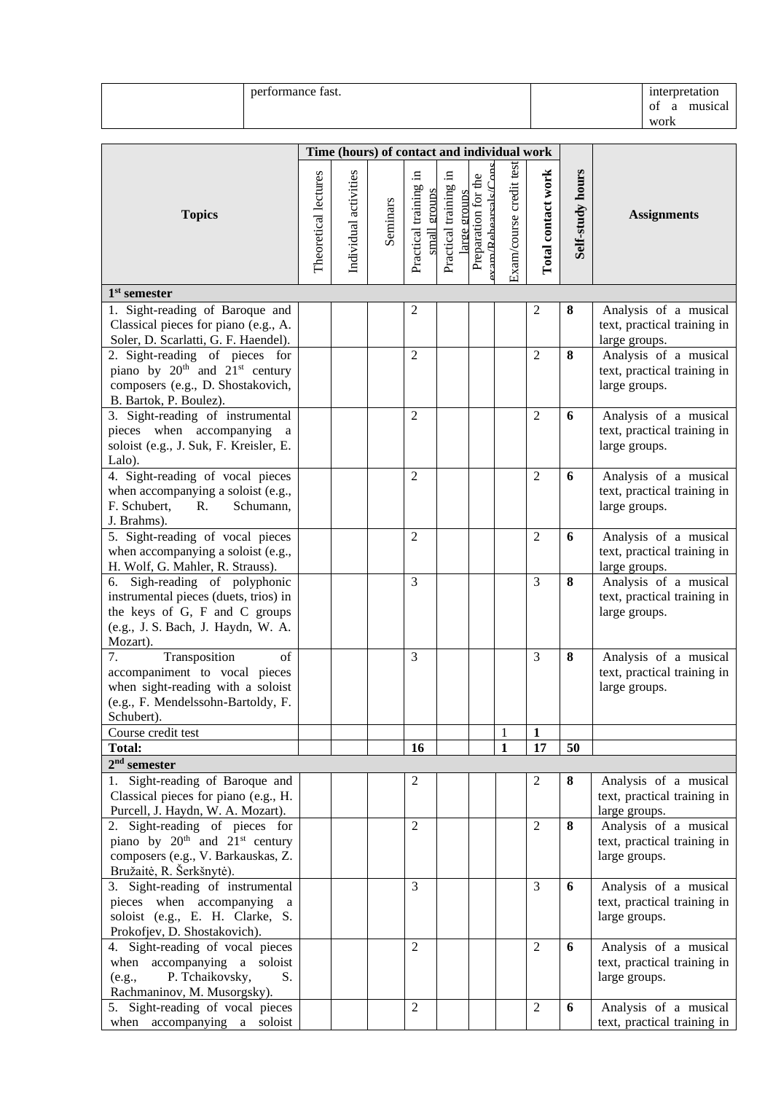| performance fast. | interpretation     |
|-------------------|--------------------|
|                   | musical<br>Оİ<br>я |
|                   | work               |

|                                                                                                                                                           |                      | Time (hours) of contact and individual work |          |                                       |                                      |                                                        |                         |                    |                  |                                                                       |
|-----------------------------------------------------------------------------------------------------------------------------------------------------------|----------------------|---------------------------------------------|----------|---------------------------------------|--------------------------------------|--------------------------------------------------------|-------------------------|--------------------|------------------|-----------------------------------------------------------------------|
| <b>Topics</b>                                                                                                                                             | Theoretical lectures | Individual activities                       | Seminars | Practical training in<br>small groups | Practical training in<br>arge groups | $\mathbf{x}$ am/Rehearcalc/Cons<br>Preparation for the | Exam/course credit test | Total contact work | Self-study hours | <b>Assignments</b>                                                    |
| $1st$ semester                                                                                                                                            |                      |                                             |          |                                       |                                      |                                                        |                         |                    |                  |                                                                       |
| 1. Sight-reading of Baroque and<br>Classical pieces for piano (e.g., A.<br>Soler, D. Scarlatti, G. F. Haendel).                                           |                      |                                             |          | 2                                     |                                      |                                                        |                         | 2                  | 8                | Analysis of a musical<br>text, practical training in<br>large groups. |
| 2. Sight-reading of pieces for<br>piano by $20^{th}$ and $21^{st}$ century<br>composers (e.g., D. Shostakovich,<br>B. Bartok, P. Boulez).                 |                      |                                             |          | $\overline{2}$                        |                                      |                                                        |                         | $\overline{2}$     | 8                | Analysis of a musical<br>text, practical training in<br>large groups. |
| 3. Sight-reading of instrumental<br>pieces when accompanying<br>a<br>soloist (e.g., J. Suk, F. Kreisler, E.<br>Lalo).                                     |                      |                                             |          | $\overline{2}$                        |                                      |                                                        |                         | $\overline{c}$     | 6                | Analysis of a musical<br>text, practical training in<br>large groups. |
| 4. Sight-reading of vocal pieces<br>when accompanying a soloist (e.g.,<br>F. Schubert,<br>Schumann,<br>R.<br>J. Brahms).                                  |                      |                                             |          | $\overline{2}$                        |                                      |                                                        |                         | $\overline{2}$     | 6                | Analysis of a musical<br>text, practical training in<br>large groups. |
| 5. Sight-reading of vocal pieces<br>when accompanying a soloist (e.g.,<br>H. Wolf, G. Mahler, R. Strauss).                                                |                      |                                             |          | 2                                     |                                      |                                                        |                         | 2                  | 6                | Analysis of a musical<br>text, practical training in<br>large groups. |
| 6. Sigh-reading of polyphonic<br>instrumental pieces (duets, trios) in<br>the keys of G, F and C groups<br>(e.g., J. S. Bach, J. Haydn, W. A.<br>Mozart). |                      |                                             |          | 3                                     |                                      |                                                        |                         | 3                  | 8                | Analysis of a musical<br>text, practical training in<br>large groups. |
| Transposition<br>7.<br>of<br>accompaniment to vocal pieces<br>when sight-reading with a soloist<br>(e.g., F. Mendelssohn-Bartoldy, F.<br>Schubert).       |                      |                                             |          | 3                                     |                                      |                                                        |                         | 3                  | 8                | Analysis of a musical<br>text, practical training in<br>large groups. |
| Course credit test                                                                                                                                        |                      |                                             |          |                                       |                                      |                                                        | 1                       | $\mathbf{1}$       |                  |                                                                       |
| <b>Total:</b>                                                                                                                                             |                      |                                             |          | 16                                    |                                      |                                                        | $\mathbf{1}$            | 17                 | 50               |                                                                       |
| $2nd$ semester<br>1. Sight-reading of Baroque and<br>Classical pieces for piano (e.g., H.<br>Purcell, J. Haydn, W. A. Mozart).                            |                      |                                             |          | 2                                     |                                      |                                                        |                         | 2                  | 8                | Analysis of a musical<br>text, practical training in<br>large groups. |
| 2. Sight-reading of pieces for<br>piano by $20th$ and $21st$ century<br>composers (e.g., V. Barkauskas, Z.<br>Bružaitė, R. Šerkšnytė).                    |                      |                                             |          | $\overline{2}$                        |                                      |                                                        |                         | $\overline{2}$     | 8                | Analysis of a musical<br>text, practical training in<br>large groups. |
| 3. Sight-reading of instrumental<br>pieces when accompanying<br>a<br>soloist (e.g., E. H. Clarke, S.<br>Prokofjev, D. Shostakovich).                      |                      |                                             |          | 3                                     |                                      |                                                        |                         | 3                  | 6                | Analysis of a musical<br>text, practical training in<br>large groups. |
| 4. Sight-reading of vocal pieces<br>accompanying a soloist<br>when<br>P. Tchaikovsky,<br>S.<br>(e.g.,<br>Rachmaninov, M. Musorgsky).                      |                      |                                             |          | $\overline{2}$                        |                                      |                                                        |                         | $\overline{2}$     | 6                | Analysis of a musical<br>text, practical training in<br>large groups. |
| 5. Sight-reading of vocal pieces<br>when accompanying a soloist                                                                                           |                      |                                             |          | $\overline{2}$                        |                                      |                                                        |                         | $\overline{c}$     | 6                | Analysis of a musical<br>text, practical training in                  |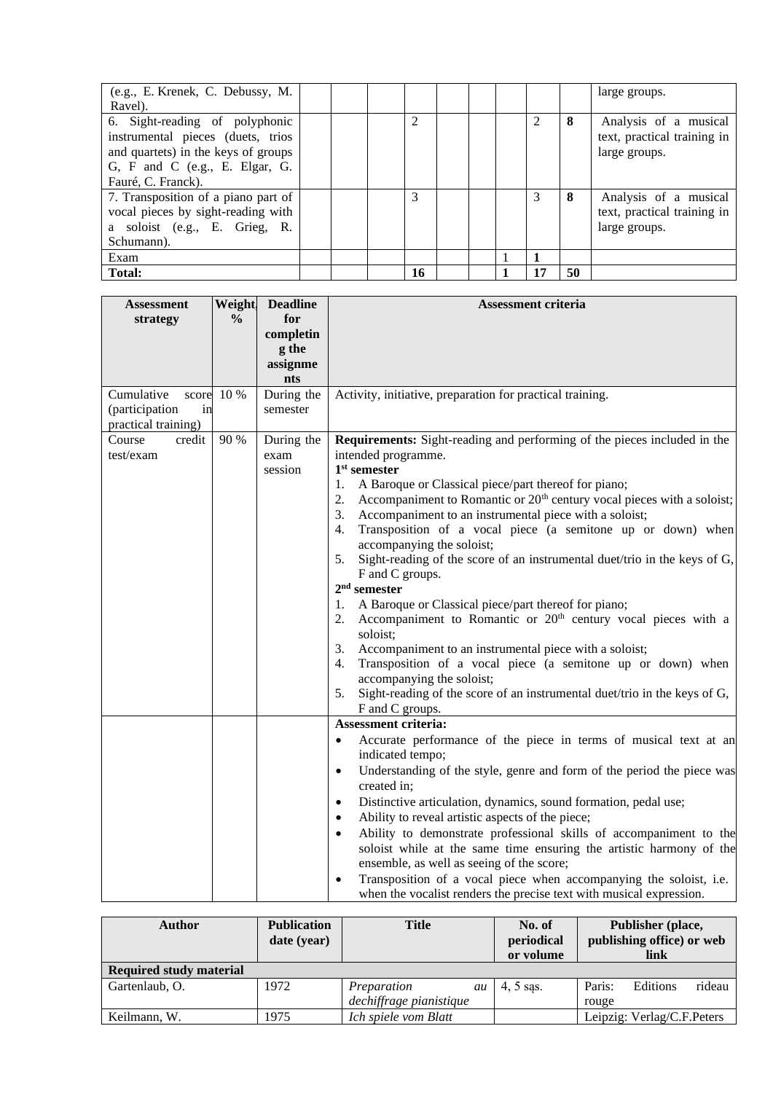| (e.g., E. Krenek, C. Debussy, M.<br>Ravel).                                                                                                                                     |  |    |  |    |    | large groups.                                                         |
|---------------------------------------------------------------------------------------------------------------------------------------------------------------------------------|--|----|--|----|----|-----------------------------------------------------------------------|
| 6. Sight-reading of polyphonic<br>instrumental pieces (duets, trios<br>and quartets) in the keys of groups<br>$G$ , $F$ and $C$ (e.g., $E$ . Elgar, $G$ .<br>Fauré, C. Franck). |  | 2  |  |    | 8  | Analysis of a musical<br>text, practical training in<br>large groups. |
| 7. Transposition of a piano part of<br>vocal pieces by sight-reading with<br>a soloist (e.g., E. Grieg, R.<br>Schumann).                                                        |  | 3  |  | 3  | 8  | Analysis of a musical<br>text, practical training in<br>large groups. |
| Exam                                                                                                                                                                            |  |    |  |    |    |                                                                       |
| Total:                                                                                                                                                                          |  | 16 |  | 17 | 50 |                                                                       |

| <b>Assessment</b>    | Weight.       | <b>Deadline</b> | <b>Assessment criteria</b>                                                                                                                                                                                                                                                                                                                                    |
|----------------------|---------------|-----------------|---------------------------------------------------------------------------------------------------------------------------------------------------------------------------------------------------------------------------------------------------------------------------------------------------------------------------------------------------------------|
| strategy             | $\frac{0}{0}$ | for             |                                                                                                                                                                                                                                                                                                                                                               |
|                      |               | completin       |                                                                                                                                                                                                                                                                                                                                                               |
|                      |               | g the           |                                                                                                                                                                                                                                                                                                                                                               |
|                      |               | assignme        |                                                                                                                                                                                                                                                                                                                                                               |
|                      |               | nts             |                                                                                                                                                                                                                                                                                                                                                               |
| Cumulative<br>score  | 10 %          | During the      | Activity, initiative, preparation for practical training.                                                                                                                                                                                                                                                                                                     |
| (participation<br>in |               | semester        |                                                                                                                                                                                                                                                                                                                                                               |
| practical training)  |               |                 |                                                                                                                                                                                                                                                                                                                                                               |
| Course<br>credit     | 90 %          | During the      | Requirements: Sight-reading and performing of the pieces included in the                                                                                                                                                                                                                                                                                      |
| test/exam            |               | exam            | intended programme.                                                                                                                                                                                                                                                                                                                                           |
|                      |               | session         | $1st$ semester                                                                                                                                                                                                                                                                                                                                                |
|                      |               |                 | A Baroque or Classical piece/part thereof for piano;<br>1.<br>Accompaniment to Romantic or 20 <sup>th</sup> century vocal pieces with a soloist;<br>2.                                                                                                                                                                                                        |
|                      |               |                 | Accompaniment to an instrumental piece with a soloist;<br>3.                                                                                                                                                                                                                                                                                                  |
|                      |               |                 | Transposition of a vocal piece (a semitone up or down) when<br>4.                                                                                                                                                                                                                                                                                             |
|                      |               |                 | accompanying the soloist;                                                                                                                                                                                                                                                                                                                                     |
|                      |               |                 | 5.<br>Sight-reading of the score of an instrumental duet/trio in the keys of G,                                                                                                                                                                                                                                                                               |
|                      |               |                 | F and C groups.                                                                                                                                                                                                                                                                                                                                               |
|                      |               |                 | $2nd$ semester                                                                                                                                                                                                                                                                                                                                                |
|                      |               |                 | A Baroque or Classical piece/part thereof for piano;<br>1.                                                                                                                                                                                                                                                                                                    |
|                      |               |                 | Accompaniment to Romantic or 20 <sup>th</sup> century vocal pieces with a<br>2.                                                                                                                                                                                                                                                                               |
|                      |               |                 | soloist;                                                                                                                                                                                                                                                                                                                                                      |
|                      |               |                 | 3.<br>Accompaniment to an instrumental piece with a soloist;                                                                                                                                                                                                                                                                                                  |
|                      |               |                 | Transposition of a vocal piece (a semitone up or down) when<br>4.                                                                                                                                                                                                                                                                                             |
|                      |               |                 | accompanying the soloist;                                                                                                                                                                                                                                                                                                                                     |
|                      |               |                 | Sight-reading of the score of an instrumental duet/trio in the keys of G,<br>5.                                                                                                                                                                                                                                                                               |
|                      |               |                 | F and C groups.                                                                                                                                                                                                                                                                                                                                               |
|                      |               |                 | <b>Assessment criteria:</b>                                                                                                                                                                                                                                                                                                                                   |
|                      |               |                 | Accurate performance of the piece in terms of musical text at an                                                                                                                                                                                                                                                                                              |
|                      |               |                 | indicated tempo;                                                                                                                                                                                                                                                                                                                                              |
|                      |               |                 | Understanding of the style, genre and form of the period the piece was<br>$\bullet$                                                                                                                                                                                                                                                                           |
|                      |               |                 | created in;                                                                                                                                                                                                                                                                                                                                                   |
|                      |               |                 | Distinctive articulation, dynamics, sound formation, pedal use;<br>$\bullet$                                                                                                                                                                                                                                                                                  |
|                      |               |                 | Ability to reveal artistic aspects of the piece;<br>$\bullet$                                                                                                                                                                                                                                                                                                 |
|                      |               |                 |                                                                                                                                                                                                                                                                                                                                                               |
|                      |               |                 |                                                                                                                                                                                                                                                                                                                                                               |
|                      |               |                 |                                                                                                                                                                                                                                                                                                                                                               |
|                      |               |                 |                                                                                                                                                                                                                                                                                                                                                               |
|                      |               |                 | Ability to demonstrate professional skills of accompaniment to the<br>$\bullet$<br>soloist while at the same time ensuring the artistic harmony of the<br>ensemble, as well as seeing of the score;<br>Transposition of a vocal piece when accompanying the soloist, i.e.<br>$\bullet$<br>when the vocalist renders the precise text with musical expression. |

| Author                         | <b>Publication</b><br>date (year) | <b>Title</b>            | No. of<br>periodical<br>or volume | Publisher (place,<br>publishing office) or web<br>link |
|--------------------------------|-----------------------------------|-------------------------|-----------------------------------|--------------------------------------------------------|
| <b>Required study material</b> |                                   |                         |                                   |                                                        |
| Gartenlaub, O.                 | 1972                              | Preparation<br>au       | $4, 5$ sas.                       | rideau<br>Paris:<br>Editions                           |
|                                |                                   | dechiffrage pianistique |                                   | rouge                                                  |
| Keilmann, W.                   | 1975                              | Ich spiele vom Blatt    |                                   | Leipzig: Verlag/C.F.Peters                             |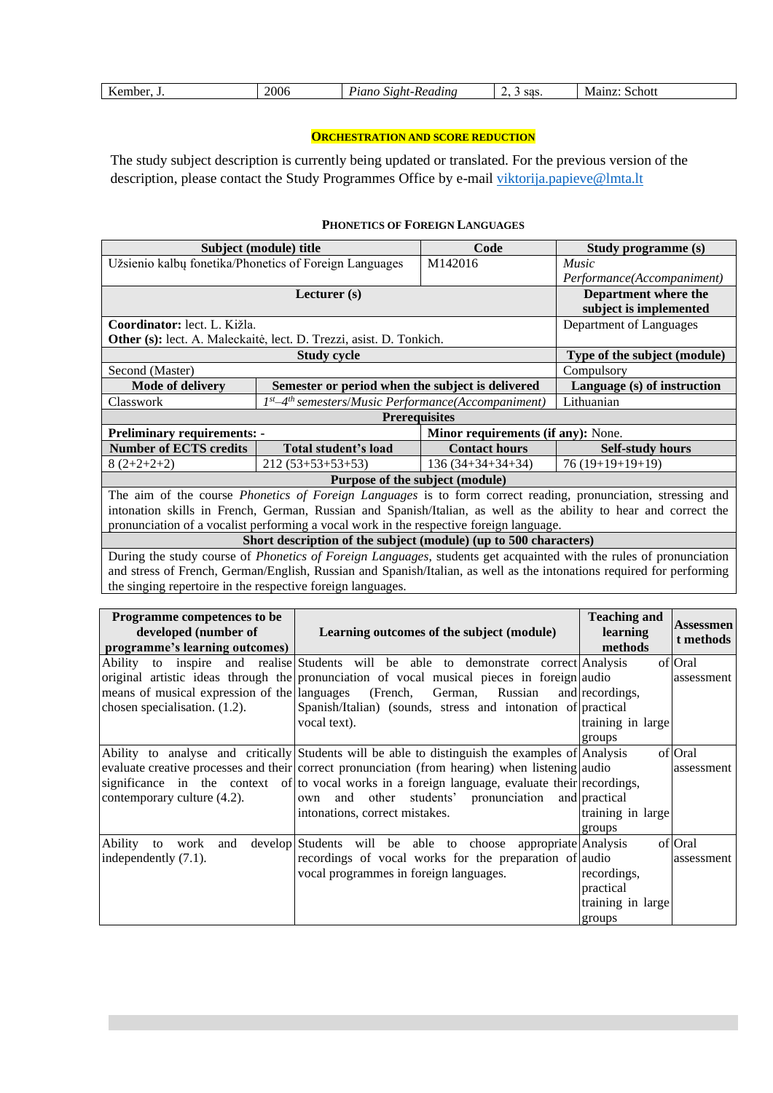|  | $-$<br>ember.<br><b>DEI</b><br>-- | 2006 | $\mathbf{r}$<br>$\alpha$ $\alpha$<br>.t-Reading<br>Stoht<br>uun | sas.<br><u>.</u><br>້ | 0.480<br>Schott<br>-VI. |
|--|-----------------------------------|------|-----------------------------------------------------------------|-----------------------|-------------------------|
|--|-----------------------------------|------|-----------------------------------------------------------------|-----------------------|-------------------------|

# **ORCHESTRATION AND SCORE REDUCTION**

<span id="page-15-0"></span>The study subject description is currently being updated or translated. For the previous version of the description, please contact the Study Programmes Office by e-mail [viktorija.papieve@lmta.lt](mailto:viktorija.papieve@lmta.lt)

# **PHONETICS OF FOREIGN LANGUAGES**

<span id="page-15-1"></span>

| Subject (module) title<br>Code<br>Study programme (s)                                                                |                                                                                         |  |                                                                                                                            |  |  |  |  |  |
|----------------------------------------------------------------------------------------------------------------------|-----------------------------------------------------------------------------------------|--|----------------------------------------------------------------------------------------------------------------------------|--|--|--|--|--|
| Užsienio kalbų fonetika/Phonetics of Foreign Languages<br>M142016<br>Music                                           |                                                                                         |  |                                                                                                                            |  |  |  |  |  |
| Performance(Accompaniment)                                                                                           |                                                                                         |  |                                                                                                                            |  |  |  |  |  |
|                                                                                                                      | Lecturer $(s)$                                                                          |  | Department where the                                                                                                       |  |  |  |  |  |
|                                                                                                                      |                                                                                         |  | subject is implemented                                                                                                     |  |  |  |  |  |
| Coordinator: lect. L. Kižla.                                                                                         |                                                                                         |  | Department of Languages                                                                                                    |  |  |  |  |  |
| Other (s): lect. A. Maleckaitė, lect. D. Trezzi, asist. D. Tonkich.                                                  |                                                                                         |  |                                                                                                                            |  |  |  |  |  |
| <b>Study cycle</b><br>Type of the subject (module)                                                                   |                                                                                         |  |                                                                                                                            |  |  |  |  |  |
| Second (Master)<br>Compulsory                                                                                        |                                                                                         |  |                                                                                                                            |  |  |  |  |  |
| Semester or period when the subject is delivered<br><b>Mode of delivery</b><br>Language (s) of instruction           |                                                                                         |  |                                                                                                                            |  |  |  |  |  |
| Classwork                                                                                                            | 1st-4 <sup>th</sup> semesters/Music Performance(Accompaniment)<br>Lithuanian            |  |                                                                                                                            |  |  |  |  |  |
| <b>Prerequisites</b>                                                                                                 |                                                                                         |  |                                                                                                                            |  |  |  |  |  |
| Minor requirements (if any): None.<br><b>Preliminary requirements: -</b>                                             |                                                                                         |  |                                                                                                                            |  |  |  |  |  |
| <b>Number of ECTS credits</b>                                                                                        | Total student's load<br><b>Contact hours</b><br><b>Self-study hours</b>                 |  |                                                                                                                            |  |  |  |  |  |
| $8(2+2+2+2)$                                                                                                         | $136(34+34+34+34)$<br>$76(19+19+19+19)$<br>$212(53+53+53+53)$                           |  |                                                                                                                            |  |  |  |  |  |
| Purpose of the subject (module)                                                                                      |                                                                                         |  |                                                                                                                            |  |  |  |  |  |
| The aim of the course <i>Phonetics of Foreign Languages</i> is to form correct reading, pronunciation, stressing and |                                                                                         |  |                                                                                                                            |  |  |  |  |  |
| intonation skills in French, German, Russian and Spanish/Italian, as well as the ability to hear and correct the     |                                                                                         |  |                                                                                                                            |  |  |  |  |  |
|                                                                                                                      | pronunciation of a vocalist performing a vocal work in the respective foreign language. |  |                                                                                                                            |  |  |  |  |  |
|                                                                                                                      | Short description of the subject (module) (up to 500 characters)                        |  |                                                                                                                            |  |  |  |  |  |
|                                                                                                                      |                                                                                         |  | During the study course of <i>Phonetics of Foreign Languages</i> , students get acquainted with the rules of pronunciation |  |  |  |  |  |
|                                                                                                                      |                                                                                         |  | and stress of French, German/English, Russian and Spanish/Italian, as well as the intonations required for performing      |  |  |  |  |  |
|                                                                                                                      | the singing repertoire in the respective foreign languages.                             |  |                                                                                                                            |  |  |  |  |  |

| Programme competences to be<br>developed (number of<br>programme's learning outcomes)                    | Learning outcomes of the subject (module)                                                       | <b>Teaching and</b><br>learning<br>methods | Assessmen<br>t methods |  |  |  |
|----------------------------------------------------------------------------------------------------------|-------------------------------------------------------------------------------------------------|--------------------------------------------|------------------------|--|--|--|
|                                                                                                          | Ability to inspire and realise Students will be able to demonstrate correct Analysis            |                                            | of Oral                |  |  |  |
| original artistic ideas through the pronunciation of vocal musical pieces in foreign audio<br>assessment |                                                                                                 |                                            |                        |  |  |  |
| means of musical expression of the languages (French, German,                                            | Russian                                                                                         | and recordings.                            |                        |  |  |  |
| chosen specialisation. (1.2).                                                                            | Spanish/Italian) (sounds, stress and intonation of practical                                    |                                            |                        |  |  |  |
|                                                                                                          | vocal text).                                                                                    | training in large                          |                        |  |  |  |
|                                                                                                          |                                                                                                 | groups                                     |                        |  |  |  |
|                                                                                                          | Ability to analyse and critically Students will be able to distinguish the examples of Analysis |                                            | of Oral                |  |  |  |
|                                                                                                          | evaluate creative processes and their correct pronunciation (from hearing) when listening audio |                                            | assessment             |  |  |  |
|                                                                                                          | significance in the context of to vocal works in a foreign language, evaluate their recordings, |                                            |                        |  |  |  |
| contemporary culture (4.2).                                                                              | own and other students' pronunciation                                                           | and practical                              |                        |  |  |  |
|                                                                                                          | intonations, correct mistakes.                                                                  | training in large                          |                        |  |  |  |
|                                                                                                          |                                                                                                 | groups                                     |                        |  |  |  |
| Ability<br>work<br>and<br>to                                                                             | develop Students will be able to choose appropriate Analysis                                    |                                            | of Oral                |  |  |  |
| independently (7.1).                                                                                     | recordings of vocal works for the preparation of audio                                          |                                            | assessment             |  |  |  |
|                                                                                                          | vocal programmes in foreign languages.                                                          | recordings,                                |                        |  |  |  |
|                                                                                                          |                                                                                                 | practical                                  |                        |  |  |  |
|                                                                                                          |                                                                                                 | training in large                          |                        |  |  |  |
|                                                                                                          |                                                                                                 | groups                                     |                        |  |  |  |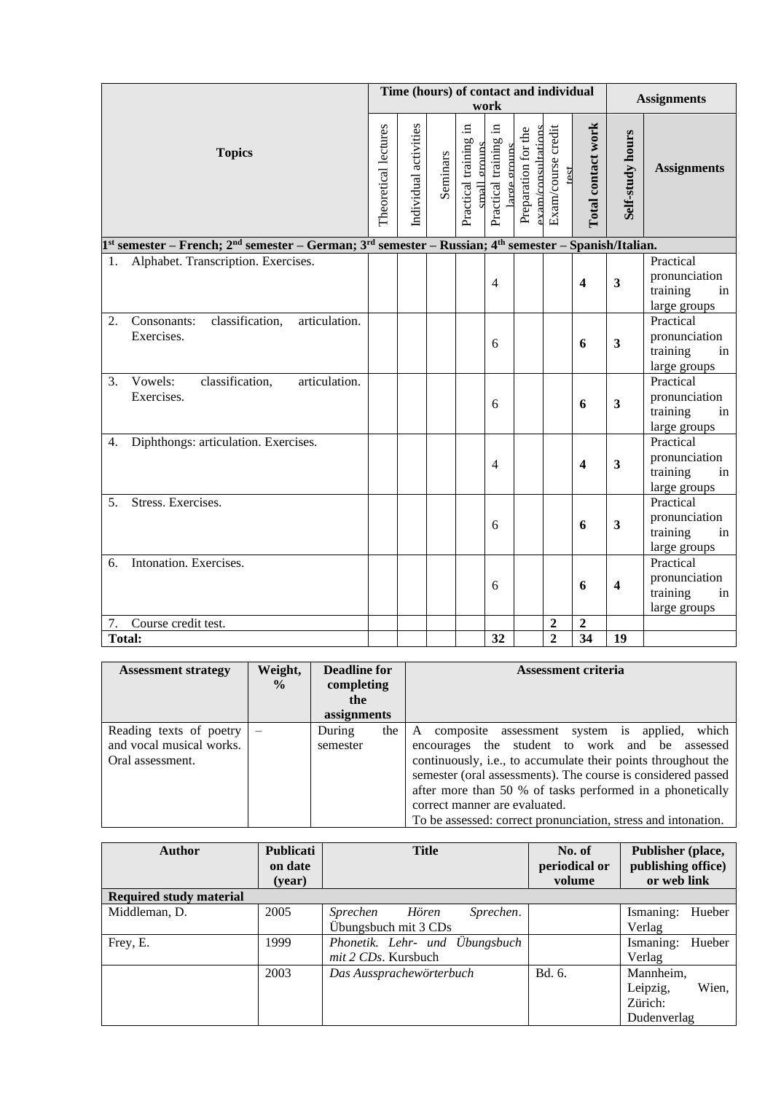|                                                                                                                                           |                      |                       |          | Time (hours) of contact and individual      | work                                     |                                                       |                            |                         |                         | <b>Assignments</b>                                           |
|-------------------------------------------------------------------------------------------------------------------------------------------|----------------------|-----------------------|----------|---------------------------------------------|------------------------------------------|-------------------------------------------------------|----------------------------|-------------------------|-------------------------|--------------------------------------------------------------|
| <b>Topics</b>                                                                                                                             | Theoretical lectures | Individual activities | Seminars | .크<br>Practical training<br>groups<br>small | 크.<br>Practical training<br>large groups | Preparation for the<br>$\frac{1}{2}$ am/consultations | Exam/course credit<br>test | Total contact work      | Self-study hours        | <b>Assignments</b>                                           |
| 1st semester – French; 2 <sup>nd</sup> semester – German; 3 <sup>rd</sup> semester – Russian; 4 <sup>th</sup> semester – Spanish/Italian. |                      |                       |          |                                             |                                          |                                                       |                            |                         |                         |                                                              |
| Alphabet. Transcription. Exercises.<br>1.                                                                                                 |                      |                       |          |                                             | $\overline{4}$                           |                                                       |                            | $\overline{\mathbf{4}}$ | $\mathbf{3}$            | Practical<br>pronunciation<br>training<br>in<br>large groups |
| classification,<br>articulation.<br>2.<br>Consonants:<br>Exercises.                                                                       |                      |                       |          |                                             | 6                                        |                                                       |                            | 6                       | $\mathbf{3}$            | Practical<br>pronunciation<br>training<br>in<br>large groups |
| classification,<br>Vowels:<br>articulation.<br>3.<br>Exercises.                                                                           |                      |                       |          |                                             | 6                                        |                                                       |                            | 6                       | $\mathbf{3}$            | Practical<br>pronunciation<br>training<br>in<br>large groups |
| Diphthongs: articulation. Exercises.<br>4.                                                                                                |                      |                       |          |                                             | $\overline{4}$                           |                                                       |                            | $\overline{\mathbf{4}}$ | 3                       | Practical<br>pronunciation<br>training<br>in<br>large groups |
| Stress. Exercises.<br>5 <sub>1</sub>                                                                                                      |                      |                       |          |                                             | 6                                        |                                                       |                            | 6                       | $\mathbf{3}$            | Practical<br>pronunciation<br>training<br>in<br>large groups |
| Intonation. Exercises.<br>6.                                                                                                              |                      |                       |          |                                             | 6                                        |                                                       |                            | 6                       | $\overline{\mathbf{4}}$ | Practical<br>pronunciation<br>training<br>in<br>large groups |
| Course credit test.<br>7.                                                                                                                 |                      |                       |          |                                             |                                          |                                                       | $\boldsymbol{2}$           | $\overline{2}$          |                         |                                                              |
| <b>Total:</b>                                                                                                                             |                      |                       |          |                                             | 32                                       |                                                       | $\overline{2}$             | 34                      | 19                      |                                                              |

| <b>Assessment strategy</b>                                              | Weight,<br>$\frac{0}{0}$ | <b>Deadline for</b><br>completing | <b>Assessment criteria</b>                                                                                                                                                                                                                                                                                                                                                                                    |
|-------------------------------------------------------------------------|--------------------------|-----------------------------------|---------------------------------------------------------------------------------------------------------------------------------------------------------------------------------------------------------------------------------------------------------------------------------------------------------------------------------------------------------------------------------------------------------------|
|                                                                         |                          | the<br>assignments                |                                                                                                                                                                                                                                                                                                                                                                                                               |
| Reading texts of poetry<br>and vocal musical works.<br>Oral assessment. | $\overline{\phantom{m}}$ | the<br>During<br>semester         | which<br>composite assessment<br>system is<br>applied,<br>A<br>encourages the student to work and be assessed<br>continuously, i.e., to accumulate their points throughout the<br>semester (oral assessments). The course is considered passed<br>after more than 50 % of tasks performed in a phonetically<br>correct manner are evaluated.<br>To be assessed: correct pronunciation, stress and intonation. |

| Author                         | Publicati<br>on date<br>(year) | <b>Title</b>                   | No. of<br>periodical or<br>volume | Publisher (place,<br>publishing office)<br>or web link |
|--------------------------------|--------------------------------|--------------------------------|-----------------------------------|--------------------------------------------------------|
| <b>Required study material</b> |                                |                                |                                   |                                                        |
| Middleman, D.                  | 2005                           | Hören<br>Sprechen.<br>Sprechen |                                   | Ismaning:<br>Hueber                                    |
|                                |                                | Übungsbuch mit 3 CDs           |                                   | Verlag                                                 |
| Frey, E.                       | 1999                           | Phonetik. Lehr- und Übungsbuch |                                   | Hueber<br>Ismaning:                                    |
|                                |                                | <i>mit 2 CDs.</i> Kursbuch     |                                   | Verlag                                                 |
|                                | 2003                           | Das Aussprachewörterbuch       | Bd. 6.                            | Mannheim,                                              |
|                                |                                |                                |                                   | Leipzig,<br>Wien,                                      |
|                                |                                |                                |                                   | Zürich:                                                |
|                                |                                |                                |                                   | Dudenverlag                                            |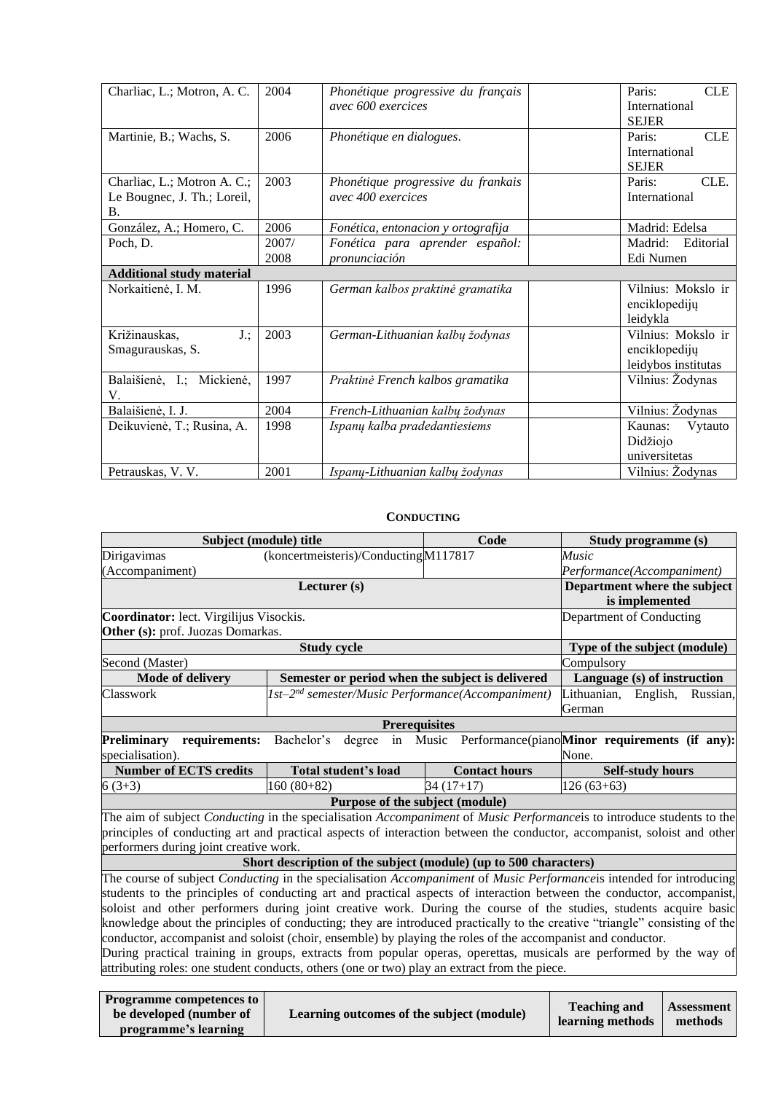| Charliac, L.; Motron, A. C.                                             | 2004          | Phonétique progressive du français<br>avec 600 exercices | <b>CLE</b><br>Paris:<br><b>International</b><br><b>SEJER</b> |
|-------------------------------------------------------------------------|---------------|----------------------------------------------------------|--------------------------------------------------------------|
| Martinie, B.; Wachs, S.                                                 | 2006          | Phonétique en dialogues.                                 | <b>CLE</b><br>Paris:<br>International<br><b>SEJER</b>        |
| Charliac, L.; Motron A. C.;<br>Le Bougnec, J. Th.; Loreil,<br><b>B.</b> | 2003          | Phonétique progressive du frankais<br>avec 400 exercices | CLE.<br>Paris:<br>International                              |
| González, A.; Homero, C.                                                | 2006          | Fonética, entonacion y ortografija                       | Madrid: Edelsa                                               |
| Poch, D.                                                                | 2007/<br>2008 | Fonética para aprender español:<br>pronunciación         | Madrid:<br>Editorial<br>Edi Numen                            |
| <b>Additional study material</b>                                        |               |                                                          |                                                              |
| Norkaitienė, I. M.                                                      | 1996          | German kalbos praktinė gramatika                         | Vilnius: Mokslo ir<br>enciklopedijų<br>leidykla              |
| Križinauskas,<br>$J_{\cdot}$ ;<br>Smagurauskas, S.                      | 2003          | German-Lithuanian kalbų žodynas                          | Vilnius: Mokslo ir<br>enciklopedijų<br>leidybos institutas   |
| Balaišienė, I.; Mickienė,<br>V.                                         | 1997          | Praktinė French kalbos gramatika                         | Vilnius: Žodynas                                             |
| Balaišienė, I. J.                                                       | 2004          | French-Lithuanian kalbų žodynas                          | Vilnius: Žodynas                                             |
| Deikuvienė, T.; Rusina, A.                                              | 1998          | Ispanų kalba pradedantiesiems                            | Vytauto<br>Kaunas:<br>Didžiojo<br>universitetas              |
| Petrauskas, V.V.                                                        | 2001          | Ispanų-Lithuanian kalbų žodynas                          | Vilnius: Žodynas                                             |

# **CONDUCTING**

<span id="page-17-0"></span>

| Subject (module) title                                                                                      |                                                                  | <b>Code</b>                         | Study programme (s)                                                                                                                                                                                                                                                                                                                                                                                                                                                                                                                                                                                                        |  |  |  |  |  |
|-------------------------------------------------------------------------------------------------------------|------------------------------------------------------------------|-------------------------------------|----------------------------------------------------------------------------------------------------------------------------------------------------------------------------------------------------------------------------------------------------------------------------------------------------------------------------------------------------------------------------------------------------------------------------------------------------------------------------------------------------------------------------------------------------------------------------------------------------------------------------|--|--|--|--|--|
| Dirigavimas                                                                                                 | (koncertmeisteris)/Conducting M117817                            |                                     | <i>Music</i>                                                                                                                                                                                                                                                                                                                                                                                                                                                                                                                                                                                                               |  |  |  |  |  |
| (Accompaniment)                                                                                             |                                                                  |                                     | Performance(Accompaniment)                                                                                                                                                                                                                                                                                                                                                                                                                                                                                                                                                                                                 |  |  |  |  |  |
|                                                                                                             | Lecturer (s)                                                     |                                     | Department where the subject                                                                                                                                                                                                                                                                                                                                                                                                                                                                                                                                                                                               |  |  |  |  |  |
|                                                                                                             |                                                                  |                                     | is implemented                                                                                                                                                                                                                                                                                                                                                                                                                                                                                                                                                                                                             |  |  |  |  |  |
| Coordinator: lect. Virgilijus Visockis.                                                                     |                                                                  |                                     | Department of Conducting                                                                                                                                                                                                                                                                                                                                                                                                                                                                                                                                                                                                   |  |  |  |  |  |
| Other (s): prof. Juozas Domarkas.                                                                           |                                                                  |                                     |                                                                                                                                                                                                                                                                                                                                                                                                                                                                                                                                                                                                                            |  |  |  |  |  |
|                                                                                                             | <b>Study cycle</b>                                               |                                     |                                                                                                                                                                                                                                                                                                                                                                                                                                                                                                                                                                                                                            |  |  |  |  |  |
| Second (Master)                                                                                             |                                                                  |                                     | Compulsory                                                                                                                                                                                                                                                                                                                                                                                                                                                                                                                                                                                                                 |  |  |  |  |  |
| Mode of delivery                                                                                            | Semester or period when the subject is delivered                 |                                     | Language (s) of instruction                                                                                                                                                                                                                                                                                                                                                                                                                                                                                                                                                                                                |  |  |  |  |  |
| Classwork                                                                                                   | 1st-2 <sup>nd</sup> semester/Music Performance(Accompaniment)    | Lithuanian,<br>English,<br>Russian, |                                                                                                                                                                                                                                                                                                                                                                                                                                                                                                                                                                                                                            |  |  |  |  |  |
|                                                                                                             |                                                                  | German                              |                                                                                                                                                                                                                                                                                                                                                                                                                                                                                                                                                                                                                            |  |  |  |  |  |
|                                                                                                             | <b>Prerequisites</b>                                             |                                     |                                                                                                                                                                                                                                                                                                                                                                                                                                                                                                                                                                                                                            |  |  |  |  |  |
| <b>Preliminary</b><br>requirements:                                                                         |                                                                  |                                     | Bachelor's degree in Music Performance(piano <b>Minor requirements (if any):</b>                                                                                                                                                                                                                                                                                                                                                                                                                                                                                                                                           |  |  |  |  |  |
| specialisation).                                                                                            |                                                                  |                                     | None.                                                                                                                                                                                                                                                                                                                                                                                                                                                                                                                                                                                                                      |  |  |  |  |  |
|                                                                                                             |                                                                  |                                     |                                                                                                                                                                                                                                                                                                                                                                                                                                                                                                                                                                                                                            |  |  |  |  |  |
| <b>Number of ECTS credits</b>                                                                               | Total student's load                                             | <b>Contact hours</b>                | <b>Self-study hours</b>                                                                                                                                                                                                                                                                                                                                                                                                                                                                                                                                                                                                    |  |  |  |  |  |
| $6(3+3)$                                                                                                    | $160(80+82)$                                                     | $34(17+17)$                         | $126(63+63)$                                                                                                                                                                                                                                                                                                                                                                                                                                                                                                                                                                                                               |  |  |  |  |  |
|                                                                                                             | Purpose of the subject (module)                                  |                                     |                                                                                                                                                                                                                                                                                                                                                                                                                                                                                                                                                                                                                            |  |  |  |  |  |
|                                                                                                             |                                                                  |                                     |                                                                                                                                                                                                                                                                                                                                                                                                                                                                                                                                                                                                                            |  |  |  |  |  |
|                                                                                                             |                                                                  |                                     |                                                                                                                                                                                                                                                                                                                                                                                                                                                                                                                                                                                                                            |  |  |  |  |  |
| performers during joint creative work.                                                                      |                                                                  |                                     |                                                                                                                                                                                                                                                                                                                                                                                                                                                                                                                                                                                                                            |  |  |  |  |  |
|                                                                                                             | Short description of the subject (module) (up to 500 characters) |                                     |                                                                                                                                                                                                                                                                                                                                                                                                                                                                                                                                                                                                                            |  |  |  |  |  |
|                                                                                                             |                                                                  |                                     | The course of subject <i>Conducting</i> in the specialisation <i>Accompaniment</i> of <i>Music Performanceis</i> intended for introducing                                                                                                                                                                                                                                                                                                                                                                                                                                                                                  |  |  |  |  |  |
|                                                                                                             |                                                                  |                                     | students to the principles of conducting art and practical aspects of interaction between the conductor, accompanist,                                                                                                                                                                                                                                                                                                                                                                                                                                                                                                      |  |  |  |  |  |
|                                                                                                             |                                                                  |                                     |                                                                                                                                                                                                                                                                                                                                                                                                                                                                                                                                                                                                                            |  |  |  |  |  |
|                                                                                                             |                                                                  |                                     |                                                                                                                                                                                                                                                                                                                                                                                                                                                                                                                                                                                                                            |  |  |  |  |  |
| conductor, accompanist and soloist (choir, ensemble) by playing the roles of the accompanist and conductor. |                                                                  |                                     |                                                                                                                                                                                                                                                                                                                                                                                                                                                                                                                                                                                                                            |  |  |  |  |  |
|                                                                                                             |                                                                  |                                     | The aim of subject Conducting in the specialisation Accompaniment of Music Performance is to introduce students to the<br>principles of conducting art and practical aspects of interaction between the conductor, accompanist, soloist and other<br>soloist and other performers during joint creative work. During the course of the studies, students acquire basic<br>knowledge about the principles of conducting; they are introduced practically to the creative "triangle" consisting of the<br>During practical training in groups, extracts from popular operas, operettas, musicals are performed by the way of |  |  |  |  |  |
| attributing roles: one student conducts, others (one or two) play an extract from the piece.                |                                                                  |                                     |                                                                                                                                                                                                                                                                                                                                                                                                                                                                                                                                                                                                                            |  |  |  |  |  |

| <b>Programme competences to</b><br>Learning outcomes of the subject (module)<br>be developed (number of<br>programme's learning | <b>Teaching and</b><br>learning methods | <b>Assessment</b><br>methods |
|---------------------------------------------------------------------------------------------------------------------------------|-----------------------------------------|------------------------------|
|---------------------------------------------------------------------------------------------------------------------------------|-----------------------------------------|------------------------------|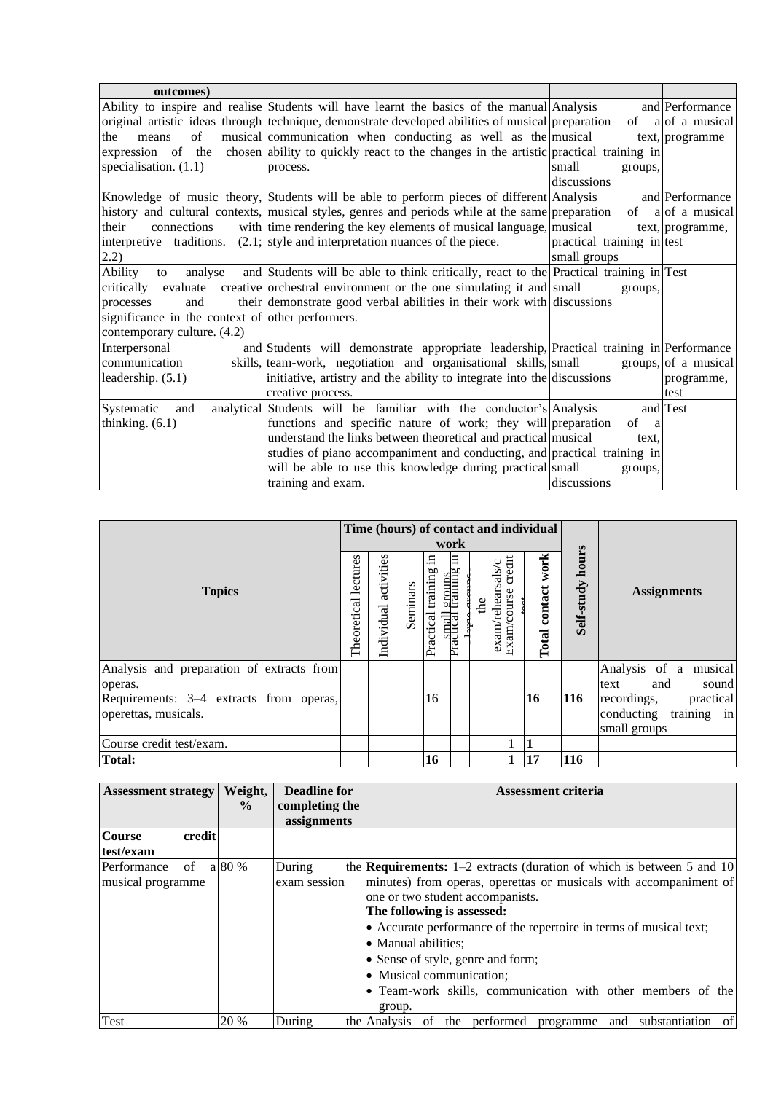| outcomes)                                        |                                                                                                   |                            |                      |
|--------------------------------------------------|---------------------------------------------------------------------------------------------------|----------------------------|----------------------|
|                                                  | Ability to inspire and realise Students will have learnt the basics of the manual Analysis        |                            | and Performance      |
|                                                  | original artistic ideas through technique, demonstrate developed abilities of musical preparation |                            | of $a $ of a musical |
| of<br>the<br>means                               | musical communication when conducting as well as the musical                                      |                            | text, programme      |
| expression of the                                | chosen ability to quickly react to the changes in the artistic practical training in              |                            |                      |
| specialisation. $(1.1)$                          | process.                                                                                          | small<br>groups,           |                      |
|                                                  |                                                                                                   | discussions                |                      |
|                                                  | Knowledge of music theory, Students will be able to perform pieces of different Analysis          |                            | and Performance      |
|                                                  | history and cultural contexts, musical styles, genres and periods while at the same preparation   |                            | of a of a musical    |
| connections<br>their                             | with time rendering the key elements of musical language, musical                                 |                            | text, programme,     |
| interpretive traditions.                         | $(2.1)$ ; style and interpretation nuances of the piece.                                          | practical training in test |                      |
| 2.2)                                             |                                                                                                   | small groups               |                      |
| Ability<br>analyse<br>to                         | and Students will be able to think critically, react to the Practical training in Test            |                            |                      |
| critically<br>evaluate                           | creative orchestral environment or the one simulating it and small                                | groups.                    |                      |
| processes<br>and                                 | their demonstrate good verbal abilities in their work with discussions                            |                            |                      |
| significance in the context of other performers. |                                                                                                   |                            |                      |
| contemporary culture. (4.2)                      |                                                                                                   |                            |                      |
| Interpersonal                                    | and Students will demonstrate appropriate leadership, Practical training in Performance           |                            |                      |
| communication                                    | skills, team-work, negotiation and organisational skills, small                                   |                            | groups, of a musical |
| leadership. (5.1)                                | initiative, artistry and the ability to integrate into the discussions                            |                            | programme,           |
|                                                  | creative process.                                                                                 |                            | test                 |
| Systematic<br>and                                | analytical Students will be familiar with the conductor's Analysis                                |                            | and Test             |
| thinking. $(6.1)$                                | functions and specific nature of work; they will preparation                                      | of<br>a                    |                      |
|                                                  | understand the links between theoretical and practical musical                                    | text.                      |                      |
|                                                  | studies of piano accompaniment and conducting, and practical training in                          |                            |                      |
|                                                  | will be able to use this knowledge during practical small                                         | groups,                    |                      |
|                                                  | training and exam.                                                                                | discussions                |                      |

| <b>Topics</b>                                                                                                           |  | Time (hours) of contact and individual<br>work |          |                            |                                             |                         |                             |                                 |                     |                                                                                                                                    |
|-------------------------------------------------------------------------------------------------------------------------|--|------------------------------------------------|----------|----------------------------|---------------------------------------------|-------------------------|-----------------------------|---------------------------------|---------------------|------------------------------------------------------------------------------------------------------------------------------------|
|                                                                                                                         |  | activities<br>Individual                       | Seminars | Ξ<br>training<br>Practical | 日<br>groups<br>training<br><b>Fractical</b> | exam/rehearsals/c<br>de | crean<br><b>Exam/course</b> | work<br>contact<br><b>Total</b> | hours<br>Self-study | <b>Assignments</b>                                                                                                                 |
| Analysis and preparation of extracts from<br>operas.<br>Requirements: 3–4 extracts from operas,<br>operettas, musicals. |  |                                                |          | 16                         |                                             |                         |                             | <b>16</b>                       | <b>116</b>          | musical<br>Analysis of<br>a<br>sound<br>and<br>text<br>recordings,<br>practical<br>training<br>conducting<br>$\ln$<br>small groups |
| Course credit test/exam.                                                                                                |  |                                                |          |                            |                                             |                         |                             |                                 |                     |                                                                                                                                    |
| <b>Total:</b>                                                                                                           |  |                                                |          | 16                         |                                             |                         | 1                           | 17                              | 116                 |                                                                                                                                    |

| <b>Assessment strategy</b> | Weight,<br>$\frac{0}{0}$ | <b>Deadline for</b><br>completing the | <b>Assessment criteria</b>                                                      |
|----------------------------|--------------------------|---------------------------------------|---------------------------------------------------------------------------------|
|                            |                          | assignments                           |                                                                                 |
| credit<br><b>Course</b>    |                          |                                       |                                                                                 |
| test/exam                  |                          |                                       |                                                                                 |
| Performance<br>of          | a 80 %                   | During                                | the <b>Requirements:</b> $1-2$ extracts (duration of which is between 5 and 10) |
| musical programme          |                          | exam session                          | minutes) from operas, operettas or musicals with accompaniment of               |
|                            |                          |                                       | one or two student accompanists.                                                |
|                            |                          |                                       | The following is assessed:                                                      |
|                            |                          |                                       | • Accurate performance of the repertoire in terms of musical text;              |
|                            |                          |                                       | • Manual abilities;                                                             |
|                            |                          |                                       | • Sense of style, genre and form;                                               |
|                            |                          |                                       | • Musical communication;                                                        |
|                            |                          |                                       | • Team-work skills, communication with other members of the                     |
|                            |                          |                                       | group.                                                                          |
| Test                       | 20 %                     | During                                | the Analysis of the performed<br>and substantiation of<br>programme             |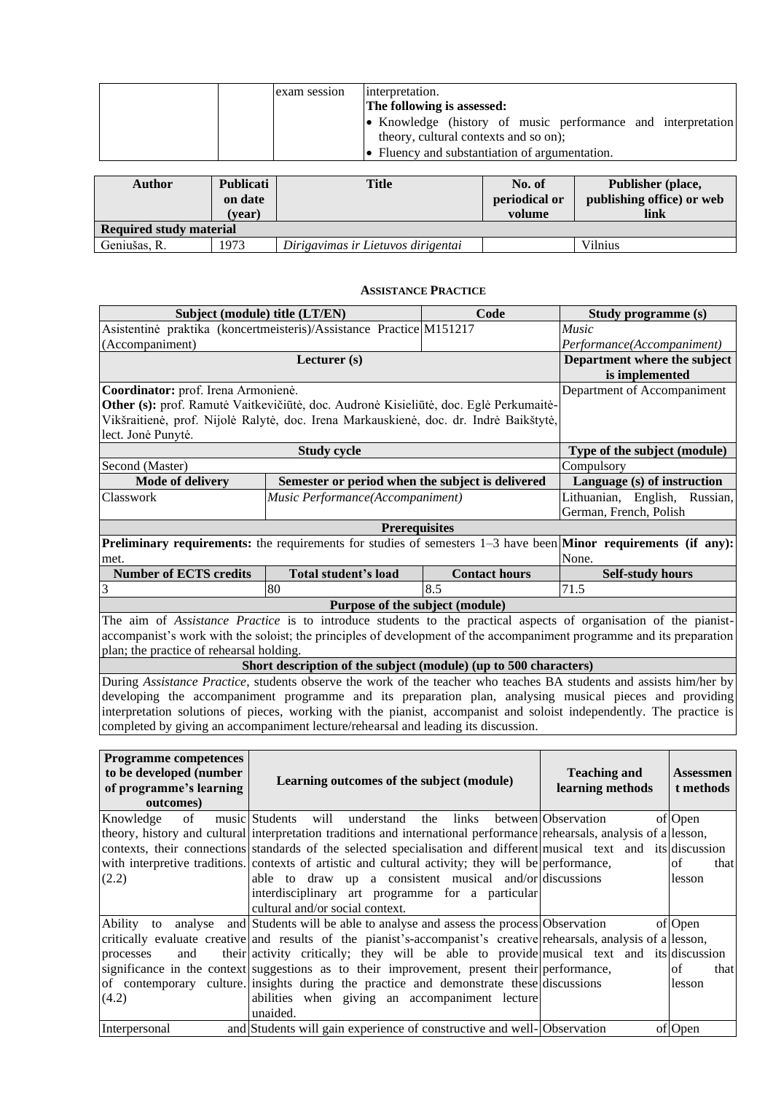| exam session | interpretation.<br>The following is assessed:                                                         |
|--------------|-------------------------------------------------------------------------------------------------------|
|              | • Knowledge (history of music performance and interpretation<br>theory, cultural contexts and so on); |
|              | • Fluency and substantiation of argumentation.                                                        |

| <b>Author</b>                  | <b>Publicati</b><br>on date<br>(vear) | <b>Title</b>                       | No. of<br>periodical or<br>volume | <b>Publisher (place,</b><br>publishing office) or web<br>link |
|--------------------------------|---------------------------------------|------------------------------------|-----------------------------------|---------------------------------------------------------------|
| <b>Required study material</b> |                                       |                                    |                                   |                                                               |
| Geniušas, R.                   | 1973                                  | Dirigavimas ir Lietuvos dirigentai |                                   | <b>Vilnius</b>                                                |

#### **ASSISTANCE PRACTICE**

<span id="page-19-0"></span>

|                                                                                                                                | Subject (module) title (LT/EN)                                                                                                                                                                             | Code                 | Study programme (s)                            |                  |  |  |  |
|--------------------------------------------------------------------------------------------------------------------------------|------------------------------------------------------------------------------------------------------------------------------------------------------------------------------------------------------------|----------------------|------------------------------------------------|------------------|--|--|--|
|                                                                                                                                | Asistentinė praktika (koncertmeisteris)/Assistance Practice M151217                                                                                                                                        |                      | Music                                          |                  |  |  |  |
| (Accompaniment)                                                                                                                |                                                                                                                                                                                                            |                      | Performance(Accompaniment)                     |                  |  |  |  |
|                                                                                                                                | Lecturer (s)                                                                                                                                                                                               |                      | Department where the subject<br>is implemented |                  |  |  |  |
| Coordinator: prof. Irena Armonienė.                                                                                            |                                                                                                                                                                                                            |                      | Department of Accompaniment                    |                  |  |  |  |
|                                                                                                                                | Other (s): prof. Ramutė Vaitkevičiūtė, doc. Audronė Kisieliūtė, doc. Eglė Perkumaitė-                                                                                                                      |                      |                                                |                  |  |  |  |
|                                                                                                                                | Vikšraitienė, prof. Nijolė Ralytė, doc. Irena Markauskienė, doc. dr. Indrė Baikštytė,                                                                                                                      |                      |                                                |                  |  |  |  |
|                                                                                                                                | lect. Jonė Punytė.                                                                                                                                                                                         |                      |                                                |                  |  |  |  |
|                                                                                                                                | <b>Study cycle</b>                                                                                                                                                                                         |                      | Type of the subject (module)                   |                  |  |  |  |
| Second (Master)                                                                                                                |                                                                                                                                                                                                            |                      | Compulsory                                     |                  |  |  |  |
| <b>Mode of delivery</b>                                                                                                        | Semester or period when the subject is delivered                                                                                                                                                           |                      | Language (s) of instruction                    |                  |  |  |  |
| Classwork                                                                                                                      | Music Performance(Accompaniment)                                                                                                                                                                           |                      | Lithuanian, English, Russian,                  |                  |  |  |  |
|                                                                                                                                | German, French, Polish                                                                                                                                                                                     |                      |                                                |                  |  |  |  |
|                                                                                                                                | <b>Prerequisites</b>                                                                                                                                                                                       |                      |                                                |                  |  |  |  |
| <b>Preliminary requirements:</b> the requirements for studies of semesters $1-3$ have been <b>Minor requirements (if any):</b> |                                                                                                                                                                                                            |                      |                                                |                  |  |  |  |
| met.                                                                                                                           |                                                                                                                                                                                                            | None.                |                                                |                  |  |  |  |
| <b>Number of ECTS credits</b>                                                                                                  | <b>Total student's load</b>                                                                                                                                                                                | <b>Contact hours</b> | <b>Self-study hours</b>                        |                  |  |  |  |
| 3                                                                                                                              | 80                                                                                                                                                                                                         | 8.5                  | 71.5                                           |                  |  |  |  |
|                                                                                                                                | Purpose of the subject (module)                                                                                                                                                                            |                      |                                                |                  |  |  |  |
|                                                                                                                                | The aim of Assistance Practice is to introduce students to the practical aspects of organisation of the pianist-                                                                                           |                      |                                                |                  |  |  |  |
|                                                                                                                                | accompanist's work with the soloist; the principles of development of the accompaniment programme and its preparation                                                                                      |                      |                                                |                  |  |  |  |
| plan; the practice of rehearsal holding.                                                                                       |                                                                                                                                                                                                            |                      |                                                |                  |  |  |  |
|                                                                                                                                | Short description of the subject (module) (up to 500 characters)                                                                                                                                           |                      |                                                |                  |  |  |  |
|                                                                                                                                | During Assistance Practice, students observe the work of the teacher who teaches BA students and assists him/her by                                                                                        |                      |                                                |                  |  |  |  |
|                                                                                                                                | developing the accompaniment programme and its preparation plan, analysing musical pieces and providing                                                                                                    |                      |                                                |                  |  |  |  |
|                                                                                                                                | interpretation solutions of pieces, working with the pianist, accompanist and soloist independently. The practice is<br>completed by giving an accompaniment lecture/rehearsal and leading its discussion. |                      |                                                |                  |  |  |  |
|                                                                                                                                |                                                                                                                                                                                                            |                      |                                                |                  |  |  |  |
|                                                                                                                                |                                                                                                                                                                                                            |                      |                                                |                  |  |  |  |
| <b>Programme competences</b><br>to be developed (number                                                                        |                                                                                                                                                                                                            |                      | <b>Teaching and</b>                            | <b>Assessmen</b> |  |  |  |
| of programme's learning                                                                                                        | Learning outcomes of the subject (module)                                                                                                                                                                  |                      | learning methods                               | t methods        |  |  |  |
| outcomes)                                                                                                                      |                                                                                                                                                                                                            |                      |                                                |                  |  |  |  |
| Knowledge<br>of                                                                                                                | music Students<br>will<br>understand                                                                                                                                                                       | links<br>the         | between Observation                            | of Open          |  |  |  |
|                                                                                                                                | theory, history and cultural interpretation traditions and international performance rehearsals, analysis of a lesson,                                                                                     |                      |                                                |                  |  |  |  |
|                                                                                                                                | contexts, their connections standards of the selected specialisation and different musical text and its discussion                                                                                         |                      |                                                |                  |  |  |  |
|                                                                                                                                | with interpretive traditions. contexts of artistic and cultural activity; they will be performance,                                                                                                        |                      |                                                | of<br>that       |  |  |  |
| (2.2)                                                                                                                          | able to draw up a consistent musical and/or discussions                                                                                                                                                    |                      |                                                | lesson           |  |  |  |
|                                                                                                                                |                                                                                                                                                                                                            |                      |                                                |                  |  |  |  |

|               | interdisciplinary art programme for a particular                                                                   |             |
|---------------|--------------------------------------------------------------------------------------------------------------------|-------------|
|               | cultural and/or social context.                                                                                    |             |
|               | Ability to analyse and Students will be able to analyse and assess the process Observation                         | of Open     |
|               | critically evaluate creative and results of the pianist's-accompanist's creative rehearsals, analysis of a lesson, |             |
| processes     | and their activity critically; they will be able to provide musical text and its discussion                        |             |
|               | significance in the context suggestions as to their improvement, present their performance,                        | that<br>lof |
|               | of contemporary culture insights during the practice and demonstrate these discussions                             | lesson      |
| (4.2)         | abilities when giving an accompaniment lecture                                                                     |             |
|               | unaided.                                                                                                           |             |
| Interpersonal | and Students will gain experience of constructive and well-Observation                                             | of Open     |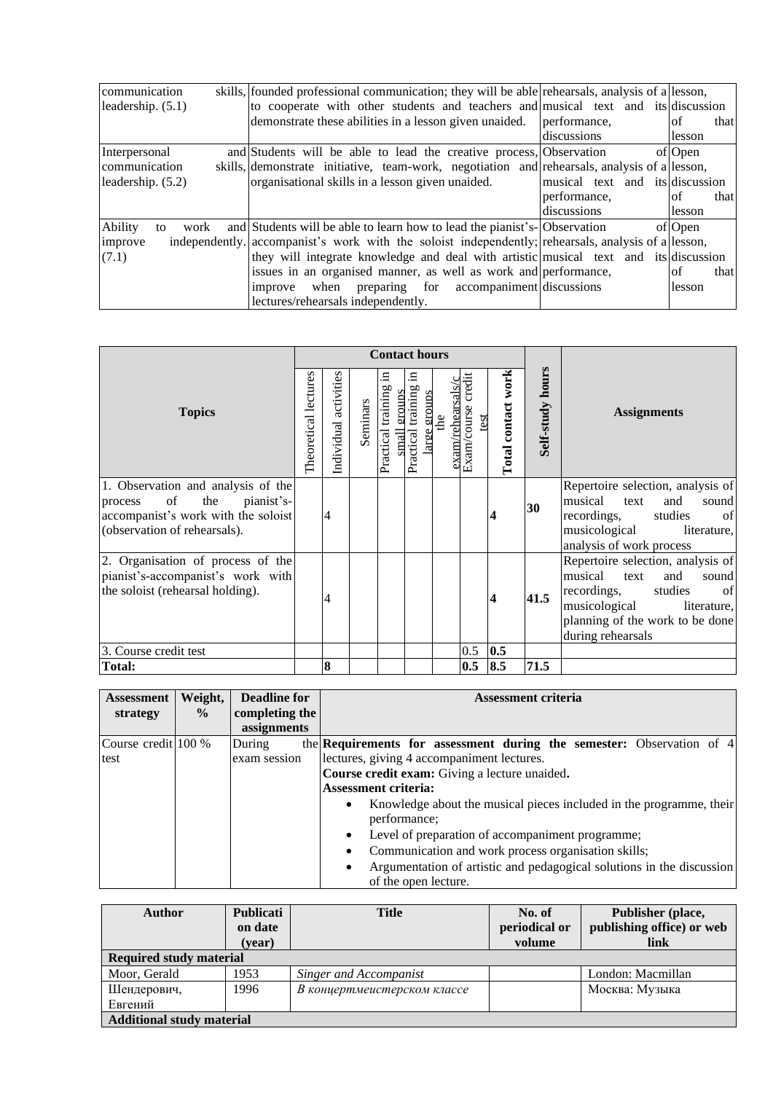| communication         | skills, founded professional communication; they will be able rehearsals, analysis of a lesson,     |                                 |             |
|-----------------------|-----------------------------------------------------------------------------------------------------|---------------------------------|-------------|
| leadership. $(5.1)$   | to cooperate with other students and teachers and musical text and its discussion                   |                                 |             |
|                       | demonstrate these abilities in a lesson given unaided.                                              | performance.                    | that<br>lof |
|                       |                                                                                                     | discussions                     | lesson      |
| Interpersonal         | and Students will be able to lead the creative process, Observation                                 |                                 | of Open     |
| communication         | skills, demonstrate initiative, team-work, negotiation and rehearsals, analysis of a lesson,        |                                 |             |
| leadership. (5.2)     | organisational skills in a lesson given unaided.                                                    | musical text and its discussion |             |
|                       |                                                                                                     | performance.                    | lof<br>that |
|                       |                                                                                                     | discussions                     | lesson      |
| Ability<br>work<br>to | and Students will be able to learn how to lead the pianist's-Observation                            |                                 | of Open     |
| improve               | independently. accompanist's work with the soloist independently; rehearsals, analysis of a lesson, |                                 |             |
| (7.1)                 | they will integrate knowledge and deal with artistic musical text and its discussion                |                                 |             |
|                       | issues in an organised manner, as well as work and performance,                                     |                                 | lof<br>that |
|                       | preparing for accompaniment discussions<br>when<br>improve                                          |                                 | lesson      |
|                       | lectures/rehearsals independently.                                                                  |                                 |             |

|                                                                                                                                                         |                      |                       |          | <b>Contact hours</b>                          |                                               |                          |                               |                    |                  |                                                                                                                                                                                              |
|---------------------------------------------------------------------------------------------------------------------------------------------------------|----------------------|-----------------------|----------|-----------------------------------------------|-----------------------------------------------|--------------------------|-------------------------------|--------------------|------------------|----------------------------------------------------------------------------------------------------------------------------------------------------------------------------------------------|
| <b>Topics</b>                                                                                                                                           | Theoretical lectures | Individual activities | Seminars | Ξ<br>training<br>groups<br>small<br>Practical | 日<br>training<br>groups<br>Practical<br>large | exam/rehearsals/c<br>the | credit<br>Exam/course<br>test | Total contact work | Self-study hours | <b>Assignments</b>                                                                                                                                                                           |
| 1. Observation and analysis of the<br>$\circ$ of<br>the<br>pianist's-<br>process<br>accompanist's work with the soloist<br>(observation of rehearsals). |                      | 4                     |          |                                               |                                               |                          |                               |                    | 30               | Repertoire selection, analysis of<br>musical<br>and<br>text<br>sound<br>of<br>recordings,<br>studies<br>musicological<br>literature,<br>analysis of work process                             |
| 2. Organisation of process of the<br>pianist's-accompanist's work with<br>the soloist (rehearsal holding).                                              |                      | 4                     |          |                                               |                                               |                          |                               | 4                  | 41.5             | Repertoire selection, analysis of<br>musical<br>sound<br>and<br>text<br>of<br>recordings,<br>studies<br>musicological<br>literature,<br>planning of the work to be done<br>during rehearsals |
| 3. Course credit test                                                                                                                                   |                      |                       |          |                                               |                                               |                          | $0.5\,$                       | 0.5                |                  |                                                                                                                                                                                              |
| <b>Total:</b>                                                                                                                                           |                      | 8                     |          |                                               |                                               |                          | 0.5                           | 8.5                | 71.5             |                                                                                                                                                                                              |

| <b>Assessment</b>   | Weight,       | <b>Deadline for</b> | <b>Assessment criteria</b>                                                       |  |  |  |  |
|---------------------|---------------|---------------------|----------------------------------------------------------------------------------|--|--|--|--|
| strategy            | $\frac{0}{0}$ | completing the      |                                                                                  |  |  |  |  |
|                     |               | assignments         |                                                                                  |  |  |  |  |
| Course credit 100 % |               | During              | the Requirements for assessment during the semester: Observation of 4            |  |  |  |  |
| test                |               | exam session        | lectures, giving 4 accompaniment lectures.                                       |  |  |  |  |
|                     |               |                     | <b>Course credit exam:</b> Giving a lecture unaided.                             |  |  |  |  |
|                     |               |                     | <b>Assessment criteria:</b>                                                      |  |  |  |  |
|                     |               |                     | Knowledge about the musical pieces included in the programme, their<br>$\bullet$ |  |  |  |  |
|                     |               |                     | performance;                                                                     |  |  |  |  |
|                     |               |                     | Level of preparation of accompaniment programme;<br>$\bullet$                    |  |  |  |  |
|                     |               |                     | Communication and work process organisation skills;                              |  |  |  |  |
|                     |               |                     | Argumentation of artistic and pedagogical solutions in the discussion            |  |  |  |  |
|                     |               |                     | of the open lecture.                                                             |  |  |  |  |

| <b>Author</b>                    | Publicati | <b>Title</b>                  | No. of        | Publisher (place,         |  |  |  |  |
|----------------------------------|-----------|-------------------------------|---------------|---------------------------|--|--|--|--|
|                                  | on date   |                               | periodical or | publishing office) or web |  |  |  |  |
|                                  | (year)    |                               | volume        | link                      |  |  |  |  |
| <b>Required study material</b>   |           |                               |               |                           |  |  |  |  |
| Moor, Gerald                     | 1953      | <b>Singer and Accompanist</b> |               | London: Macmillan         |  |  |  |  |
| Шендерович,                      | 1996      | В концертмеистерском классе   |               | Москва: Музыка            |  |  |  |  |
| Евгений                          |           |                               |               |                           |  |  |  |  |
| <b>Additional study material</b> |           |                               |               |                           |  |  |  |  |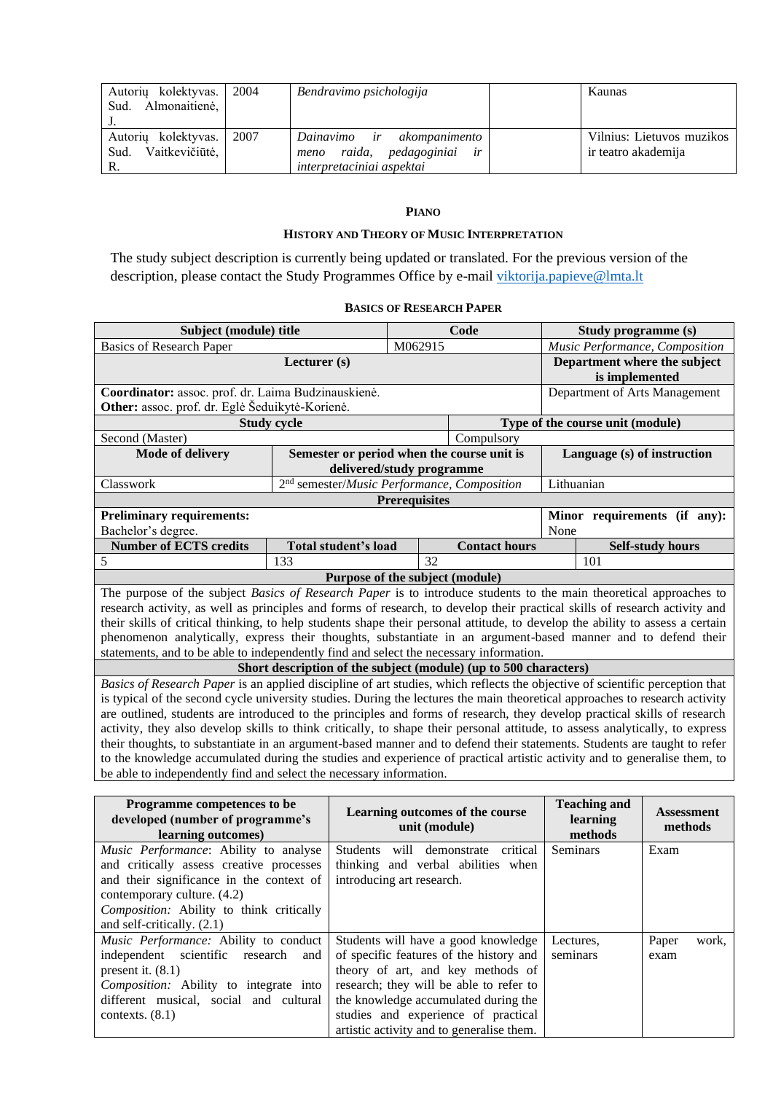| kolektyvas.<br>Autoriu<br>Almonaitienė,<br>Sud.     | 2004 | Bendravimo psichologija                                                                               | Kaunas                                           |
|-----------------------------------------------------|------|-------------------------------------------------------------------------------------------------------|--------------------------------------------------|
| Autorių kolektyvas.<br>Vaitkevičiūtė,<br>Sud.<br>R. | 2007 | ir<br>akompanimento<br>Dainavimo<br>pedagoginiai<br>raida,<br>ir<br>meno<br>interpretaciniai aspektai | Vilnius: Lietuvos muzikos<br>ir teatro akademija |

# **PIANO**

### **HISTORY AND THEORY OF MUSIC INTERPRETATION**

<span id="page-21-1"></span><span id="page-21-0"></span>The study subject description is currently being updated or translated. For the previous version of the description, please contact the Study Programmes Office by e-mail [viktorija.papieve@lmta.lt](mailto:viktorija.papieve@lmta.lt)

# **BASICS OF RESEARCH PAPER**

<span id="page-21-2"></span>

| Subject (module) title                                                                                                        |                                                                  |                           | Code                           |      | Study programme (s)              |
|-------------------------------------------------------------------------------------------------------------------------------|------------------------------------------------------------------|---------------------------|--------------------------------|------|----------------------------------|
| <b>Basics of Research Paper</b>                                                                                               |                                                                  |                           | Music Performance, Composition |      |                                  |
|                                                                                                                               | Lecturer (s)                                                     |                           |                                |      | Department where the subject     |
|                                                                                                                               |                                                                  |                           |                                |      | is implemented                   |
| Coordinator: assoc. prof. dr. Laima Budzinauskienė.                                                                           |                                                                  |                           |                                |      | Department of Arts Management    |
| Other: assoc. prof. dr. Eglė Šeduikytė-Korienė.                                                                               |                                                                  |                           |                                |      |                                  |
|                                                                                                                               | <b>Study cycle</b>                                               |                           |                                |      | Type of the course unit (module) |
| Second (Master)                                                                                                               |                                                                  |                           | Compulsory                     |      |                                  |
| <b>Mode of delivery</b>                                                                                                       | Semester or period when the course unit is                       |                           |                                |      | Language (s) of instruction      |
|                                                                                                                               |                                                                  | delivered/study programme |                                |      |                                  |
| Classwork                                                                                                                     | 2 <sup>nd</sup> semester/Music Performance, Composition          |                           |                                |      | Lithuanian                       |
|                                                                                                                               |                                                                  | <b>Prerequisites</b>      |                                |      |                                  |
| <b>Preliminary requirements:</b>                                                                                              |                                                                  |                           |                                |      | Minor requirements (if any):     |
| Bachelor's degree.                                                                                                            |                                                                  |                           |                                | None |                                  |
| <b>Number of ECTS credits</b>                                                                                                 | <b>Total student's load</b>                                      |                           | <b>Contact hours</b>           |      | <b>Self-study hours</b>          |
| 5                                                                                                                             | 133                                                              | 32                        |                                |      | 101                              |
|                                                                                                                               | Purpose of the subject (module)                                  |                           |                                |      |                                  |
| The purpose of the subject Basics of Research Paper is to introduce students to the main theoretical approaches to            |                                                                  |                           |                                |      |                                  |
| research activity, as well as principles and forms of research, to develop their practical skills of research activity and    |                                                                  |                           |                                |      |                                  |
| their skills of critical thinking, to help students shape their personal attitude, to develop the ability to assess a certain |                                                                  |                           |                                |      |                                  |
| phenomenon analytically, express their thoughts, substantiate in an argument-based manner and to defend their                 |                                                                  |                           |                                |      |                                  |
| statements, and to be able to independently find and select the necessary information.                                        |                                                                  |                           |                                |      |                                  |
|                                                                                                                               | Short description of the subject (module) (up to 500 characters) |                           |                                |      |                                  |
| Basics of Research Paper is an applied discipline of art studies, which reflects the objective of scientific perception that  |                                                                  |                           |                                |      |                                  |
| is typical of the second cycle university studies. During the lectures the main theoretical approaches to research activity   |                                                                  |                           |                                |      |                                  |
| are outlined, students are introduced to the principles and forms of research, they develop practical skills of research      |                                                                  |                           |                                |      |                                  |
| activity, they also develop skills to think critically, to shape their personal attitude, to assess analytically, to express  |                                                                  |                           |                                |      |                                  |
| their thoughts, to substantiate in an argument-based manner and to defend their statements. Students are taught to refer      |                                                                  |                           |                                |      |                                  |
| to the knowledge accumulated during the studies and experience of practical artistic activity and to generalise them, to      |                                                                  |                           |                                |      |                                  |
| be able to independently find and select the necessary information.                                                           |                                                                  |                           |                                |      |                                  |
| Dragramma campatangas ta ha                                                                                                   |                                                                  |                           |                                |      | Topohing and                     |

| Programme competences to be<br>developed (number of programme's<br>learning outcomes) | Learning outcomes of the course<br>unit (module) | <b>Teaching and</b><br>learning<br>methods | <b>Assessment</b><br>methods |
|---------------------------------------------------------------------------------------|--------------------------------------------------|--------------------------------------------|------------------------------|
| Music Performance: Ability to analyse                                                 | Students will demonstrate<br>critical            | <b>Seminars</b>                            | Exam                         |
| and critically assess creative processes                                              | thinking and verbal abilities when               |                                            |                              |
| and their significance in the context of                                              | introducing art research.                        |                                            |                              |
| contemporary culture. (4.2)                                                           |                                                  |                                            |                              |
| Composition: Ability to think critically                                              |                                                  |                                            |                              |
| and self-critically. $(2.1)$                                                          |                                                  |                                            |                              |
| Music Performance: Ability to conduct                                                 | Students will have a good knowledge              | Lectures.                                  | Paper<br>work,               |
| independent scientific research<br>and                                                | of specific features of the history and          | seminars                                   | exam                         |
| present it. $(8.1)$                                                                   | theory of art, and key methods of                |                                            |                              |
| <i>Composition:</i> Ability to integrate into                                         | research; they will be able to refer to          |                                            |                              |
| different musical, social and cultural                                                | the knowledge accumulated during the             |                                            |                              |
| contexts. $(8.1)$                                                                     | studies and experience of practical              |                                            |                              |
|                                                                                       | artistic activity and to generalise them.        |                                            |                              |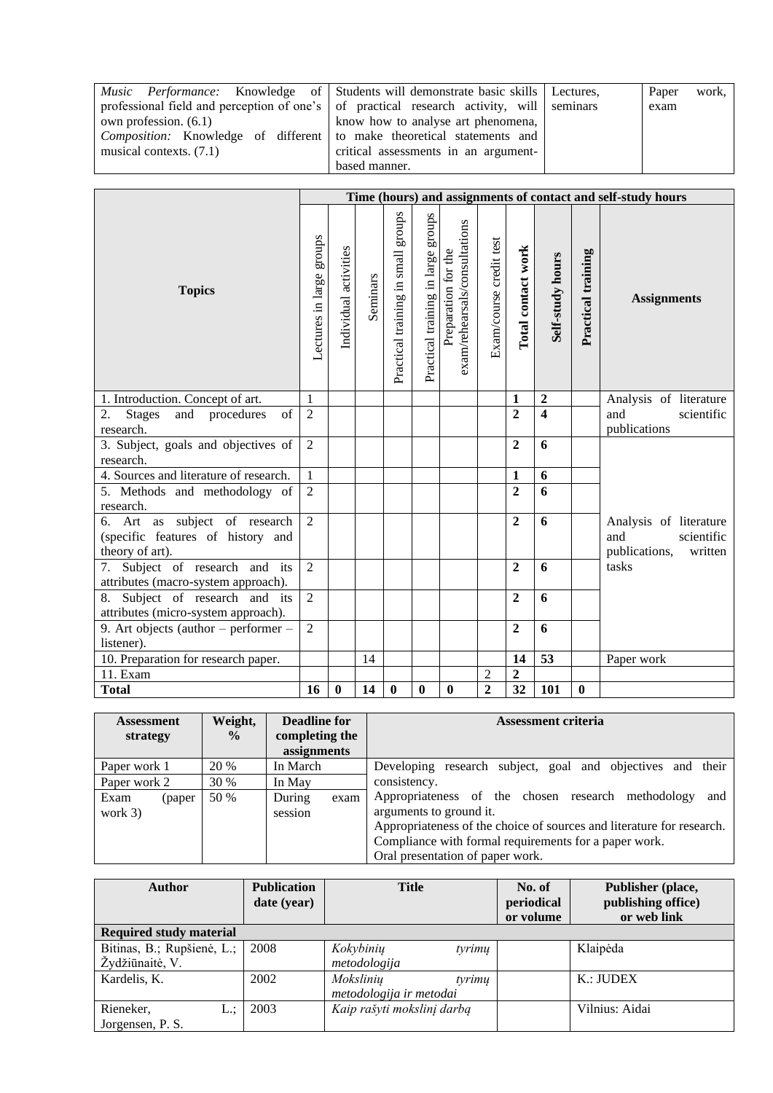| <i>Music Performance:</i> Knowledge of Students will demonstrate basic skills Lectures,  |                                      | Paper | work, |
|------------------------------------------------------------------------------------------|--------------------------------------|-------|-------|
| professional field and perception of one's of practical research activity, will seminars |                                      | exam  |       |
| own profession. $(6.1)$                                                                  | know how to analyse art phenomena,   |       |       |
| <i>Composition:</i> Knowledge of different to make theoretical statements and            |                                      |       |       |
| musical contexts. $(7.1)$                                                                | critical assessments in an argument- |       |       |
|                                                                                          | based manner.                        |       |       |

|                                                                                       |                          |                       |          |                                       |                                    |                                                      |                         |                    |                         |                    | Time (hours) and assignments of contact and self-study hours            |
|---------------------------------------------------------------------------------------|--------------------------|-----------------------|----------|---------------------------------------|------------------------------------|------------------------------------------------------|-------------------------|--------------------|-------------------------|--------------------|-------------------------------------------------------------------------|
| <b>Topics</b>                                                                         | Lectures in large groups | Individual activities | Seminars | schong<br>Practical training in small | Practical training in large groups | exam/rehearsals/consultations<br>Preparation for the | Exam/course credit test | Total contact work | Self-study hours        | Practical training | <b>Assignments</b>                                                      |
| 1. Introduction. Concept of art.                                                      | 1                        |                       |          |                                       |                                    |                                                      |                         | $\mathbf{1}$       | $\boldsymbol{2}$        |                    | Analysis of literature                                                  |
| of<br>2.<br><b>Stages</b><br>and procedures<br>research.                              | $\overline{2}$           |                       |          |                                       |                                    |                                                      |                         | $\overline{2}$     | $\overline{\mathbf{4}}$ |                    | and<br>scientific<br>publications                                       |
| 3. Subject, goals and objectives of<br>research.                                      | 2                        |                       |          |                                       |                                    |                                                      |                         | $\overline{2}$     | 6                       |                    |                                                                         |
| 4. Sources and literature of research.                                                | $\mathbf{1}$             |                       |          |                                       |                                    |                                                      |                         | 1                  | 6                       |                    |                                                                         |
| 5. Methods and methodology of<br>research.                                            | $\overline{2}$           |                       |          |                                       |                                    |                                                      |                         | $\overline{2}$     | 6                       |                    |                                                                         |
| 6. Art as subject of research<br>(specific features of history and<br>theory of art). | $\overline{2}$           |                       |          |                                       |                                    |                                                      |                         | $\mathbf{2}$       | 6                       |                    | Analysis of literature<br>scientific<br>and<br>publications,<br>written |
| 7. Subject of research and its<br>attributes (macro-system approach).                 | $\overline{2}$           |                       |          |                                       |                                    |                                                      |                         | $\mathbf{2}$       | 6                       |                    | tasks                                                                   |
| 8. Subject of research and its<br>attributes (micro-system approach).                 | $\overline{2}$           |                       |          |                                       |                                    |                                                      |                         | $\overline{2}$     | 6                       |                    |                                                                         |
| 9. Art objects (author $-$ performer $-$<br>listener).                                | 2                        |                       |          |                                       |                                    |                                                      |                         | $\overline{2}$     | 6                       |                    |                                                                         |
| 10. Preparation for research paper.                                                   |                          |                       | 14       |                                       |                                    |                                                      |                         | 14                 | 53                      |                    | Paper work                                                              |
| 11. Exam                                                                              |                          |                       |          |                                       |                                    |                                                      | $\overline{c}$          | $\overline{2}$     |                         |                    |                                                                         |
| <b>Total</b>                                                                          | 16                       | $\bf{0}$              | 14       | $\bf{0}$                              | $\bf{0}$                           | $\bf{0}$                                             | $\overline{2}$          | 32                 | 101                     | $\bf{0}$           |                                                                         |

| Assessment<br>strategy      | Weight,<br>$\frac{6}{9}$ | Deadline for<br>completing the<br>assignments | <b>Assessment criteria</b>                                                                                                                                                                                                                                 |
|-----------------------------|--------------------------|-----------------------------------------------|------------------------------------------------------------------------------------------------------------------------------------------------------------------------------------------------------------------------------------------------------------|
| Paper work 1                | 20 %                     | In March                                      | Developing research subject, goal and objectives and their                                                                                                                                                                                                 |
| Paper work 2                | 30 %                     | In May                                        | consistency.                                                                                                                                                                                                                                               |
| Exam<br>(paper<br>work $3)$ | 50 %                     | During<br>exam<br>session                     | Appropriateness of the chosen research methodology<br>and<br>arguments to ground it.<br>Appropriateness of the choice of sources and literature for research.<br>Compliance with formal requirements for a paper work.<br>Oral presentation of paper work. |

| <b>Author</b>                  | <b>Publication</b><br>date (year) | <b>Title</b>               | No. of<br>periodical | Publisher (place,<br>publishing office) |
|--------------------------------|-----------------------------------|----------------------------|----------------------|-----------------------------------------|
|                                |                                   |                            | or volume            | or web link                             |
| <b>Required study material</b> |                                   |                            |                      |                                         |
| Bitinas, B.; Rupšienė, L.;     | 2008                              | Kokybinių<br>tyrimų        |                      | Klaipėda                                |
| Žydžiūnaitė, V.                |                                   | metodologija               |                      |                                         |
| Kardelis, K.                   | 2002                              | Mokslinių<br>tyrimų        |                      | K.: JUDEX                               |
|                                |                                   | metodologija ir metodai    |                      |                                         |
| Rieneker,<br>L.:               | 2003                              | Kaip rašyti mokslinį darbą |                      | Vilnius: Aidai                          |
| Jorgensen, P. S.               |                                   |                            |                      |                                         |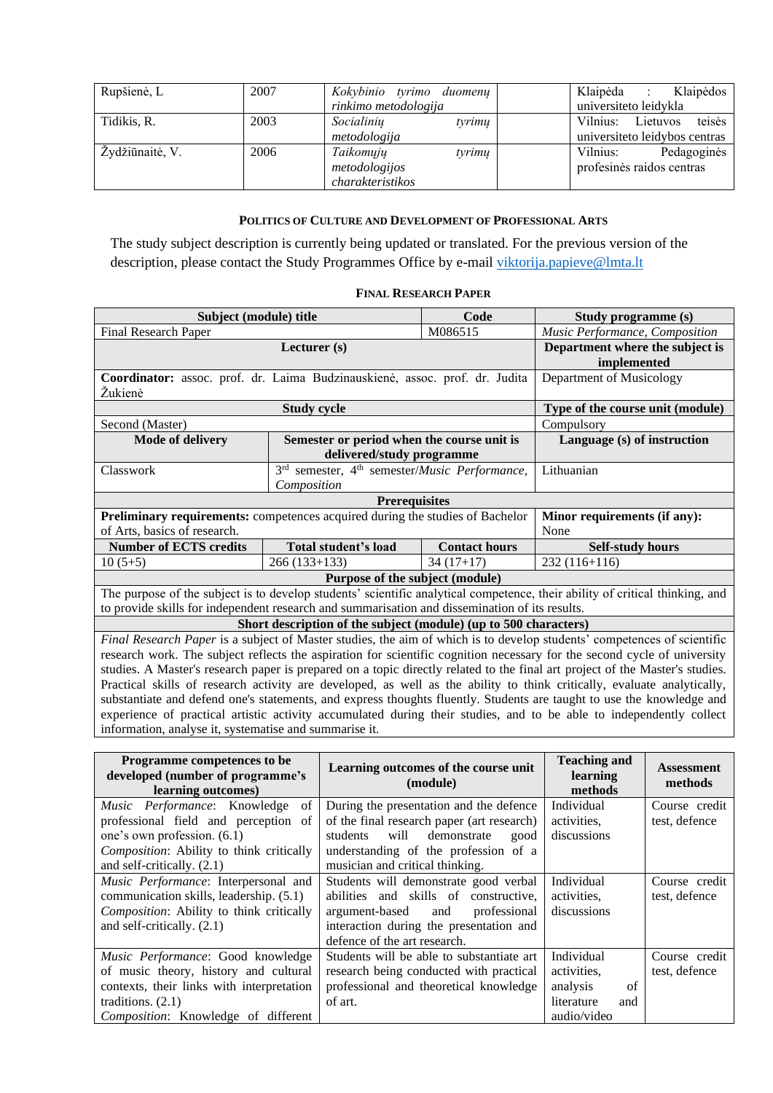| Rupšienė, L     | 2007 | Kokybinio tyrimo duomenų<br>rinkimo metodologija         | Klaipėda :<br>Klaipėdos<br>universiteto leidykla             |
|-----------------|------|----------------------------------------------------------|--------------------------------------------------------------|
| Tidikis, R.     | 2003 | Socialiniu<br>tyrimų<br>metodologija                     | Vilnius: Lietuvos<br>teisės<br>universiteto leidybos centras |
| Žydžiūnaitė, V. | 2006 | Taikomųjų<br>tyrimų<br>metodologijos<br>charakteristikos | Vilnius:<br>Pedagoginės<br>profesinės raidos centras         |

# **POLITICS OF CULTURE AND DEVELOPMENT OF PROFESSIONAL ARTS**

<span id="page-23-0"></span>The study subject description is currently being updated or translated. For the previous version of the description, please contact the Study Programmes Office by e-mail [viktorija.papieve@lmta.lt](mailto:viktorija.papieve@lmta.lt)

# **FINAL RESEARCH PAPER**

<span id="page-23-1"></span>

|                                                                                                                              |                                                                                | Subject (module) title<br>Code |                                                                                                                              |  |  |  |  |  |
|------------------------------------------------------------------------------------------------------------------------------|--------------------------------------------------------------------------------|--------------------------------|------------------------------------------------------------------------------------------------------------------------------|--|--|--|--|--|
| Final Research Paper                                                                                                         | Music Performance, Composition                                                 |                                |                                                                                                                              |  |  |  |  |  |
|                                                                                                                              | Lecturer (s)                                                                   |                                | Department where the subject is<br>implemented                                                                               |  |  |  |  |  |
| Coordinator: assoc. prof. dr. Laima Budzinauskienė, assoc. prof. dr. Judita<br>Žukienė                                       |                                                                                |                                | Department of Musicology                                                                                                     |  |  |  |  |  |
|                                                                                                                              | <b>Study cycle</b>                                                             |                                | Type of the course unit (module)                                                                                             |  |  |  |  |  |
| Second (Master)                                                                                                              |                                                                                |                                | Compulsory                                                                                                                   |  |  |  |  |  |
| <b>Mode of delivery</b>                                                                                                      | Semester or period when the course unit is                                     |                                | Language (s) of instruction                                                                                                  |  |  |  |  |  |
|                                                                                                                              | delivered/study programme                                                      |                                |                                                                                                                              |  |  |  |  |  |
| Classwork                                                                                                                    | 3 <sup>rd</sup> semester, 4 <sup>th</sup> semester/ <i>Music Performance</i> , |                                | Lithuanian                                                                                                                   |  |  |  |  |  |
|                                                                                                                              | Composition                                                                    |                                |                                                                                                                              |  |  |  |  |  |
| <b>Prerequisites</b>                                                                                                         |                                                                                |                                |                                                                                                                              |  |  |  |  |  |
| Preliminary requirements: competences acquired during the studies of Bachelor                                                |                                                                                |                                | Minor requirements (if any):                                                                                                 |  |  |  |  |  |
| of Arts, basics of research.                                                                                                 |                                                                                |                                | None                                                                                                                         |  |  |  |  |  |
| <b>Number of ECTS credits</b>                                                                                                | Total student's load                                                           | <b>Contact hours</b>           | <b>Self-study hours</b>                                                                                                      |  |  |  |  |  |
| $10(5+5)$                                                                                                                    | $266(133+133)$                                                                 | $34(17+17)$                    | $232(116+116)$                                                                                                               |  |  |  |  |  |
|                                                                                                                              | Purpose of the subject (module)                                                |                                |                                                                                                                              |  |  |  |  |  |
|                                                                                                                              |                                                                                |                                | The purpose of the subject is to develop students' scientific analytical competence, their ability of critical thinking, and |  |  |  |  |  |
| to provide skills for independent research and summarisation and dissemination of its results.                               |                                                                                |                                |                                                                                                                              |  |  |  |  |  |
|                                                                                                                              | Short description of the subject (module) (up to 500 characters)               |                                |                                                                                                                              |  |  |  |  |  |
|                                                                                                                              |                                                                                |                                | Final Research Paper is a subject of Master studies, the aim of which is to develop students' competences of scientific      |  |  |  |  |  |
|                                                                                                                              |                                                                                |                                | research work. The subject reflects the aspiration for scientific cognition necessary for the second cycle of university     |  |  |  |  |  |
| studies. A Master's research paper is prepared on a topic directly related to the final art project of the Master's studies. |                                                                                |                                |                                                                                                                              |  |  |  |  |  |
|                                                                                                                              |                                                                                |                                | Practical skills of research activity are developed, as well as the ability to think critically, evaluate analytically,      |  |  |  |  |  |
|                                                                                                                              |                                                                                |                                | substantiate and defend one's statements, and express thoughts fluently. Students are taught to use the knowledge and        |  |  |  |  |  |
|                                                                                                                              |                                                                                |                                | experience of practical artistic activity accumulated during their studies, and to be able to independently collect          |  |  |  |  |  |

information, analyse it, systematise and summarise it.

| Programme competences to be<br>developed (number of programme's<br>learning outcomes) | Learning outcomes of the course unit<br>(module) | <b>Teaching and</b><br>learning<br>methods | <b>Assessment</b><br>methods |
|---------------------------------------------------------------------------------------|--------------------------------------------------|--------------------------------------------|------------------------------|
| Music Performance: Knowledge of                                                       | During the presentation and the defence          | Individual                                 | Course credit                |
| professional field and perception of                                                  | of the final research paper (art research)       | activities.                                | test, defence                |
| one's own profession. (6.1)                                                           | will demonstrate<br>students<br>good             | discussions                                |                              |
| Composition: Ability to think critically                                              | understanding of the profession of a             |                                            |                              |
| and self-critically. $(2.1)$                                                          | musician and critical thinking.                  |                                            |                              |
| Music Performance: Interpersonal and                                                  | Students will demonstrate good verbal            | Individual                                 | Course credit                |
| communication skills, leadership. (5.1)                                               | abilities and skills of constructive,            | activities,                                | test, defence                |
| Composition: Ability to think critically                                              | argument-based<br>professional<br>and            | discussions                                |                              |
| and self-critically. (2.1)                                                            | interaction during the presentation and          |                                            |                              |
|                                                                                       | defence of the art research.                     |                                            |                              |
| Music Performance: Good knowledge                                                     | Students will be able to substantiate art        | Individual                                 | Course credit                |
| of music theory, history and cultural                                                 | research being conducted with practical          | activities,                                | test, defence                |
| contexts, their links with interpretation                                             | professional and theoretical knowledge           | analysis<br>of                             |                              |
| traditions. $(2.1)$                                                                   | of art.                                          | literature<br>and                          |                              |
| Composition: Knowledge of different                                                   |                                                  | audio/video                                |                              |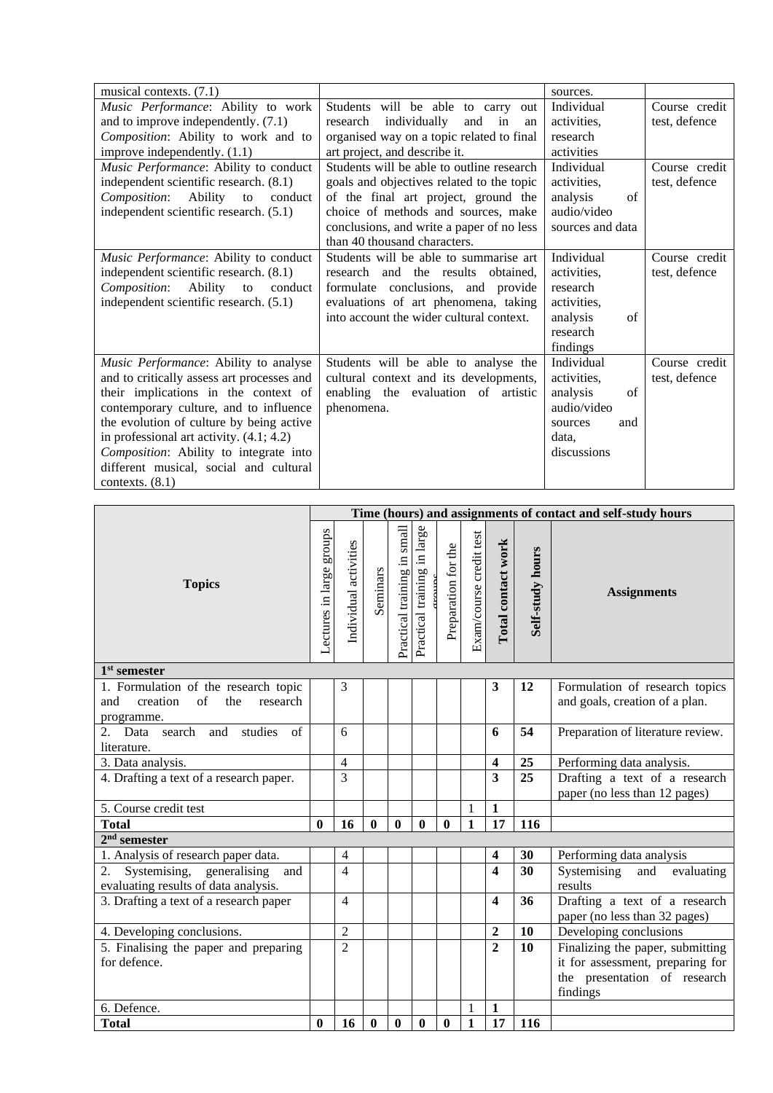| musical contexts. (7.1)                    |                                           | sources.         |               |
|--------------------------------------------|-------------------------------------------|------------------|---------------|
| Music Performance: Ability to work         | Students will be able to carry<br>out     | Individual       | Course credit |
| and to improve independently. $(7.1)$      | research individually<br>and in<br>an     | activities,      | test, defence |
| Composition: Ability to work and to        | organised way on a topic related to final | research         |               |
| improve independently. $(1.1)$             | art project, and describe it.             | activities       |               |
| Music Performance: Ability to conduct      | Students will be able to outline research | Individual       | Course credit |
| independent scientific research. (8.1)     | goals and objectives related to the topic | activities.      | test, defence |
| Composition:<br>Ability to<br>conduct      | of the final art project, ground the      | analysis<br>of   |               |
| independent scientific research. (5.1)     | choice of methods and sources, make       | audio/video      |               |
|                                            | conclusions, and write a paper of no less | sources and data |               |
|                                            | than 40 thousand characters.              |                  |               |
| Music Performance: Ability to conduct      | Students will be able to summarise art    | Individual       | Course credit |
| independent scientific research. (8.1)     | research and the results obtained.        | activities.      | test, defence |
| Composition: Ability to<br>conduct         | formulate conclusions, and provide        | research         |               |
| independent scientific research. (5.1)     | evaluations of art phenomena, taking      | activities.      |               |
|                                            | into account the wider cultural context.  | analysis<br>of   |               |
|                                            |                                           | research         |               |
|                                            |                                           | findings         |               |
| Music Performance: Ability to analyse      | Students will be able to analyse the      | Individual       | Course credit |
| and to critically assess art processes and | cultural context and its developments,    | activities.      | test, defence |
| their implications in the context of       | enabling the evaluation of artistic       | of<br>analysis   |               |
| contemporary culture, and to influence     | phenomena.                                | audio/video      |               |
| the evolution of culture by being active   |                                           | and<br>sources   |               |
| in professional art activity. $(4.1; 4.2)$ |                                           | data,            |               |
| Composition: Ability to integrate into     |                                           | discussions      |               |
| different musical, social and cultural     |                                           |                  |               |
| contexts. $(8.1)$                          |                                           |                  |               |

|                                                                                                        | Time (hours) and assignments of contact and self-study hours |                       |          |                             |                             |                     |                         |                         |                  |                                                                  |
|--------------------------------------------------------------------------------------------------------|--------------------------------------------------------------|-----------------------|----------|-----------------------------|-----------------------------|---------------------|-------------------------|-------------------------|------------------|------------------------------------------------------------------|
| <b>Topics</b>                                                                                          | Lectures in large groups                                     | Individual activities | Seminars | Practical training in small | Practical training in large | Preparation for the | Exam/course credit test | Total contact work      | Self-study hours | <b>Assignments</b>                                               |
| $1st$ semester                                                                                         |                                                              |                       |          |                             |                             |                     |                         |                         |                  |                                                                  |
| 1. Formulation of the research topic<br>and<br>creation<br>$\sigma$ f<br>the<br>research<br>programme. |                                                              | 3                     |          |                             |                             |                     |                         | 3                       | 12               | Formulation of research topics<br>and goals, creation of a plan. |
| search<br>studies<br>of<br>2.<br>Data<br>and<br>literature.                                            |                                                              | 6                     |          |                             |                             |                     |                         | 6                       | 54               | Preparation of literature review.                                |
| 3. Data analysis.                                                                                      |                                                              | $\overline{4}$        |          |                             |                             |                     |                         | $\overline{\mathbf{4}}$ | 25               | Performing data analysis.                                        |
| 4. Drafting a text of a research paper.                                                                |                                                              | 3                     |          |                             |                             |                     |                         | 3                       | 25               | Drafting a text of a research<br>paper (no less than 12 pages)   |
| 5. Course credit test                                                                                  |                                                              |                       |          |                             |                             |                     | 1                       | 1                       |                  |                                                                  |
| <b>Total</b>                                                                                           | $\bf{0}$                                                     | 16                    | $\bf{0}$ | $\mathbf{0}$                | $\bf{0}$                    | $\mathbf{0}$        | $\mathbf{1}$            | 17                      | 116              |                                                                  |
| $2nd$ semester                                                                                         |                                                              |                       |          |                             |                             |                     |                         |                         |                  |                                                                  |
| 1. Analysis of research paper data.                                                                    |                                                              | $\overline{4}$        |          |                             |                             |                     |                         | 4                       | 30               | Performing data analysis                                         |
| Systemising, generalising<br>2.<br>and<br>evaluating results of data analysis.                         |                                                              | $\overline{4}$        |          |                             |                             |                     |                         | 4                       | 30               | Systemising<br>and<br>evaluating<br>results                      |
| 3. Drafting a text of a research paper                                                                 |                                                              | 4                     |          |                             |                             |                     |                         | 4                       | 36               | Drafting a text of a research<br>paper (no less than 32 pages)   |
| 4. Developing conclusions.                                                                             |                                                              | $\overline{2}$        |          |                             |                             |                     |                         | $\overline{2}$          | 10               | Developing conclusions                                           |
| 5. Finalising the paper and preparing                                                                  |                                                              | $\mathfrak{D}$        |          |                             |                             |                     |                         | $\overline{2}$          | 10               | Finalizing the paper, submitting                                 |
| for defence.                                                                                           |                                                              |                       |          |                             |                             |                     |                         |                         |                  | it for assessment, preparing for                                 |
|                                                                                                        |                                                              |                       |          |                             |                             |                     |                         |                         |                  | the presentation of research                                     |
|                                                                                                        |                                                              |                       |          |                             |                             |                     |                         |                         |                  | findings                                                         |
| 6. Defence.                                                                                            |                                                              |                       |          |                             |                             |                     | 1                       | 1                       |                  |                                                                  |
| <b>Total</b>                                                                                           | $\bf{0}$                                                     | 16                    | $\bf{0}$ | $\boldsymbol{0}$            | $\bf{0}$                    | $\bf{0}$            | $\mathbf{1}$            | 17                      | 116              |                                                                  |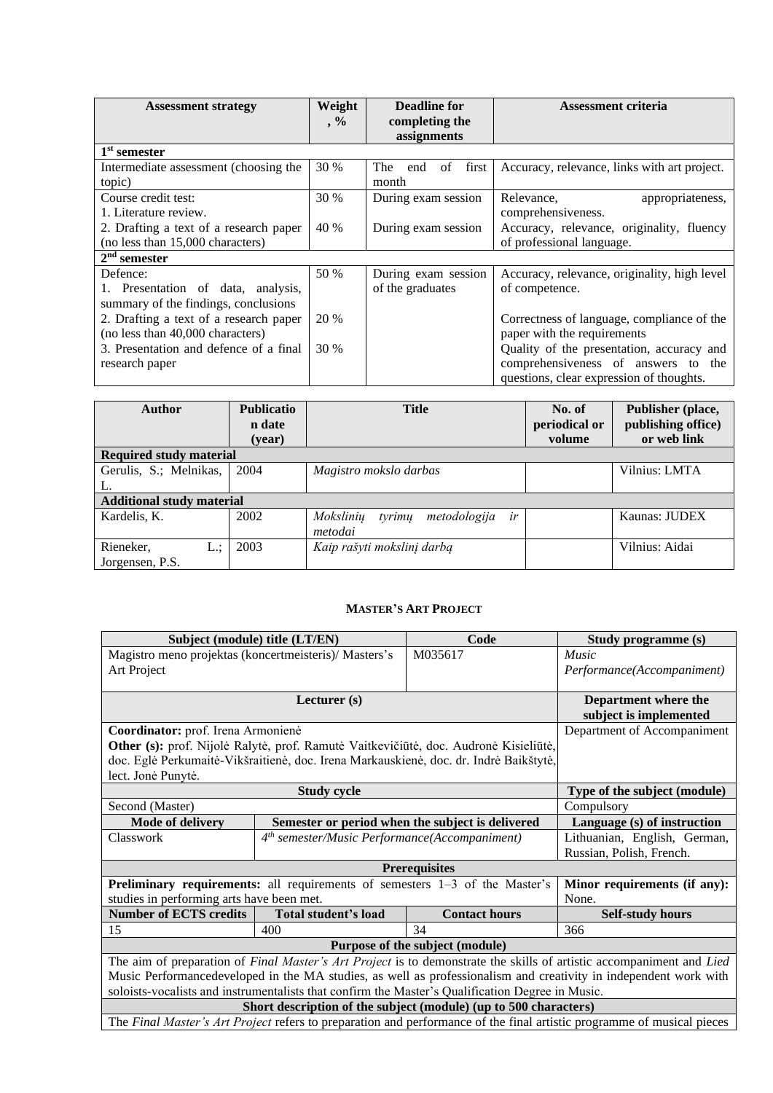| <b>Assessment strategy</b>             | Weight | Deadline for                  | <b>Assessment criteria</b>                   |  |  |
|----------------------------------------|--------|-------------------------------|----------------------------------------------|--|--|
|                                        | $, \%$ | completing the<br>assignments |                                              |  |  |
| 1 <sup>st</sup> semester               |        |                               |                                              |  |  |
| Intermediate assessment (choosing the  | 30 %   | The<br>of<br>first  <br>end   | Accuracy, relevance, links with art project. |  |  |
| topic)                                 |        | month                         |                                              |  |  |
| Course credit test:                    | 30 %   | During exam session           | Relevance,<br>appropriateness,               |  |  |
| 1. Literature review.                  |        |                               | comprehensiveness.                           |  |  |
| 2. Drafting a text of a research paper | 40 %   | During exam session           | Accuracy, relevance, originality, fluency    |  |  |
| (no less than 15,000 characters)       |        |                               | of professional language.                    |  |  |
| $2nd$ semester                         |        |                               |                                              |  |  |
| Defence:                               | 50 %   | During exam session           | Accuracy, relevance, originality, high level |  |  |
| 1. Presentation of data, analysis,     |        | of the graduates              | of competence.                               |  |  |
| summary of the findings, conclusions   |        |                               |                                              |  |  |
| 2. Drafting a text of a research paper | 20 %   |                               | Correctness of language, compliance of the   |  |  |
| (no less than 40,000 characters)       |        |                               | paper with the requirements                  |  |  |
| 3. Presentation and defence of a final | 30 %   |                               | Quality of the presentation, accuracy and    |  |  |
| research paper                         |        |                               | comprehensiveness of answers to<br>the       |  |  |
|                                        |        |                               | questions, clear expression of thoughts.     |  |  |

| Author                           | <b>Publicatio</b><br>n date | <b>Title</b>                              | No. of<br>periodical or | Publisher (place,<br>publishing office) |
|----------------------------------|-----------------------------|-------------------------------------------|-------------------------|-----------------------------------------|
|                                  | (year)                      |                                           | volume                  | or web link                             |
| <b>Required study material</b>   |                             |                                           |                         |                                         |
| Gerulis, S.; Melnikas,           | 2004                        | Magistro mokslo darbas                    |                         | Vilnius: LMTA                           |
| L.                               |                             |                                           |                         |                                         |
| <b>Additional study material</b> |                             |                                           |                         |                                         |
| Kardelis, K.                     | 2002                        | Mokslinių<br>metodologija<br>ir<br>tyrimu |                         | Kaunas: JUDEX                           |
|                                  |                             | metodai                                   |                         |                                         |
| Rieneker,<br>L.:                 | 2003                        | Kaip rašyti mokslinį darbą                |                         | Vilnius: Aidai                          |
| Jorgensen, P.S.                  |                             |                                           |                         |                                         |

### **MASTER'S ART PROJECT**

<span id="page-25-0"></span>

| Subject (module) title (LT/EN)                        |                                                                                                                      | Code                                                                                                                                                                                                                           | Study programme (s)          |
|-------------------------------------------------------|----------------------------------------------------------------------------------------------------------------------|--------------------------------------------------------------------------------------------------------------------------------------------------------------------------------------------------------------------------------|------------------------------|
| Magistro meno projektas (koncertmeisteris)/ Masters's |                                                                                                                      | Music                                                                                                                                                                                                                          |                              |
| Art Project                                           |                                                                                                                      |                                                                                                                                                                                                                                | Performance(Accompaniment)   |
|                                                       |                                                                                                                      |                                                                                                                                                                                                                                |                              |
|                                                       | Lecturer (s)                                                                                                         |                                                                                                                                                                                                                                | Department where the         |
|                                                       |                                                                                                                      |                                                                                                                                                                                                                                | subject is implemented       |
| Coordinator: prof. Irena Armonienė                    |                                                                                                                      |                                                                                                                                                                                                                                | Department of Accompaniment  |
|                                                       |                                                                                                                      | Other (s): prof. Nijolė Ralytė, prof. Ramutė Vaitkevičiūtė, doc. Audronė Kisieliūtė,                                                                                                                                           |                              |
|                                                       |                                                                                                                      | doc. Eglė Perkumaitė-Vikšraitienė, doc. Irena Markauskienė, doc. dr. Indrė Baikštytė,                                                                                                                                          |                              |
| lect. Jonė Punytė.                                    |                                                                                                                      |                                                                                                                                                                                                                                |                              |
|                                                       | <b>Study cycle</b>                                                                                                   |                                                                                                                                                                                                                                | Type of the subject (module) |
| Second (Master)                                       | Compulsory                                                                                                           |                                                                                                                                                                                                                                |                              |
| <b>Mode of delivery</b>                               |                                                                                                                      | Semester or period when the subject is delivered                                                                                                                                                                               | Language (s) of instruction  |
| Classwork                                             | 4 <sup>th</sup> semester/Music Performance(Accompaniment)                                                            |                                                                                                                                                                                                                                | Lithuanian, English, German, |
|                                                       |                                                                                                                      |                                                                                                                                                                                                                                | Russian, Polish, French.     |
|                                                       |                                                                                                                      | <b>Prerequisites</b>                                                                                                                                                                                                           |                              |
|                                                       | Preliminary requirements: all requirements of semesters 1-3 of the Master's                                          |                                                                                                                                                                                                                                | Minor requirements (if any): |
| studies in performing arts have been met.             |                                                                                                                      |                                                                                                                                                                                                                                | None.                        |
| <b>Number of ECTS credits</b>                         | Total student's load                                                                                                 | <b>Contact hours</b>                                                                                                                                                                                                           | <b>Self-study hours</b>      |
| 15                                                    | 400                                                                                                                  | 34                                                                                                                                                                                                                             | 366                          |
|                                                       |                                                                                                                      | Purpose of the subject (module)                                                                                                                                                                                                |                              |
|                                                       | The aim of preparation of Final Master's Art Project is to demonstrate the skills of artistic accompaniment and Lied |                                                                                                                                                                                                                                |                              |
|                                                       | Music Performancedeveloped in the MA studies, as well as professionalism and creativity in independent work with     |                                                                                                                                                                                                                                |                              |
|                                                       |                                                                                                                      | soloists-vocalists and instrumentalists that confirm the Master's Qualification Degree in Music.                                                                                                                               |                              |
|                                                       |                                                                                                                      | Short description of the subject (module) (up to 500 characters)                                                                                                                                                               |                              |
|                                                       |                                                                                                                      | marting the state of the contract of the contract of the contract of the contract of the contract of the contract of the contract of the contract of the contract of the contract of the contract of the contract of the contr | $\cdots$<br>$\mathbf{r}$     |

The *Final Master's Art Project* refers to preparation and performance of the final artistic programme of musical pieces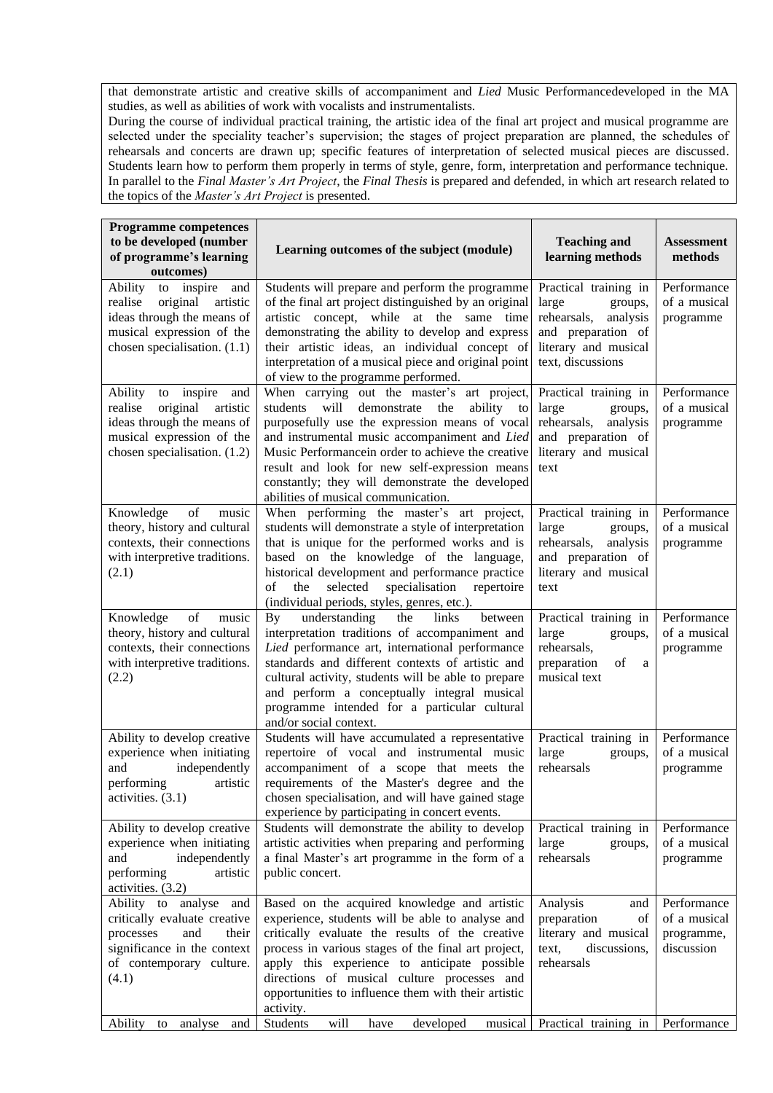that demonstrate artistic and creative skills of accompaniment and *Lied* Music Performancedeveloped in the MA studies, as well as abilities of work with vocalists and instrumentalists.

During the course of individual practical training, the artistic idea of the final art project and musical programme are selected under the speciality teacher's supervision; the stages of project preparation are planned, the schedules of rehearsals and concerts are drawn up; specific features of interpretation of selected musical pieces are discussed. Students learn how to perform them properly in terms of style, genre, form, interpretation and performance technique. In parallel to the *Final Master's Art Project*, the *Final Thesis* is prepared and defended, in which art research related to the topics of the *Master's Art Project* is presented.

| <b>Programme competences</b><br>to be developed (number<br>of programme's learning<br>outcomes) | Learning outcomes of the subject (module)                                                                 | <b>Teaching and</b><br>learning methods     | <b>Assessment</b><br>methods |
|-------------------------------------------------------------------------------------------------|-----------------------------------------------------------------------------------------------------------|---------------------------------------------|------------------------------|
| to inspire<br>Ability<br>and<br>original<br>realise<br>artistic                                 | Students will prepare and perform the programme<br>of the final art project distinguished by an original  | Practical training in<br>large<br>groups,   | Performance<br>of a musical  |
| ideas through the means of                                                                      | artistic concept, while at the same time                                                                  | rehearsals,<br>analysis                     | programme                    |
| musical expression of the                                                                       | demonstrating the ability to develop and express                                                          | and preparation of                          |                              |
| chosen specialisation. (1.1)                                                                    | their artistic ideas, an individual concept of                                                            | literary and musical                        |                              |
|                                                                                                 | interpretation of a musical piece and original point<br>of view to the programme performed.               | text, discussions                           |                              |
| Ability<br>to inspire<br>and                                                                    | When carrying out the master's art project,                                                               | Practical training in                       | Performance                  |
| original<br>realise<br>artistic<br>ideas through the means of                                   | will<br>ability<br>students<br>demonstrate<br>the<br>to<br>purposefully use the expression means of vocal | large<br>groups,<br>rehearsals,<br>analysis | of a musical<br>programme    |
| musical expression of the                                                                       | and instrumental music accompaniment and Lied                                                             | and preparation of                          |                              |
| chosen specialisation. (1.2)                                                                    | Music Performancein order to achieve the creative                                                         | literary and musical                        |                              |
|                                                                                                 | result and look for new self-expression means                                                             | text                                        |                              |
|                                                                                                 | constantly; they will demonstrate the developed                                                           |                                             |                              |
|                                                                                                 | abilities of musical communication.                                                                       |                                             |                              |
| Knowledge<br>of<br>music<br>theory, history and cultural                                        | When performing the master's art project,<br>students will demonstrate a style of interpretation          | Practical training in<br>large<br>groups,   | Performance<br>of a musical  |
| contexts, their connections                                                                     | that is unique for the performed works and is                                                             | rehearsals,<br>analysis                     | programme                    |
| with interpretive traditions.                                                                   | based on the knowledge of the language,                                                                   | and preparation of                          |                              |
| (2.1)                                                                                           | historical development and performance practice                                                           | literary and musical                        |                              |
|                                                                                                 | selected<br>specialisation<br>repertoire<br>the<br>οf                                                     | text                                        |                              |
|                                                                                                 | (individual periods, styles, genres, etc.).                                                               |                                             |                              |
| Knowledge<br>of<br>music<br>theory, history and cultural                                        | understanding<br>By<br>the<br>links<br>between<br>interpretation traditions of accompaniment and          | Practical training in<br>large<br>groups,   | Performance<br>of a musical  |
| contexts, their connections                                                                     | Lied performance art, international performance                                                           | rehearsals,                                 | programme                    |
| with interpretive traditions.                                                                   | standards and different contexts of artistic and                                                          | preparation<br>of<br>a                      |                              |
| (2.2)                                                                                           | cultural activity, students will be able to prepare                                                       | musical text                                |                              |
|                                                                                                 | and perform a conceptually integral musical                                                               |                                             |                              |
|                                                                                                 | programme intended for a particular cultural                                                              |                                             |                              |
| Ability to develop creative                                                                     | and/or social context.<br>Students will have accumulated a representative                                 | Practical training in                       | Performance                  |
| experience when initiating                                                                      | repertoire of vocal and instrumental music                                                                | large<br>groups,                            | of a musical                 |
| and<br>independently                                                                            | accompaniment of a scope that meets the                                                                   | rehearsals                                  | programme                    |
| performing<br>artistic                                                                          | requirements of the Master's degree and the                                                               |                                             |                              |
| activities. $(3.1)$                                                                             | chosen specialisation, and will have gained stage                                                         |                                             |                              |
| Ability to develop creative                                                                     | experience by participating in concert events.<br>Students will demonstrate the ability to develop        | Practical training in                       | Performance                  |
| experience when initiating                                                                      | artistic activities when preparing and performing                                                         | large<br>groups,                            | of a musical                 |
| independently<br>and                                                                            | a final Master's art programme in the form of a                                                           | rehearsals                                  | programme                    |
| performing<br>artistic                                                                          | public concert.                                                                                           |                                             |                              |
| activities. (3.2)                                                                               |                                                                                                           |                                             |                              |
| Ability to analyse<br>and                                                                       | Based on the acquired knowledge and artistic                                                              | Analysis<br>and                             | Performance                  |
| critically evaluate creative                                                                    | experience, students will be able to analyse and                                                          | preparation<br>of<br>literary and musical   | of a musical                 |
| processes<br>and<br>their<br>significance in the context                                        | critically evaluate the results of the creative<br>process in various stages of the final art project,    | discussions,<br>text,                       | programme,<br>discussion     |
| of contemporary culture.                                                                        | apply this experience to anticipate possible                                                              | rehearsals                                  |                              |
| (4.1)                                                                                           | directions of musical culture processes and                                                               |                                             |                              |
|                                                                                                 | opportunities to influence them with their artistic                                                       |                                             |                              |
|                                                                                                 | activity.                                                                                                 |                                             |                              |
| Ability to<br>analyse<br>and                                                                    | will<br>developed<br>Students<br>have<br>musical                                                          | Practical training in                       | Performance                  |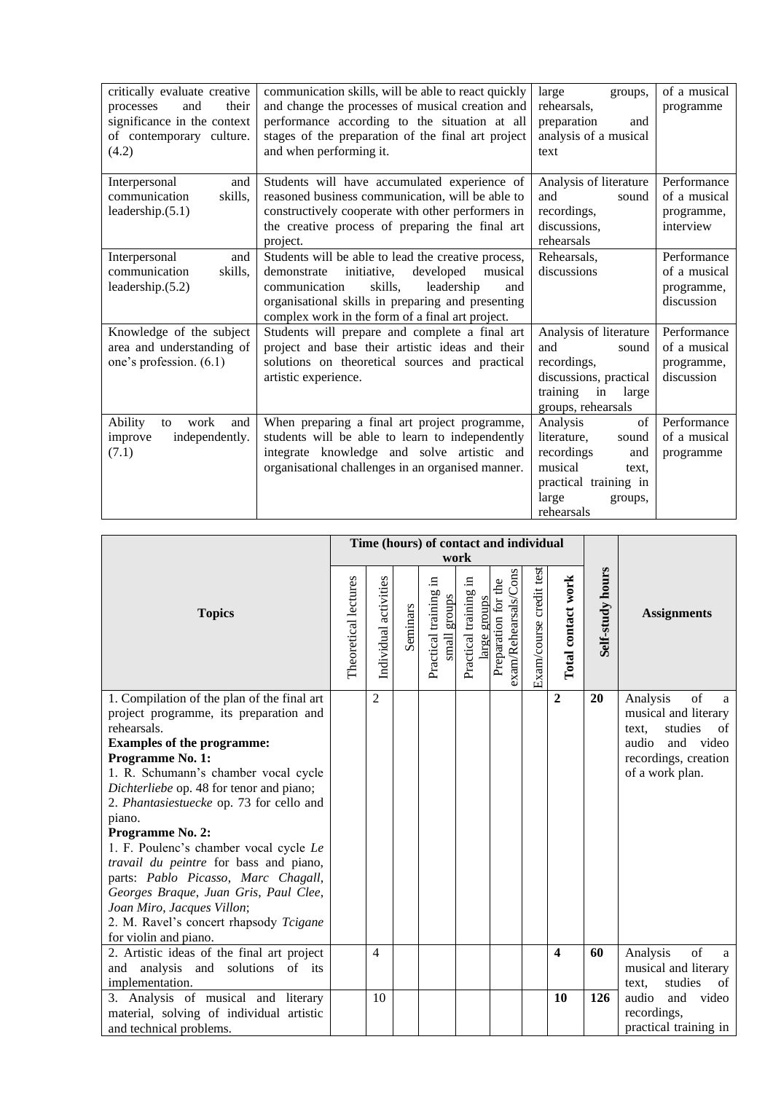| critically evaluate creative<br>and<br>their<br>processes<br>significance in the context<br>of contemporary culture.<br>(4.2) | communication skills, will be able to react quickly<br>and change the processes of musical creation and<br>performance according to the situation at all<br>stages of the preparation of the final art project<br>and when performing it.                           | large<br>groups,<br>rehearsals,<br>preparation<br>and<br>analysis of a musical<br>text                                                     | of a musical<br>programme                               |
|-------------------------------------------------------------------------------------------------------------------------------|---------------------------------------------------------------------------------------------------------------------------------------------------------------------------------------------------------------------------------------------------------------------|--------------------------------------------------------------------------------------------------------------------------------------------|---------------------------------------------------------|
| Interpersonal<br>and<br>communication<br>skills,<br>leadership. $(5.1)$                                                       | Students will have accumulated experience of<br>reasoned business communication, will be able to<br>constructively cooperate with other performers in<br>the creative process of preparing the final art<br>project.                                                | Analysis of literature<br>and<br>sound<br>recordings,<br>discussions,<br>rehearsals                                                        | Performance<br>of a musical<br>programme,<br>interview  |
| Interpersonal<br>and<br>communication<br>skills,<br>leadership. $(5.2)$                                                       | Students will be able to lead the creative process,<br>developed<br>demonstrate<br>initiative,<br>musical<br>skills,<br>communication<br>leadership<br>and<br>organisational skills in preparing and presenting<br>complex work in the form of a final art project. | Rehearsals,<br>discussions                                                                                                                 | Performance<br>of a musical<br>programme,<br>discussion |
| Knowledge of the subject<br>area and understanding of<br>one's profession. (6.1)                                              | Students will prepare and complete a final art<br>project and base their artistic ideas and their<br>solutions on theoretical sources and practical<br>artistic experience.                                                                                         | Analysis of literature<br>and<br>sound<br>recordings,<br>discussions, practical<br>training<br>in<br>large<br>groups, rehearsals           | Performance<br>of a musical<br>programme,<br>discussion |
| work<br>Ability<br>and<br>to<br>independently.<br>improve<br>(7.1)                                                            | When preparing a final art project programme,<br>students will be able to learn to independently<br>integrate knowledge and solve artistic and<br>organisational challenges in an organised manner.                                                                 | Analysis<br>of<br>literature,<br>sound<br>recordings<br>and<br>musical<br>text.<br>practical training in<br>large<br>groups,<br>rehearsals | Performance<br>of a musical<br>programme                |

|                                                                                                                                                                                                                                                                                                                                                                                                                                                                                                                                                                                                  |                      | Time (hours) of contact and individual<br>work |          |                                          |                                         |                                             |                         |                         |                  |                                                                                                                                        |
|--------------------------------------------------------------------------------------------------------------------------------------------------------------------------------------------------------------------------------------------------------------------------------------------------------------------------------------------------------------------------------------------------------------------------------------------------------------------------------------------------------------------------------------------------------------------------------------------------|----------------------|------------------------------------------------|----------|------------------------------------------|-----------------------------------------|---------------------------------------------|-------------------------|-------------------------|------------------|----------------------------------------------------------------------------------------------------------------------------------------|
| <b>Topics</b>                                                                                                                                                                                                                                                                                                                                                                                                                                                                                                                                                                                    | Theoretical lectures | Individual activities                          | Seminars | 크.<br>Practical training<br>small groups | .日<br>Practical training<br>arge groups | exam/Rehearsals/Cons<br>Preparation for the | Exam/course credit test | Total contact work      | Self-study hours | <b>Assignments</b>                                                                                                                     |
| 1. Compilation of the plan of the final art<br>project programme, its preparation and<br>rehearsals.<br><b>Examples of the programme:</b><br>Programme No. 1:<br>1. R. Schumann's chamber vocal cycle<br>Dichterliebe op. 48 for tenor and piano;<br>2. Phantasiestuecke op. 73 for cello and<br>piano.<br>Programme No. 2:<br>1. F. Poulenc's chamber vocal cycle Le<br>travail du peintre for bass and piano,<br>parts: Pablo Picasso, Marc Chagall,<br>Georges Braque, Juan Gris, Paul Clee,<br>Joan Miro, Jacques Villon;<br>2. M. Ravel's concert rhapsody Tcigane<br>for violin and piano. |                      | $\overline{2}$                                 |          |                                          |                                         |                                             |                         | $\overline{2}$          | 20               | of<br>Analysis<br>a<br>musical and literary<br>studies<br>text.<br>of<br>audio<br>and video<br>recordings, creation<br>of a work plan. |
| 2. Artistic ideas of the final art project                                                                                                                                                                                                                                                                                                                                                                                                                                                                                                                                                       |                      | 4                                              |          |                                          |                                         |                                             |                         | $\overline{\mathbf{4}}$ | 60               | of<br>Analysis<br>a                                                                                                                    |
| and analysis and solutions of its                                                                                                                                                                                                                                                                                                                                                                                                                                                                                                                                                                |                      |                                                |          |                                          |                                         |                                             |                         |                         |                  | musical and literary                                                                                                                   |
| implementation.                                                                                                                                                                                                                                                                                                                                                                                                                                                                                                                                                                                  |                      |                                                |          |                                          |                                         |                                             |                         |                         |                  | studies<br>$\sigma$ f<br>text.                                                                                                         |
| 3. Analysis of musical and literary                                                                                                                                                                                                                                                                                                                                                                                                                                                                                                                                                              |                      | 10                                             |          |                                          |                                         |                                             |                         | 10                      | 126              | audio<br>and video                                                                                                                     |
| material, solving of individual artistic                                                                                                                                                                                                                                                                                                                                                                                                                                                                                                                                                         |                      |                                                |          |                                          |                                         |                                             |                         |                         |                  | recordings,                                                                                                                            |
| and technical problems.                                                                                                                                                                                                                                                                                                                                                                                                                                                                                                                                                                          |                      |                                                |          |                                          |                                         |                                             |                         |                         |                  | practical training in                                                                                                                  |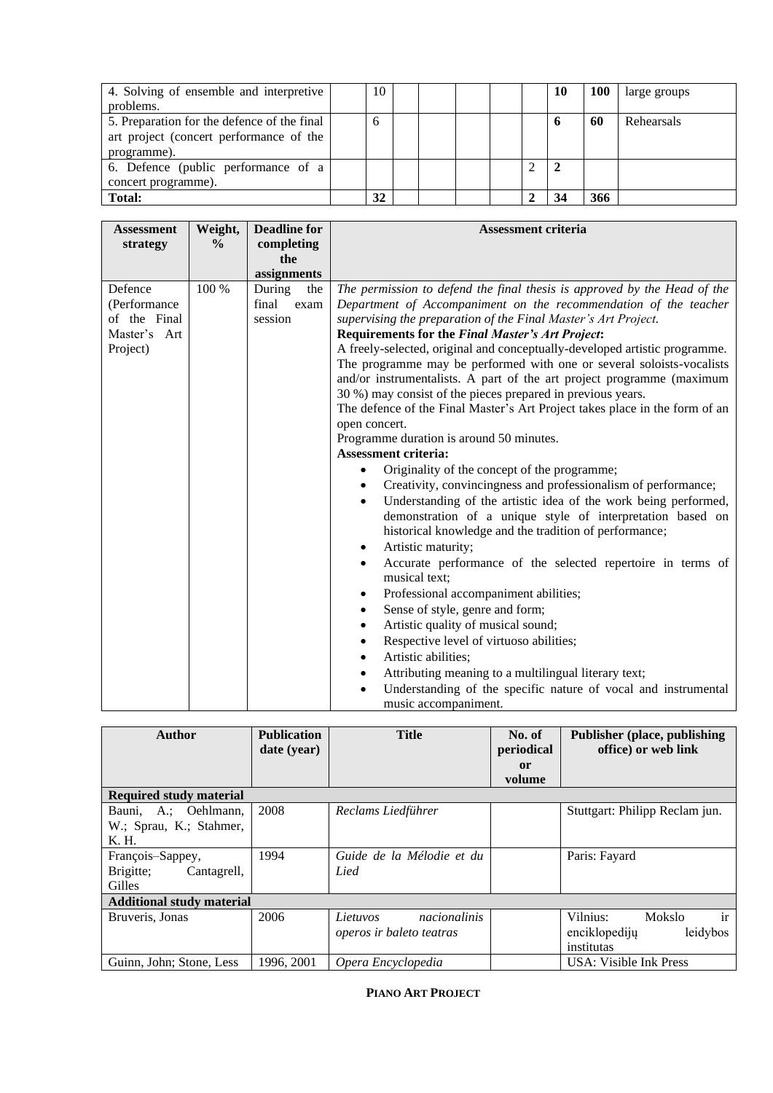| 4. Solving of ensemble and interpretive<br>problems.                                                  | 10 |  |  |   | 10 | 100 | large groups |
|-------------------------------------------------------------------------------------------------------|----|--|--|---|----|-----|--------------|
| 5. Preparation for the defence of the final<br>art project (concert performance of the<br>programme). | 6  |  |  |   | o  | 60  | Rehearsals   |
| 6. Defence (public performance of a<br>concert programme).                                            |    |  |  | ◠ |    |     |              |
| <b>Total:</b>                                                                                         | 32 |  |  |   | 34 | 366 |              |

| <b>Assessment</b><br>strategy                                       | Weight,<br>$\frac{0}{0}$ | <b>Deadline for</b><br>completing<br>the  | <b>Assessment criteria</b>                                                                                                                                                                                                                                                                                                                                                                                                                                                                                                                                                                                                                                                                                                                                                                                                                                                                                                                                                                                                                                                                                                                                                                                                                                                                                                                                                                                                                                                                                                                                                                                              |
|---------------------------------------------------------------------|--------------------------|-------------------------------------------|-------------------------------------------------------------------------------------------------------------------------------------------------------------------------------------------------------------------------------------------------------------------------------------------------------------------------------------------------------------------------------------------------------------------------------------------------------------------------------------------------------------------------------------------------------------------------------------------------------------------------------------------------------------------------------------------------------------------------------------------------------------------------------------------------------------------------------------------------------------------------------------------------------------------------------------------------------------------------------------------------------------------------------------------------------------------------------------------------------------------------------------------------------------------------------------------------------------------------------------------------------------------------------------------------------------------------------------------------------------------------------------------------------------------------------------------------------------------------------------------------------------------------------------------------------------------------------------------------------------------------|
|                                                                     |                          | assignments                               |                                                                                                                                                                                                                                                                                                                                                                                                                                                                                                                                                                                                                                                                                                                                                                                                                                                                                                                                                                                                                                                                                                                                                                                                                                                                                                                                                                                                                                                                                                                                                                                                                         |
| Defence<br>(Performance<br>of the Final<br>Master's Art<br>Project) | 100 %                    | During<br>the<br>final<br>exam<br>session | The permission to defend the final thesis is approved by the Head of the<br>Department of Accompaniment on the recommendation of the teacher<br>supervising the preparation of the Final Master's Art Project.<br>Requirements for the Final Master's Art Project:<br>A freely-selected, original and conceptually-developed artistic programme.<br>The programme may be performed with one or several soloists-vocalists<br>and/or instrumentalists. A part of the art project programme (maximum<br>30 %) may consist of the pieces prepared in previous years.<br>The defence of the Final Master's Art Project takes place in the form of an<br>open concert.<br>Programme duration is around 50 minutes.<br><b>Assessment criteria:</b><br>Originality of the concept of the programme;<br>Creativity, convincingness and professionalism of performance;<br>$\bullet$<br>Understanding of the artistic idea of the work being performed,<br>demonstration of a unique style of interpretation based on<br>historical knowledge and the tradition of performance;<br>Artistic maturity;<br>$\bullet$<br>Accurate performance of the selected repertoire in terms of<br>$\bullet$<br>musical text:<br>Professional accompaniment abilities;<br>٠<br>Sense of style, genre and form;<br>$\bullet$<br>Artistic quality of musical sound;<br>$\bullet$<br>Respective level of virtuoso abilities;<br>$\bullet$<br>Artistic abilities;<br>$\bullet$<br>Attributing meaning to a multilingual literary text;<br>٠<br>Understanding of the specific nature of vocal and instrumental<br>$\bullet$<br>music accompaniment. |

<span id="page-28-0"></span>

| <b>Author</b>                                            | <b>Publication</b><br>date (year) | <b>Title</b>                                         | <b>Publisher (place, publishing)</b><br>office) or web link |                                                                     |
|----------------------------------------------------------|-----------------------------------|------------------------------------------------------|-------------------------------------------------------------|---------------------------------------------------------------------|
| <b>Required study material</b>                           |                                   |                                                      |                                                             |                                                                     |
| Bauni, A.; Oehlmann,<br>W.; Sprau, K.; Stahmer,<br>K. H. | 2008                              | Reclams Liedführer                                   |                                                             | Stuttgart: Philipp Reclam jun.                                      |
| François-Sappey,<br>Brigitte;<br>Cantagrell,<br>Gilles   | 1994                              | Guide de la Mélodie et du<br>Lied                    |                                                             | Paris: Fayard                                                       |
| <b>Additional study material</b>                         |                                   |                                                      |                                                             |                                                                     |
| Bruveris, Jonas                                          | 2006                              | nacionalinis<br>Lietuvos<br>operos ir baleto teatras |                                                             | ir<br>Vilnius:<br>Mokslo<br>leidybos<br>enciklopediju<br>institutas |
| Guinn, John; Stone, Less                                 | 1996, 2001                        | Opera Encyclopedia                                   |                                                             | USA: Visible Ink Press                                              |